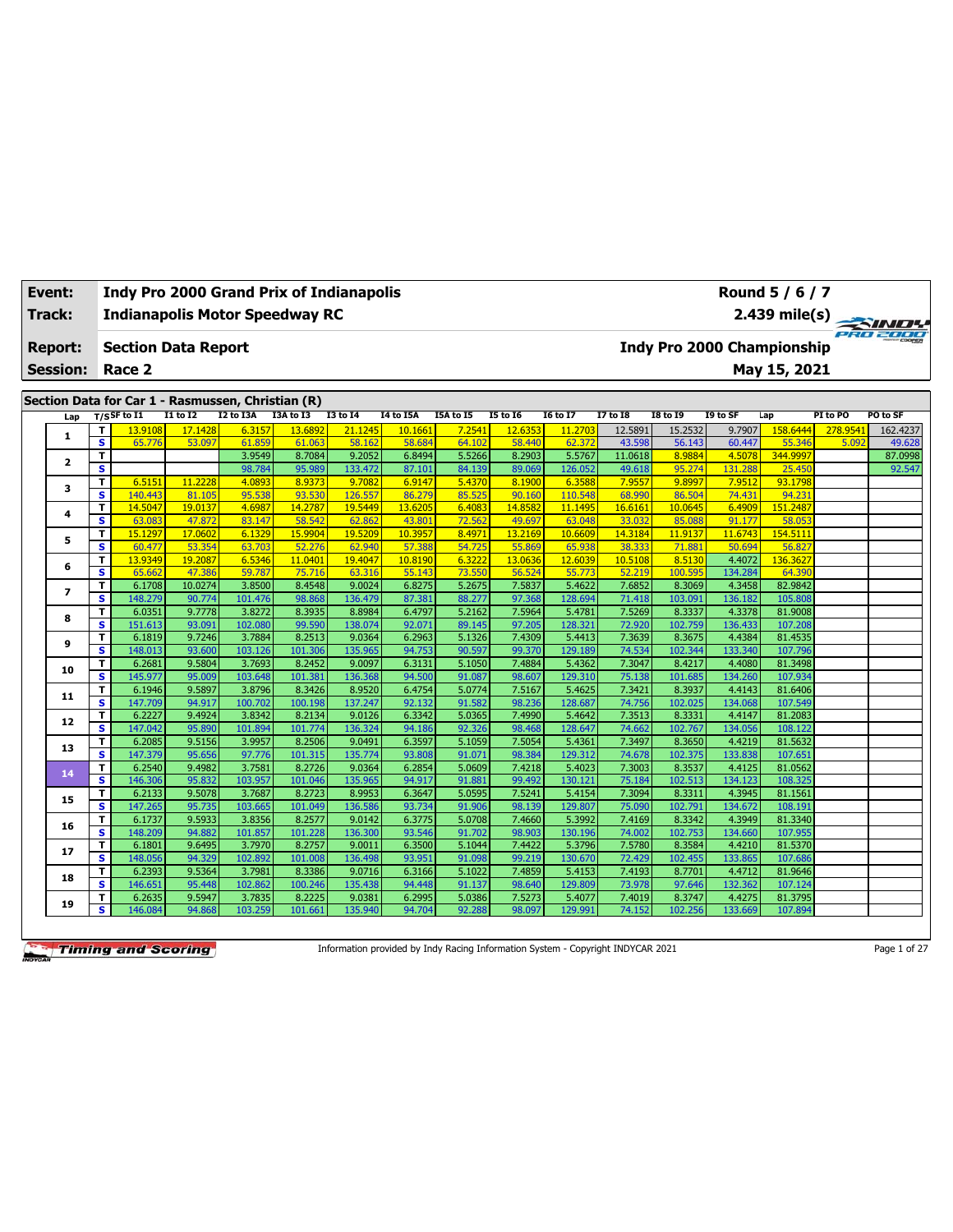| <b>Event:</b> |                 |                         | <b>Indy Pro 2000 Grand Prix of Indianapolis</b>   |                  |                   |                  |                   |                  |                  |                  |                   |                  |                   |                   | Round 5 / 6 / 7                   |          |              |
|---------------|-----------------|-------------------------|---------------------------------------------------|------------------|-------------------|------------------|-------------------|------------------|------------------|------------------|-------------------|------------------|-------------------|-------------------|-----------------------------------|----------|--------------|
| <b>Track:</b> |                 |                         | <b>Indianapolis Motor Speedway RC</b>             |                  |                   |                  |                   |                  |                  |                  |                   |                  |                   |                   | 2.439 mile(s)                     |          | <b>SIND!</b> |
|               | <b>Report:</b>  |                         | <b>Section Data Report</b>                        |                  |                   |                  |                   |                  |                  |                  |                   |                  |                   |                   | <b>Indy Pro 2000 Championship</b> |          | PRO 2000     |
|               | <b>Session:</b> |                         | Race 2                                            |                  |                   |                  |                   |                  |                  |                  |                   |                  |                   |                   | May 15, 2021                      |          |              |
|               |                 |                         | Section Data for Car 1 - Rasmussen, Christian (R) |                  |                   |                  |                   |                  |                  |                  |                   |                  |                   |                   |                                   |          |              |
|               | Lap             |                         | $T/S$ SF to I1                                    | <b>I1 to I2</b>  | I2 to I3A         | <b>I3A to I3</b> | <b>I3 to I4</b>   | I4 to I5A        | I5A to I5        | <b>I5 to 16</b>  | <b>I6 to I7</b>   | <b>I7 to I8</b>  | <b>I8 to I9</b>   | I9 to SF          | Lap                               | PI to PO | PO to SF     |
|               |                 | T                       | 13.9108                                           | 17.1428          | 6.3157            | 13.6892          | 21.1245           | 10.1661          | 7.2541           | 12.6353          | 11.2703           | 12.5891          | 15.2532           | 9.7907            | 158.6444                          | 278.954  | 162.4237     |
|               | 1               | $\overline{\mathbf{s}}$ | 65.776                                            | 53.097           | 61.859            | 61.063           | 58.162            | 58.684           | 64.102           | 58,440           | 62.372            | 43.598           | 56.143            | 60.447            | 55.346                            | 5.092    | 49.628       |
|               | $\mathbf{2}$    | T                       |                                                   |                  | 3.9549            | 8.7084           | 9.2052            | 6.8494           | 5.5266           | 8.2903           | 5.5767            | 11.0618          | 8.9884            | 4.5078            | 344,9997                          |          | 87.0998      |
|               |                 | S                       |                                                   |                  | 98.784            | 95.989           | 133.472           | 87.101           | 84.139           | 89.069           | 126.052           | 49.618           | 95.274            | 131.288           | 25.450                            |          | 92.547       |
|               | з               | T                       | 6.5151                                            | 11.2228          | 4.0893            | 8.9373           | 9.7082            | 6.9147           | 5.4370           | 8.1900           | 6.3588            | 7.9557           | 9.8997            | 7.9512            | 93.1798                           |          |              |
|               |                 | $\overline{\mathbf{s}}$ | 140.443                                           | 81.105           | 95.538            | 93.530           | 126.557           | 86.279           | 85.525           | 90.160           | 110.548           | 68.990           | 86.504            | 74.431            | 94.231                            |          |              |
|               | 4               | T                       | 14.5047                                           | 19.0137          | 4.6987            | 14.2787          | 19.5449           | 13.6205          | 6.4083           | 14.8582          | 11.1495           | 16.6161          | 10.0645           | 6.4909            | 151.2487                          |          |              |
|               |                 | $\overline{\mathbf{s}}$ | 63.083                                            | 47.872           | 83.147            | 58.542           | 62.862            | 43.801           | 72.562           | 49.697           | 63.048            | 33.032           | 85.088            | 91.177            | 58.053                            |          |              |
|               | 5               | T                       | 15.1297                                           | 17.0602          | 6.1329            | 15.9904          | 19,5209           | 10.3957          | 8.4971           | 13.2169          | 10.6609           | 14.3184          | 11.9137           | 11.6743           | 154.5111                          |          |              |
|               |                 | $\overline{\mathbf{s}}$ | 60.477                                            | 53.354           | 63.703            | 52.276           | 62.940            | 57.388           | 54.725           | 55.869           | 65.938            | 38.333           | 71.881            | 50.694            | 56.827                            |          |              |
|               | 6               | T                       | 13.9349                                           | 19.2087          | 6.5346            | 11.0401          | 19.4047           | 10.8190          | 6.3222           | 13.0636          | 12.6039           | 10.5108          | 8.5130            | 4.4072            | 136.3627                          |          |              |
|               |                 | $\overline{\mathbf{s}}$ | 65.662                                            | 47.386           | 59.787            | 75.716           | 63.316            | 55.143           | 73.550           | 56.524           | 55.773            | 52.219           | 100.595           | 134.284           | 64.390                            |          |              |
|               | 7               | T                       | 6.1708                                            | 10.0274          | 3.8500            | 8.4548           | 9.0024            | 6.8275           | 5.2675           | 7.5837           | 5.4622            | 7.6852           | 8.3069            | 4.3458            | 82.9842                           |          |              |
|               |                 | s                       | 148.279                                           | 90.774           | 101.476           | 98.868           | 136.479           | 87.381           | 88.277<br>5.2162 | 97.368           | 128.694           | 71.418           | 103.091           | 136.182           | 105.80                            |          |              |
|               | 8               | T<br>s                  | 6.0351                                            | 9.7778           | 3.8272<br>102.080 | 8.3935           | 8.8984            | 6.4797<br>92.071 | 89.145           | 7.5964<br>97.205 | 5.478             | 7.5269           | 8.3337            | 4.3378            | 81.9008                           |          |              |
|               |                 | T                       | 151.613<br>6.1819                                 | 93.091<br>9.7246 | 3.7884            | 99.590<br>8.2513 | 138.074<br>9.0364 | 6.2963           | 5.1326           | 7.4309           | 128.32:<br>5.4413 | 72.920<br>7.3639 | 102.759<br>8.3675 | 136.433<br>4.4384 | 107.208<br>81.4535                |          |              |
|               | 9               | s                       | 148.013                                           | 93.600           | 103.126           | 101.306          | 135.965           | 94.753           | 90.597           | 99.370           | 129.189           | 74.534           | 102.344           | 133.340           | 107.796                           |          |              |
|               |                 | T                       | 6.2681                                            | 9.5804           | 3.7693            | 8.2452           | 9.0097            | 6.3131           | 5.1050           | 7.4884           | 5.4362            | 7.3047           | 8.4217            | 4.4080            | 81.3498                           |          |              |
|               | 10              | s                       | 145.977                                           | 95.009           | 103.648           | 101.381          | 136.368           | 94.500           | 91.087           | 98.607           | 129.310           | 75.138           | 101.685           | 134.260           | 107.934                           |          |              |
|               |                 | T                       | 6.1946                                            | 9.5897           | 3.8796            | 8.3426           | 8.9520            | 6.4754           | 5.0774           | 7.5167           | 5.4625            | 7.3421           | 8.3937            | 4.4143            | 81.6406                           |          |              |
|               | 11              | s                       | 147.709                                           | 94.917           | 100.702           | 100.198          | 137.247           | 92.132           | 91.582           | 98.236           | 128.687           | 74.756           | 102.025           | 134.068           | 107.549                           |          |              |
|               |                 | T                       | 6.2227                                            | 9.4924           | 3.8342            | 8.2134           | 9.0126            | 6.3342           | 5.0365           | 7.4990           | 5.4642            | 7.3513           | 8.3331            | 4.4147            | 81.2083                           |          |              |
|               | 12              | s                       | 147.042                                           | 95.890           | 101.894           | 101.774          | 136.324           | 94.186           | 92.326           | 98.468           | 128.647           | 74.662           | 102.767           | 134.056           | 108.122                           |          |              |
|               |                 | T                       | 6.2085                                            | 9.5156           | 3.9957            | 8.2506           | 9.0491            | 6.3597           | 5.1059           | 7.5054           | 5.4361            | 7.3497           | 8.3650            | 4.4219            | 81.5632                           |          |              |
|               | 13              | s                       | 147.379                                           | 95.656           | 97.776            | 101.315          | 135.774           | 93.808           | 91.071           | 98.384           | 129.312           | 74.678           | 102.375           | 133.838           | 107.651                           |          |              |
|               |                 | T                       | 6.2540                                            | 9.4982           | 3.7581            | 8.2726           | 9.0364            | 6.2854           | 5.0609           | 7.4218           | 5.4023            | 7.3003           | 8.3537            | 4.4125            | 81.0562                           |          |              |
|               | 14              | s                       | 146.306                                           | 95.832           | 103.957           | 101.046          | 135.965           | 94.917           | 91.881           | 99.492           | 130.121           | 75.184           | 102.513           | 134.123           | 108.325                           |          |              |
|               |                 | T                       | 6.2133                                            | 9.5078           | 3.7687            | 8.2723           | 8.9953            | 6.3647           | 5.0595           | 7.5241           | 5.4154            | 7.3094           | 8.3311            | 4.3945            | 81.1561                           |          |              |
|               | 15              | s                       | 147.265                                           | 95.735           | 103.665           | 101.049          | 136.586           | 93.734           | 91.906           | 98.139           | 129.807           | 75.090           | 102.791           | 134.672           | 108.191                           |          |              |
|               |                 | T                       | 6.1737                                            | 9.5933           | 3.8356            | 8.2577           | 9.0142            | 6.3775           | 5.0708           | 7.4660           | 5.3992            | 7.4169           | 8.3342            | 4.3949            | 81.3340                           |          |              |
|               | 16              | s                       | 148.209                                           | 94.882           | 101.857           | 101.228          | 136.300           | 93.546           | 91.702           | 98.903           | 130.196           | 74.002           | 102.753           | 134.660           | 107.955                           |          |              |
|               | 17              | T                       | 6.1801                                            | 9.6495           | 3.7970            | 8.2757           | 9.0011            | 6.3500           | 5.1044           | 7.4422           | 5.3796            | 7.5780           | 8.3584            | 4.4210            | 81.5370                           |          |              |
|               |                 | s                       | 148.056                                           | 94.329           | 102.892           | 101.008          | 136.498           | 93.951           | 91.098           | 99.219           | 130,670           | 72.429           | 102.455           | 133.865           | 107.686                           |          |              |
|               | 18              | т                       | 6.2393                                            | 9.5364           | 3.7981            | 8.3386           | 9.0716            | 6.3166           | 5.1022           | 7.4859           | 5.4153            | 7.4193           | 8.7701            | 4.4712            | 81.9646                           |          |              |
|               |                 | $\mathbf{s}$            | 146.651                                           | 95.448           | 102.862           | 100.246          | 135.438           | 94.448           | 91.137           | 98.640           | 129.809           | 73.978           | 97.646            | 132.362           | 107.124                           |          |              |
|               | 19              | T                       | 6.2635                                            | 9.5947           | 3.7835            | 8.2225           | 9.0381            | 6.2995           | 5.0386           | 7.5273           | 5.4077            | 7.4019           | 8.3747            | 4.4275            | 81.3795                           |          |              |
|               |                 | s                       | 146.084                                           | 94.868           | 103.259           | 101.661          | 135.940           | 94.704           | 92.288           | 98.097           | 129.991           | 74.152           | 102.256           | 133.669           | 107.894                           |          |              |

Information provided by Indy Racing Information System - Copyright INDYCAR 2021 Page 1 of 27

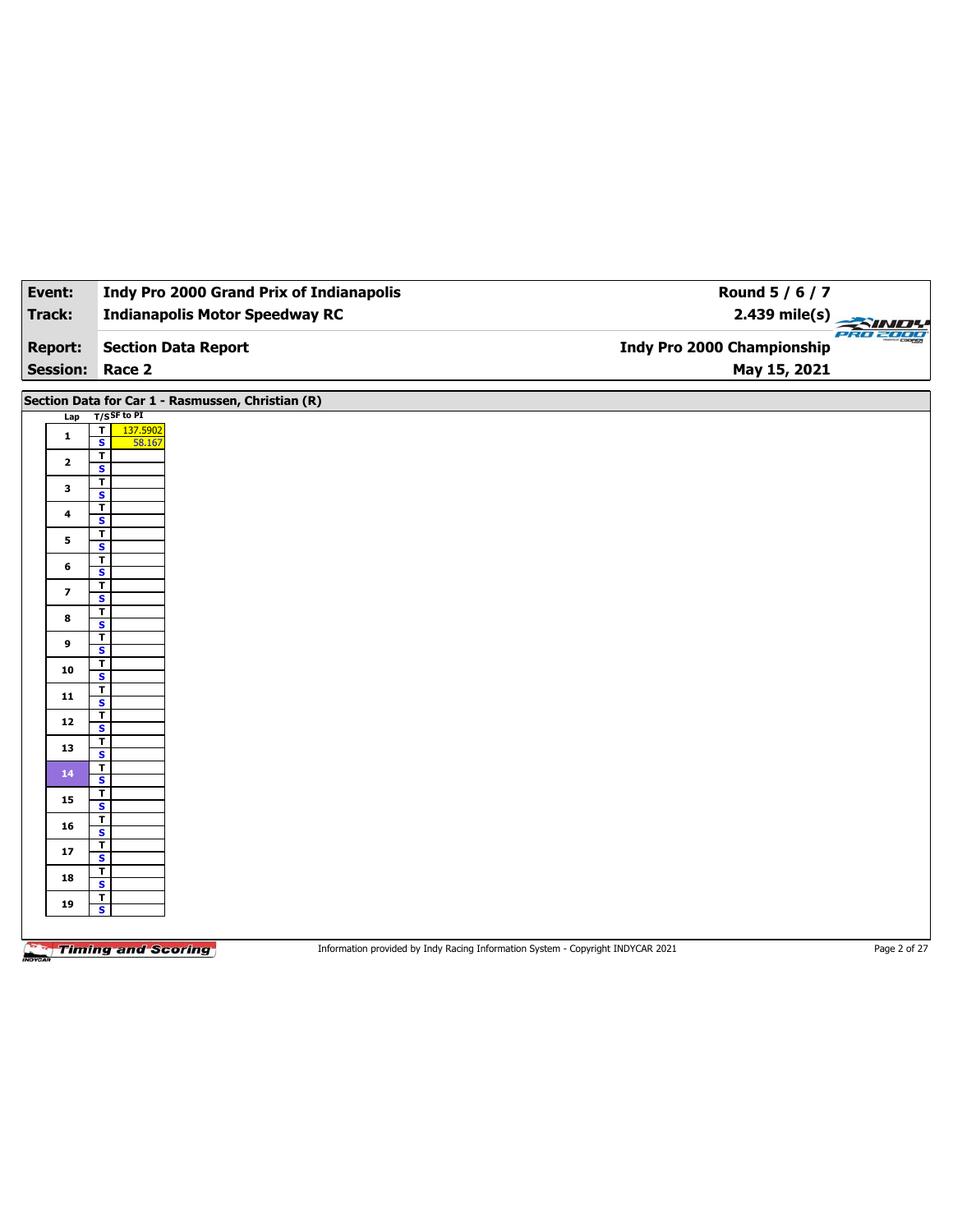| Event:                   | <b>Indy Pro 2000 Grand Prix of Indianapolis</b>                                                              | Round 5 / 6 / 7                               |
|--------------------------|--------------------------------------------------------------------------------------------------------------|-----------------------------------------------|
| Track:                   | <b>Indianapolis Motor Speedway RC</b>                                                                        | $2.439$ mile(s)<br><u> SINDI</u>              |
| <b>Report:</b>           | <b>Section Data Report</b>                                                                                   | PRO 2000<br><b>Indy Pro 2000 Championship</b> |
| <b>Session:</b>          | Race 2                                                                                                       | May 15, 2021                                  |
|                          | Section Data for Car 1 - Rasmussen, Christian (R)                                                            |                                               |
| Lap                      | $T/S$ SF to PI<br>$\overline{\mathbf{r}}$<br>137.5902                                                        |                                               |
| $\mathbf{1}$             | $\overline{\mathbf{s}}$<br>58.167                                                                            |                                               |
| $\mathbf{2}$             | $\overline{\mathbf{r}}$<br>S                                                                                 |                                               |
| 3                        | $\overline{\mathbf{r}}$<br>$\overline{\mathbf{s}}$                                                           |                                               |
| 4                        | $\overline{I}$                                                                                               |                                               |
|                          | S<br>T.                                                                                                      |                                               |
| 5                        | $\overline{\mathbf{s}}$                                                                                      |                                               |
| 6                        | $\overline{\mathbf{r}}$<br>S                                                                                 |                                               |
| $\overline{\phantom{a}}$ | T.<br>$\overline{\mathbf{s}}$                                                                                |                                               |
| 8                        | T                                                                                                            |                                               |
| 9                        | S<br>$\overline{\mathbf{r}}$                                                                                 |                                               |
|                          | $\overline{\mathbf{s}}$<br>Τ                                                                                 |                                               |
| 10                       | $\overline{\mathbf{s}}$                                                                                      |                                               |
| 11                       | T<br>$\overline{\mathbf{s}}$                                                                                 |                                               |
| 12                       | $\overline{\mathbf{r}}$<br>$\overline{\mathbf{s}}$                                                           |                                               |
| 13                       | $\overline{\mathbf{r}}$                                                                                      |                                               |
|                          | $\overline{\mathbf{s}}$<br>T                                                                                 |                                               |
| 14                       | S                                                                                                            |                                               |
| 15                       | T<br>$\overline{\mathbf{s}}$                                                                                 |                                               |
| 16                       | $\overline{\mathbf{r}}$<br>S                                                                                 |                                               |
| 17                       | $\mathbf T$                                                                                                  |                                               |
| 18                       | $\overline{\mathbf{s}}$<br>$\overline{\mathbf{r}}$                                                           |                                               |
|                          | S<br>$\mathbf{T}$                                                                                            |                                               |
| 19                       | $\overline{\mathbf{s}}$                                                                                      |                                               |
|                          |                                                                                                              |                                               |
|                          | <b>Timing and Scoring</b><br>Information provided by Indy Racing Information System - Copyright INDYCAR 2021 | Page 2 of 27                                  |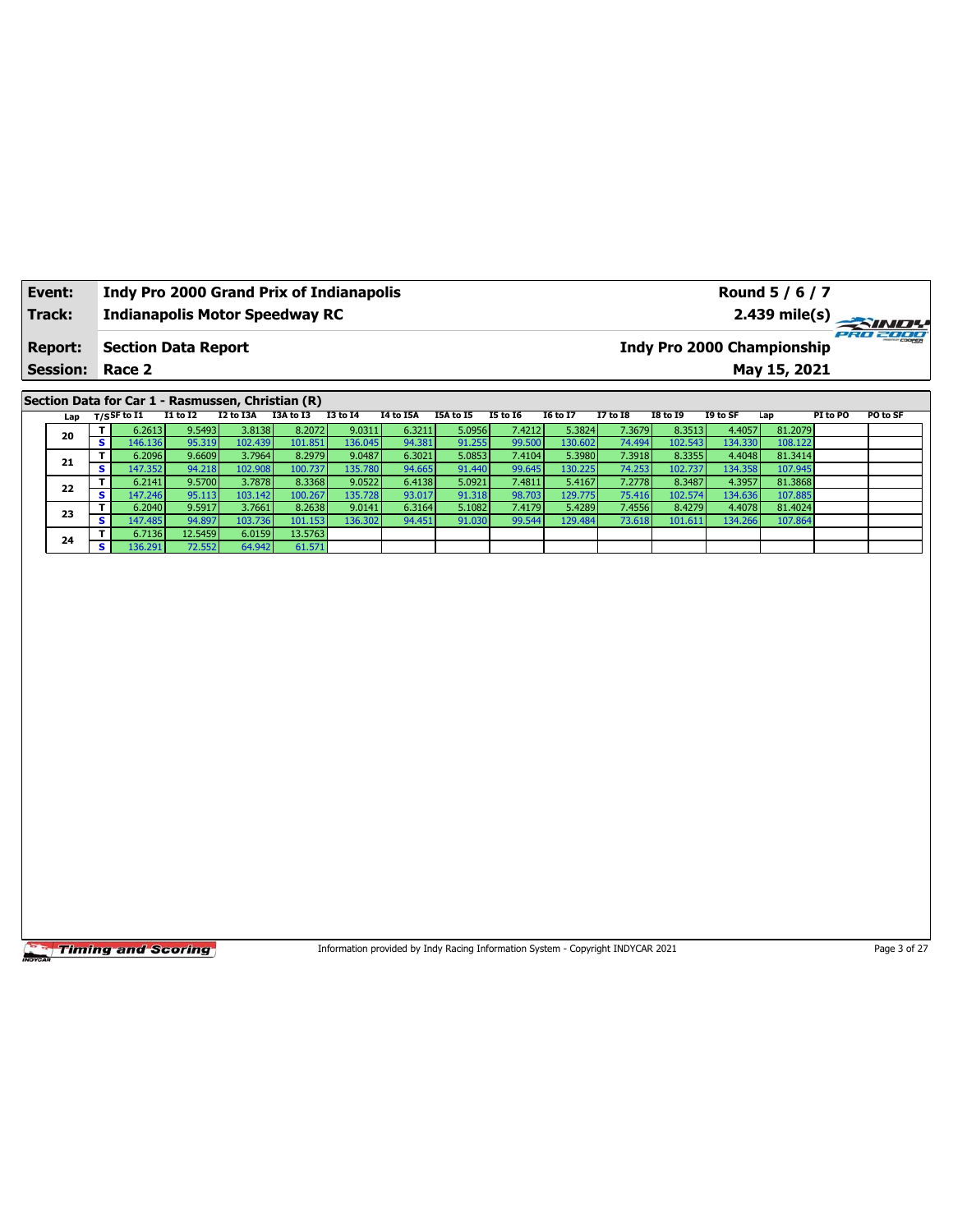| Event:          |    |             |                            | <b>Indy Pro 2000 Grand Prix of Indianapolis</b>   |           |          |                  |           |                 |                 |                 |                 |           | Round 5 / 6 / 7            |          |                 |  |
|-----------------|----|-------------|----------------------------|---------------------------------------------------|-----------|----------|------------------|-----------|-----------------|-----------------|-----------------|-----------------|-----------|----------------------------|----------|-----------------|--|
| Track:          |    |             |                            | <b>Indianapolis Motor Speedway RC</b>             |           |          |                  |           |                 |                 |                 |                 |           |                            |          | 2.439 mile(s)   |  |
| <b>Report:</b>  |    |             | <b>Section Data Report</b> |                                                   |           |          |                  |           |                 |                 |                 |                 |           | Indy Pro 2000 Championship |          | <b>PRO 2000</b> |  |
| <b>Session:</b> |    | Race 2      |                            |                                                   |           |          |                  |           |                 |                 |                 |                 |           | May 15, 2021               |          |                 |  |
|                 |    |             |                            | Section Data for Car 1 - Rasmussen, Christian (R) |           |          |                  |           |                 |                 |                 |                 |           |                            |          |                 |  |
| Lap             |    | T/SSF to I1 | <b>I1 to I2</b>            | I2 to I3A                                         | I3A to I3 | 13 to 14 | <b>14 to 15A</b> | I5A to I5 | <b>I5 to 16</b> | <b>16 to 17</b> | <b>I7 to I8</b> | <b>I8 to I9</b> | I9 to SF  | Lap                        | PI to PO | PO to SF        |  |
| 20              |    | 6.2613      | 9.5493                     | 3.8138                                            | 8.2072    | 9.0311   | 6.3211           | 5.0956    | 7.4212          | 5.3824          | 7.3679          | 8.3513          | 4.4057    | 81.2079                    |          |                 |  |
|                 | s. | 146.136     | 95.319                     | 102.439                                           | 101.851   | 136.045  | 94.381           | 91.255    | 99.500          | 130.602         | 74.494          | 102.543         | 134.330 l | 108.122                    |          |                 |  |
|                 |    | 6.2096      | 9.6609                     | 3.7964                                            | 8.2979    | 9.0487   | 6.3021           | 5.0853    | 7.4104          | 5.3980          | 7.3918          | 8.3355          | 4.4048    | 81.3414                    |          |                 |  |
| 21              |    | 147 352 1   | 94 218                     | $102$ 908                                         | 100 737   | 135 780  | 94 665           | 91,440    | 99 645          | 130,225         | 74 253          | 102737          | 134 358 1 | 107 945                    |          |                 |  |

|    |            | $-101200$ | ------  |          | $-0 - 0 - 1 - 1$ | $-0.0000$ | $  -$  | $-$ ----- | $- - - - - - -$ | $-0.000-$ | .      |         | $- - - - - -$ | $-$ - $-$ - $-$ - |  |
|----|------------|-----------|---------|----------|------------------|-----------|--------|-----------|-----------------|-----------|--------|---------|---------------|-------------------|--|
| 21 |            | 6.2096    | 9.6609  | 3.7964   | 8.2979           | 9.0487    | 6.3021 | 5.0853    | 7.4104          | 5.3980    | 7.3918 | 8.3355  | 4.4048        | 81.3414           |  |
|    |            | 47.352    | 94.218  | 102.908  | 100.737          | 135.780   | 94.665 | 91.440    | 99.645          | 130.225   | 74.253 | 102.737 | 134.358       | 107.945           |  |
| 22 |            | 6.2141    | 9.5700  | 3.7878   | 8.3368           | 9.0522    | 6.4138 | 5.0921    | 7.4811          | 5.4167    | 7.2778 | 8.3487  | 4.3957        | 81.3868           |  |
|    |            | 147.246   | 95.113  | 103.1421 | 100.267          | 135.728   | 93.017 | 91.318    | 98.703          | 129.775   | 75.416 | 102.574 | 134.636       | 107.885           |  |
| 23 |            | 6.2040    | 9.5917  | 3.7661   | 8.2638           | 9.0141    | 6.3164 | 5.1082    | 7.4179          | 5.4289    | 7.4556 | 8.4279  | 4.4078        | 81.4024           |  |
|    | э.         | 147.485   | 94.897  | 103.736  | 101.153          | 136.302   | 94.451 | 91.030    | 99.544          | 129.484   | 73.618 | 101.611 | 134.266       | 107.864           |  |
| 24 |            | 6.7136    | 12.5459 | 6.0159   | 13.5763          |           |        |           |                 |           |        |         |               |                   |  |
|    | $\epsilon$ | 136.291   | 72.552  | 64.942   | 61.571           |           |        |           |                 |           |        |         |               |                   |  |
|    |            |           |         |          |                  |           |        |           |                 |           |        |         |               |                   |  |

Information provided by Indy Racing Information System - Copyright INDYCAR 2021 Page 3 of 27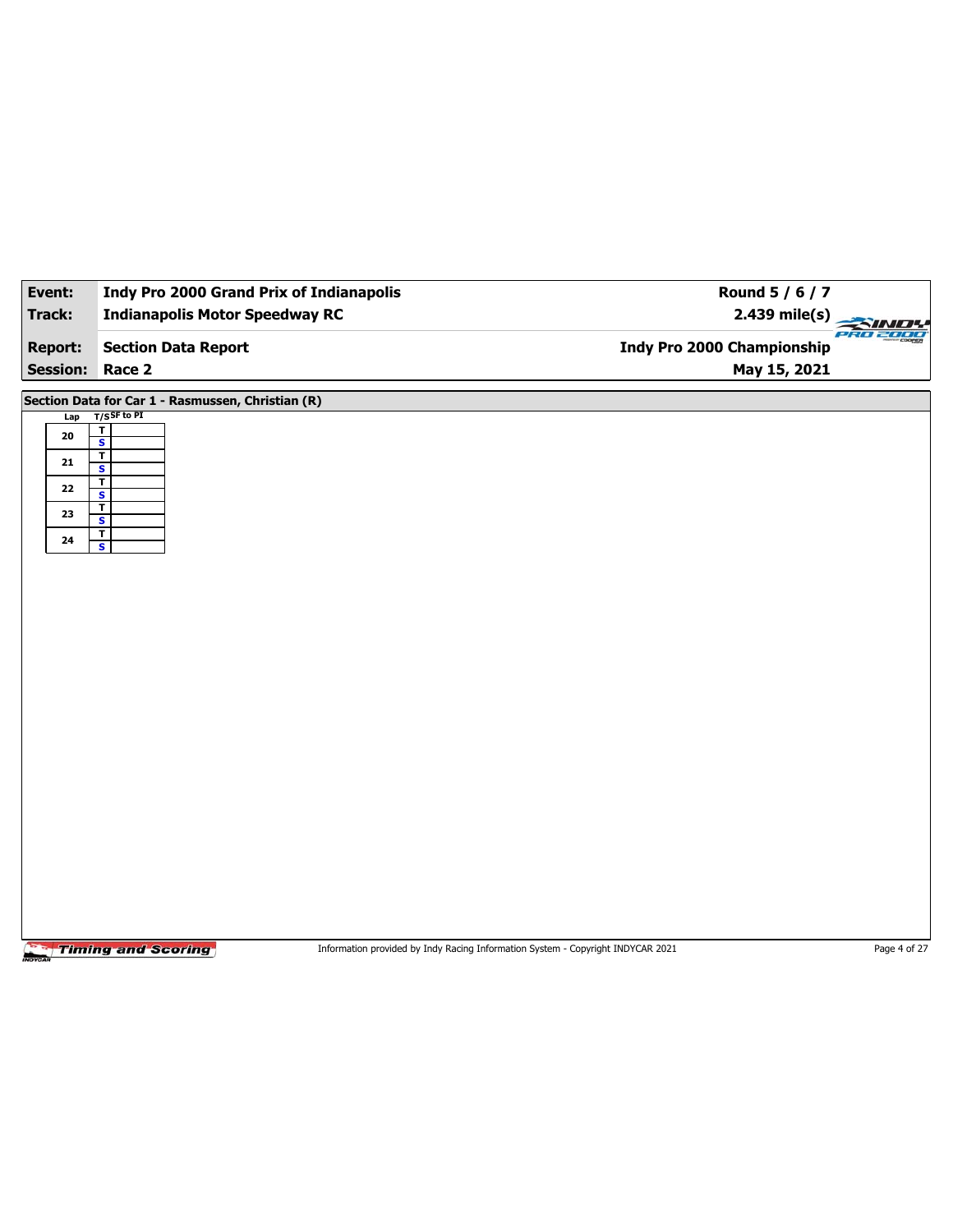| Event:          | Indy Pro 2000 Grand Prix of Indianapolis           | Round 5 / 6 / 7                        |
|-----------------|----------------------------------------------------|----------------------------------------|
| Track:          | <b>Indianapolis Motor Speedway RC</b>              | 2.439 mile(s)                          |
| <b>Report:</b>  | <b>Section Data Report</b>                         | ero zooo<br>Indy Pro 2000 Championship |
| <b>Session:</b> | Race 2                                             | May 15, 2021                           |
|                 | Section Data for Car 1 - Rasmussen, Christian (R)  |                                        |
| Lap             | $T/S$ SF to PI                                     |                                        |
| 20              | $\overline{\mathsf{r}}$<br>$\overline{\mathbf{s}}$ |                                        |
| ${\bf 21}$      | $\overline{\mathbf{r}}$<br>$\overline{\mathbf{s}}$ |                                        |
| 22              | $\overline{1}$                                     |                                        |
| 23              | $\overline{\mathbf{s}}$<br>$\overline{\mathbf{r}}$ |                                        |
|                 | $\overline{\mathbf{s}}$<br>$\mathbf T$             |                                        |
| 24              | $\overline{\mathbf{s}}$                            |                                        |
|                 |                                                    |                                        |
|                 |                                                    |                                        |
|                 |                                                    |                                        |
|                 |                                                    |                                        |
|                 |                                                    |                                        |
|                 |                                                    |                                        |
|                 |                                                    |                                        |
|                 |                                                    |                                        |
|                 |                                                    |                                        |
|                 |                                                    |                                        |
|                 |                                                    |                                        |
|                 |                                                    |                                        |
|                 |                                                    |                                        |
|                 |                                                    |                                        |
|                 |                                                    |                                        |
|                 |                                                    |                                        |
|                 |                                                    |                                        |
|                 |                                                    |                                        |

Information provided by Indy Racing Information System - Copyright INDYCAR 2021 Page 4 of 27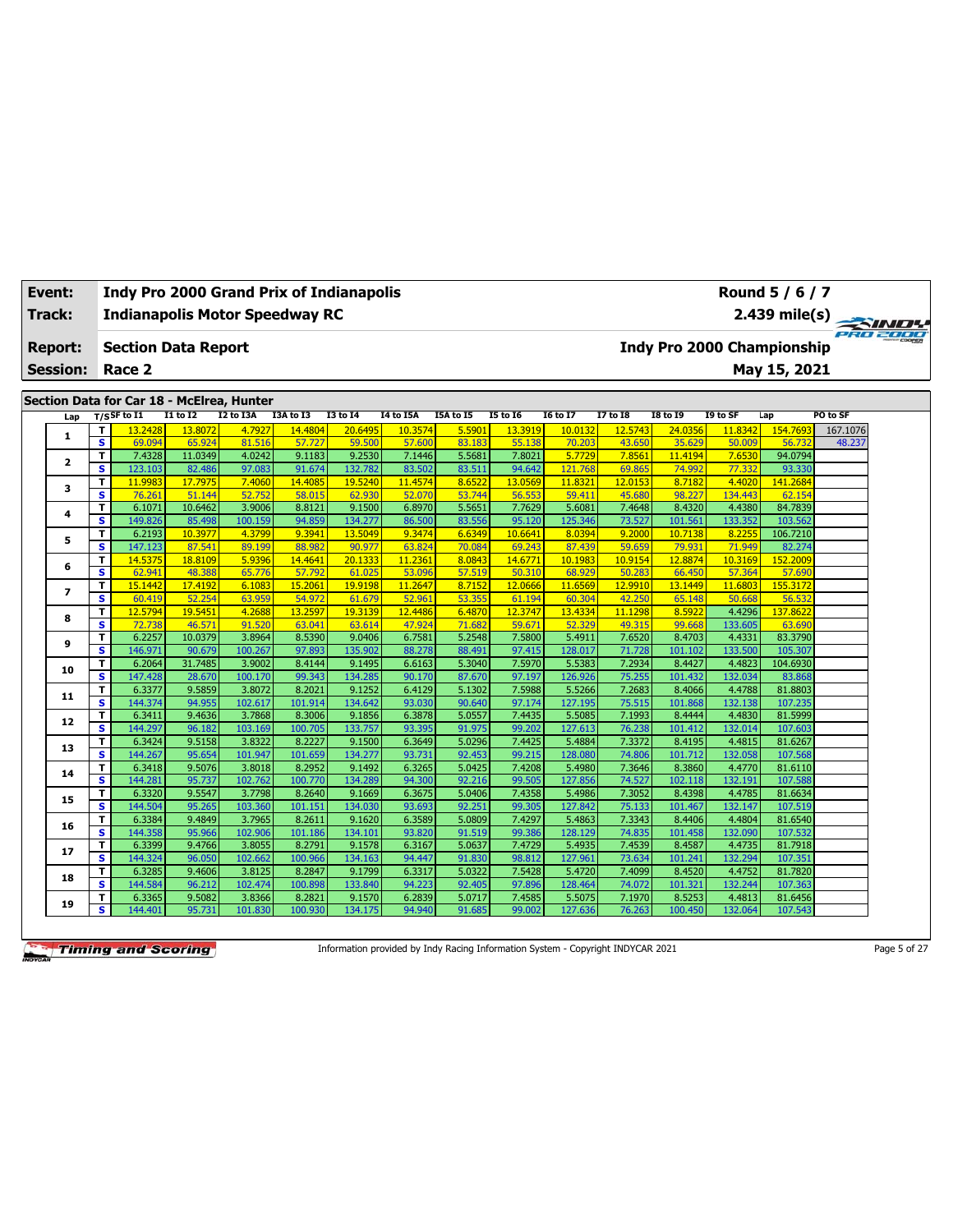| Event:        |                 |                              |                                           |                   |                  | <b>Indy Pro 2000 Grand Prix of Indianapolis</b> |                  |                  |                  |                  |                  |                  |                  |                                   | Round 5 / 6 / 7   |          |
|---------------|-----------------|------------------------------|-------------------------------------------|-------------------|------------------|-------------------------------------------------|------------------|------------------|------------------|------------------|------------------|------------------|------------------|-----------------------------------|-------------------|----------|
| <b>Track:</b> |                 |                              |                                           |                   |                  | <b>Indianapolis Motor Speedway RC</b>           |                  |                  |                  |                  |                  |                  |                  |                                   | $2.439$ mile(s)   | PRO 2000 |
|               | <b>Report:</b>  |                              | <b>Section Data Report</b>                |                   |                  |                                                 |                  |                  |                  |                  |                  |                  |                  | <b>Indy Pro 2000 Championship</b> |                   |          |
|               | <b>Session:</b> |                              | Race 2                                    |                   |                  |                                                 |                  |                  |                  |                  |                  |                  |                  |                                   | May 15, 2021      |          |
|               |                 |                              |                                           |                   |                  |                                                 |                  |                  |                  |                  |                  |                  |                  |                                   |                   |          |
|               |                 |                              | Section Data for Car 18 - McElrea, Hunter |                   |                  |                                                 |                  |                  |                  |                  |                  |                  |                  |                                   |                   |          |
|               | Lap             |                              | $T/S$ SF to $I1$                          | <b>I1 to I2</b>   | <b>I2 to I3A</b> | I3A to I3                                       | <b>I3 to 14</b>  | I4 to I5A        | I5A to I5        | <b>I5 to 16</b>  | <b>16 to 17</b>  | <b>I7 to I8</b>  | <b>I8 to 19</b>  | I9 to SF                          | Lap               | PO to SF |
|               | 1               | T                            | 13.2428                                   | 13.8072           | 4.7927           | 14.4804                                         | 20.6495          | 10.3574          | 5.5901           | 13.3919          | 10.0132          | 12.5743          | 24.0356          | 11.8342                           | 154.7693          | 167.1076 |
|               |                 | s                            | 69.094                                    | 65.924            | 81.516           | 57.727                                          | 59.500           | 57,600           | 83.183           | 55.138           | 70.203           | 43.650           | 35.629           | 50.009                            | 56.732            | 48.237   |
|               | $\overline{2}$  | T.                           | 7.4328                                    | 11.0349           | 4.0242           | 9.1183                                          | 9.2530           | 7.1446           | 5.5681           | 7.8021           | 5.7729           | 7.8561           | 11.4194          | 7.6530                            | 94.0794           |          |
|               |                 | $\overline{\mathbf{s}}$      | 123.103                                   | 82.486            | 97.083           | 91.674                                          | 132.782          | 83.502           | 83.511           | 94.642           | 121.768          | 69.865           | 74.992           | 77.332                            | 93.330            |          |
|               | 3               | T<br>$\overline{\mathbf{s}}$ | 11.9983                                   | 17.7975           | 7.4060           | 14,4085                                         | 19.5240          | 11,4574          | 8.6522           | 13.0569          | 11.8321          | 12.0153          | 8.7182           | 4.4020                            | 141.2684          |          |
|               |                 | T                            | 76.261<br>6.1071                          | 51.144<br>10.6462 | 52.752<br>3.9006 | 58.015<br>8.8121                                | 62.930<br>9.1500 | 52.070<br>6.8970 | 53.744<br>5.5651 | 56.553<br>7.7629 | 59.411<br>5.6081 | 45.680<br>7.4648 | 98.227<br>8.4320 | 134.443<br>4.4380                 | 62.154<br>84.7839 |          |
|               | 4               | s                            | 149.826                                   | 85.498            | 100.159          | 94.859                                          | 134.277          | 86.500           | 83.556           | 95.120           | 125.346          | 73.527           | 101.561          | 133.352                           | 103.562           |          |
|               |                 | T                            | 6.2193                                    | 10.3977           | 4.3799           | 9.3941                                          | 13.5049          | 9.3474           | 6.6349           | 10.6641          | 8.0394           | 9.2000           | 10.7138          | 8.225                             | 106.7210          |          |
|               | 5               | s.                           | 147.123                                   | 87.541            | 89.199           | 88.982                                          | 90.977           | 63.824           | 70.084           | 69.243           | 87.439           | 59.659           | 79.931           | 71.949                            | 82.274            |          |
|               |                 | T                            | 14.5375                                   | 18,8109           | 5.9396           | 14,4641                                         | 20.1333          | 11.2361          | 8.0843           | 14.6771          | 10.1983          | 10.9154          | 12.8874          | 10.3169                           | 152.2009          |          |
|               | 6               | $\overline{\mathbf{s}}$      | 62.941                                    | 48.388            | 65.776           | 57.792                                          | 61.025           | 53.096           | 57.519           | 50.310           | 68.929           | 50.283           | 66.450           | 57.364                            | 57.690            |          |
|               |                 | т                            | 15.1442                                   | 17.4192           | 6.1083           | 15,2061                                         | 19.9198          | 11,2647          | 8.7152           | 12.0666          | 11.6569          | 12.9910          | 13.1449          | 11.6803                           | 155.3172          |          |
|               | $\overline{ }$  | s                            | 60.419                                    | 52.254            | 63.959           | 54.972                                          | 61.679           | 52.961           | 53.355           | 61.194           | 60.304           | 42.250           | 65.148           | 50.668                            | 56.532            |          |
|               |                 | T                            | 12.5794                                   | 19.545            | 4.2688           | 13.2597                                         | 19.3139          | 12.4486          | 6.4870           | 12.3747          | 13.4334          | 11.1298          | 8.5922           | 4.4296                            | 137.862           |          |
|               | 8               | s                            | 72.738                                    | 46.571            | 91.520           | 63.041                                          | 63.614           | 47.924           | 71.682           | 59.671           | 52.329           | 49.315           | 99.668           | 133.605                           | 63.690            |          |
|               |                 | T                            | 6.2257                                    | 10.0379           | 3.8964           | 8.5390                                          | 9.0406           | 6.7581           | 5.2548           | 7.5800           | 5.4911           | 7.6520           | 8.4703           | 4.4331                            | 83.3790           |          |
|               | 9               | s                            | 146.971                                   | 90.679            | 100.267          | 97.893                                          | 135.902          | 88.278           | 88.491           | 97.415           | 128.017          | 71.728           | 101.102          | 133.500                           | 105.307           |          |
|               |                 | T                            | 6.2064                                    | 31.7485           | 3.9002           | 8.4144                                          | 9.1495           | 6.6163           | 5.3040           | 7.5970           | 5.5383           | 7.2934           | 8.4427           | 4.4823                            | 104.6930          |          |
|               | 10              | s                            | 147.428                                   | 28.670            | 100.170          | 99.343                                          | 134.285          | 90.170           | 87.670           | 97.197           | 126.926          | 75.255           | 101.432          | 132.034                           | 83.868            |          |
|               |                 | T                            | 6.3377                                    | 9.5859            | 3.8072           | 8.2021                                          | 9.1252           | 6.4129           | 5.1302           | 7.5988           | 5.5266           | 7.2683           | 8.4066           | 4.4788                            | 81.8803           |          |
|               | 11              | s                            | 144.374                                   | 94.955            | 102.617          | 101.914                                         | 134.642          | 93.030           | 90.640           | 97.174           | 127.195          | 75.515           | 101.868          | 132.138                           | 107.235           |          |
|               |                 | T                            | 6.3411                                    | 9.4636            | 3.7868           | 8.3006                                          | 9.1856           | 6.3878           | 5.0557           | 7.4435           | 5.5085           | 7.1993           | 8.4444           | 4.4830                            | 81.5999           |          |
|               | 12              | s                            | 144.297                                   | 96.182            | 103.169          | 100.705                                         | 133.757          | 93.395           | 91.975           | 99.202           | 127.613          | 76.238           | 101.412          | 132.014                           | 107.603           |          |
|               |                 | т                            | 6.3424                                    | 9.5158            | 3.8322           | 8.2227                                          | 9.1500           | 6.3649           | 5.0296           | 7.4425           | 5.4884           | 7.3372           | 8.4195           | 4.4815                            | 81.6267           |          |
|               | 13              | s.                           | 144.267                                   | 95.654            | 101.947          | 101.659                                         | 134.277          | 93.731           | 92.453           | 99.215           | 128.080          | 74.806           | 101.712          | 132.058                           | 107.568           |          |
|               |                 | T                            | 6.3418                                    | 9.5076            | 3.8018           | 8.2952                                          | 9.1492           | 6.3265           | 5.0425           | 7.4208           | 5.4980           | 7.3646           | 8.3860           | 4.4770                            | 81.6110           |          |
|               | 14              | s.                           | 144.281                                   | 95.737            | 102.762          | 100.770                                         | 134.289          | 94.300           | 92.216           | 99.505           | 127.856          | 74.527           | 102.118          | 132.191                           | 107.588           |          |
|               |                 | T.                           | 6.3320                                    | 9.5547            | 3.7798           | 8.2640                                          | 9.1669           | 6.3675           | 5.0406           | 7.4358           | 5.4986           | 7.3052           | 8.4398           | 4.4785                            | 81.6634           |          |
|               | 15              | s.                           | 144.504                                   | 95.265            | 103.360          | 101.151                                         | 134.030          | 93.693           | 92.251           | 99.305           | 127.842          | 75.133           | 101.467          | 132.147                           | 107.519           |          |
|               | 16              | T                            | 6.3384                                    | 9.4849            | 3.7965           | 8.2611                                          | 9.1620           | 6.3589           | 5.0809           | 7.4297           | 5.4863           | 7.3343           | 8.4406           | 4.4804                            | 81.6540           |          |
|               |                 | s                            | 144.358                                   | 95.966            | 102.906          | 101.186                                         | 134.101          | 93.820           | 91.519           | 99.386           | 128.129          | 74.835           | 101.458          | 132.090                           | 107.532           |          |
|               | 17              | Τ                            | 6.3399                                    | 9.4766            | 3.8055           | 8.2791                                          | 9.1578           | 6.3167           | 5.0637           | 7.4729           | 5.4935           | 7.4539           | 8.4587           | 4.4735                            | 81.7918           |          |
|               |                 | s                            | 144.324                                   | 96.050            | 102.662          | 100.966                                         | 134.163          | 94.447           | 91.830           | 98.812           | 127.961          | 73.634           | 101.241          | 132.294                           | 107.351           |          |
|               | 18              | т                            | 6.3285                                    | 9.4606            | 3.8125           | 8.2847                                          | 9.1799           | 6.3317           | 5.0322           | 7.5428           | 5.4720           | 7.4099           | 8.4520           | 4.4752                            | 81.7820           |          |
|               |                 | s.                           | 144.584                                   | 96.212            | 102.474          | 100.898                                         | 133.840          | 94.223           | 92.405           | 97.896           | 128.464          | 74.072           | 101.321          | 132.244                           | 107.363           |          |
|               | 19              | T                            | 6.3365                                    | 9.5082            | 3.8366           | 8.2821                                          | 9.1570           | 6.2839           | 5.0717           | 7.4585           | 5.5075           | 7.1970           | 8.5253           | 4.4813                            | 81.6456           |          |
|               |                 | s                            | 144.401                                   | 95.731            | 101.830          | 100.930                                         | 134.175          | 94.940           | 91.685           | 99.002           | 127.636          | 76.263           | 100.450          | 132.064                           | 107.543           |          |

Information provided by Indy Racing Information System - Copyright INDYCAR 2021 Page 5 of 27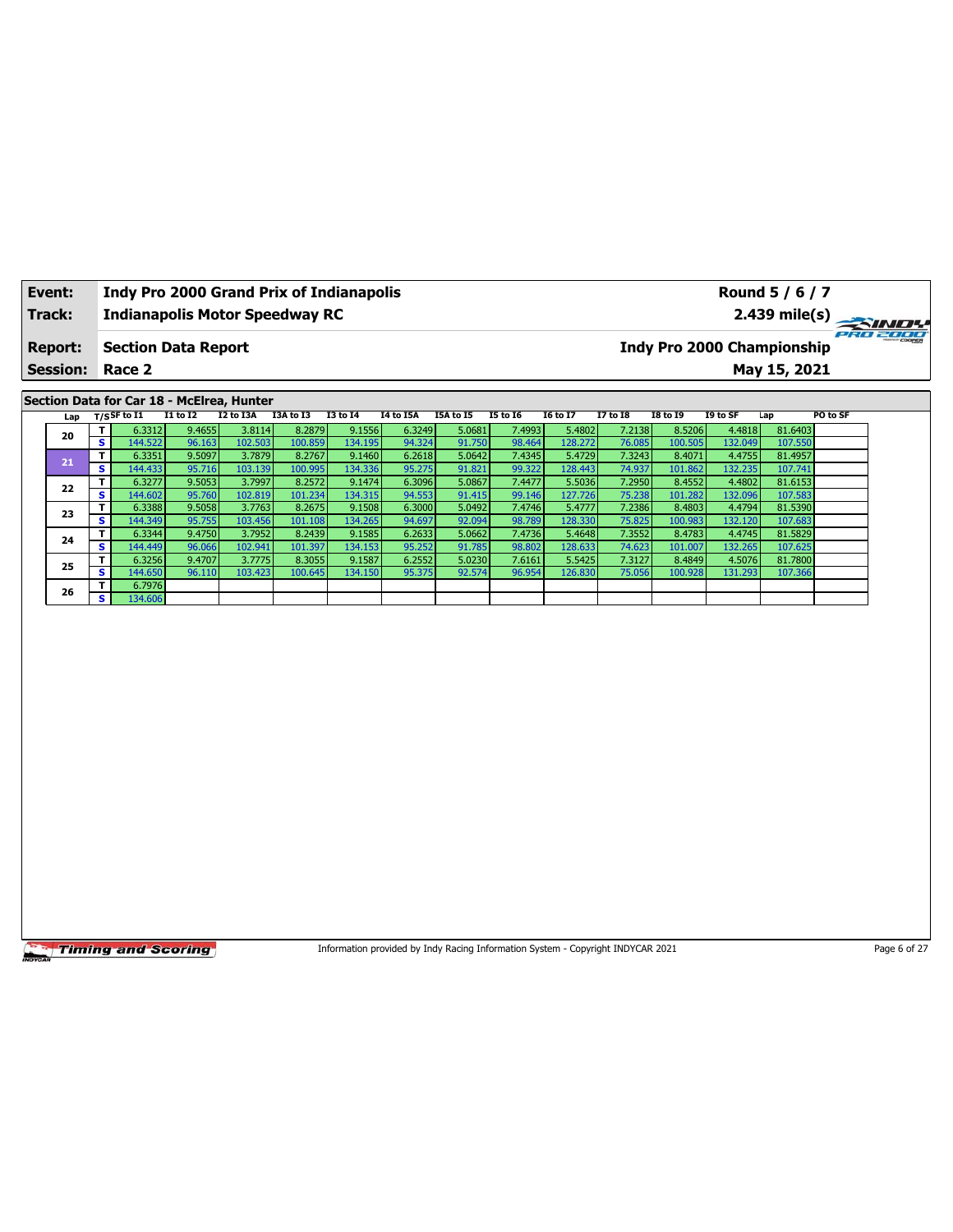| Event:<br>Track: |                 |    |                            |                  |                                           | Indy Pro 2000 Grand Prix of Indianapolis<br><b>Indianapolis Motor Speedway RC</b> |                   |                  |                  |                  |                   |                  |                   |                   | Round 5 / 6 / 7                   | 2.439 mile(s)<br>$\frac{1}{\sqrt{2}}$ |
|------------------|-----------------|----|----------------------------|------------------|-------------------------------------------|-----------------------------------------------------------------------------------|-------------------|------------------|------------------|------------------|-------------------|------------------|-------------------|-------------------|-----------------------------------|---------------------------------------|
|                  | <b>Report:</b>  |    | <b>Section Data Report</b> |                  |                                           |                                                                                   |                   |                  |                  |                  |                   |                  |                   |                   | <b>Indy Pro 2000 Championship</b> |                                       |
|                  | <b>Session:</b> |    | Race 2                     |                  |                                           |                                                                                   |                   |                  |                  |                  |                   |                  |                   |                   | May 15, 2021                      |                                       |
|                  |                 |    |                            |                  | Section Data for Car 18 - McElrea, Hunter |                                                                                   |                   |                  |                  |                  |                   |                  |                   |                   |                                   |                                       |
|                  | Lap             |    | $T/S$ SF to $I1$           | <b>I1 to I2</b>  | I2 to I3A                                 | I3A to I3                                                                         | <b>I3 to 14</b>   | <b>14 to 15A</b> | I5A to I5        | <b>I5 to 16</b>  | <b>16 to 17</b>   | 17 to 18         | <b>I8 to 19</b>   | I9 to SF          | Lap                               | PO to SF                              |
|                  | 20              | T. | 6.3312                     | 9.4655           | 3.8114                                    | 8.2879                                                                            | 9.1556            | 6.3249           | 5.0681           | 7.4993           | 5.4802            | 7.2138           | 8.5206            | 4.4818            | 81.6403                           |                                       |
|                  |                 | s. | 144.522                    | 96.163           | 102.503                                   | 100.859                                                                           | 134.195           | 94.324           | 91.750           | 98.464           | 128.272           | 76.085           | 100.505           | 132.049           | 107.550                           |                                       |
|                  | 21              | s. | 6.3351<br>144.433          | 9.5097<br>95.716 | 3.7879<br>103.139                         | 8.2767<br>100.995                                                                 | 9.1460<br>134.336 | 6.2618<br>95.275 | 5.0642<br>91.821 | 7.4345<br>99.322 | 5.4729<br>128.443 | 7.3243<br>74.937 | 8.4071<br>101.862 | 4.4755<br>132.235 | 81.4957<br>107.741                |                                       |
|                  |                 |    |                            |                  | 3.7997                                    |                                                                                   |                   |                  | 5.0867           |                  |                   |                  |                   |                   |                                   |                                       |
|                  | 22              | s. | 6.3277<br>144.602          | 9.5053<br>95.760 | 102.819                                   | 8.2572<br>101.234                                                                 | 9.1474<br>134.315 | 6.3096<br>94.553 | 91.415           | 7.4477<br>99.146 | 5.5036<br>127.726 | 7.2950<br>75.238 | 8.4552<br>101.282 | 4.4802<br>132.096 | 81.6153<br>107.583                |                                       |
|                  |                 |    | 6.3388                     | 9.5058           | 3.7763                                    | 8.2675                                                                            | 9.1508            | 6.3000           | 5.0492           | 7.4746           | 5.4777            | 7.2386           | 8.4803            | 4.4794            | 81.5390                           |                                       |
|                  | 23              | s  | 144.349                    | 95.755           | 103.456                                   | 101.108                                                                           | 134.265           | 94.697           | 92.094           | 98.789           | 128.330           | 75.825           | 100.983           | 132.120           | 107.683                           |                                       |
|                  |                 |    | 6.3344                     | 9.4750           | 3.7952                                    | 8.2439                                                                            | 9.1585            | 6.2633           | 5.0662           | 7.4736           | 5.4648            | 7.3552           | 8.4783            | 4.4745            | 81.5829                           |                                       |
|                  | 24              | s. | 144.449                    | 96.066           | 102.941                                   | 101.397                                                                           | 134.153           | 95.252           | 91.785           | 98.802           | 128.633           | 74.623           | 101.007           | 132.265           | 107.625                           |                                       |
|                  |                 |    | 6.3256                     | 9.4707           | 3.7775                                    | 8.3055                                                                            | 9.1587            | 6.2552           | 5.0230           | 7.6161           | 5.5425            | 7.3127           | 8.4849            | 4.5076            | 81.7800                           |                                       |
|                  | 25              | s. | 144.650                    | 96.110           | 103.423                                   | 100.645                                                                           | 134.150           | 95.375           | 92.574           | 96.954           | 126.830           | 75.056           | 100.928           | 131.293           | 107.366                           |                                       |
|                  |                 |    | 6.7976                     |                  |                                           |                                                                                   |                   |                  |                  |                  |                   |                  |                   |                   |                                   |                                       |
|                  | 26              | s. | 134.606                    |                  |                                           |                                                                                   |                   |                  |                  |                  |                   |                  |                   |                   |                                   |                                       |

Information provided by Indy Racing Information System - Copyright INDYCAR 2021 Page 6 of 27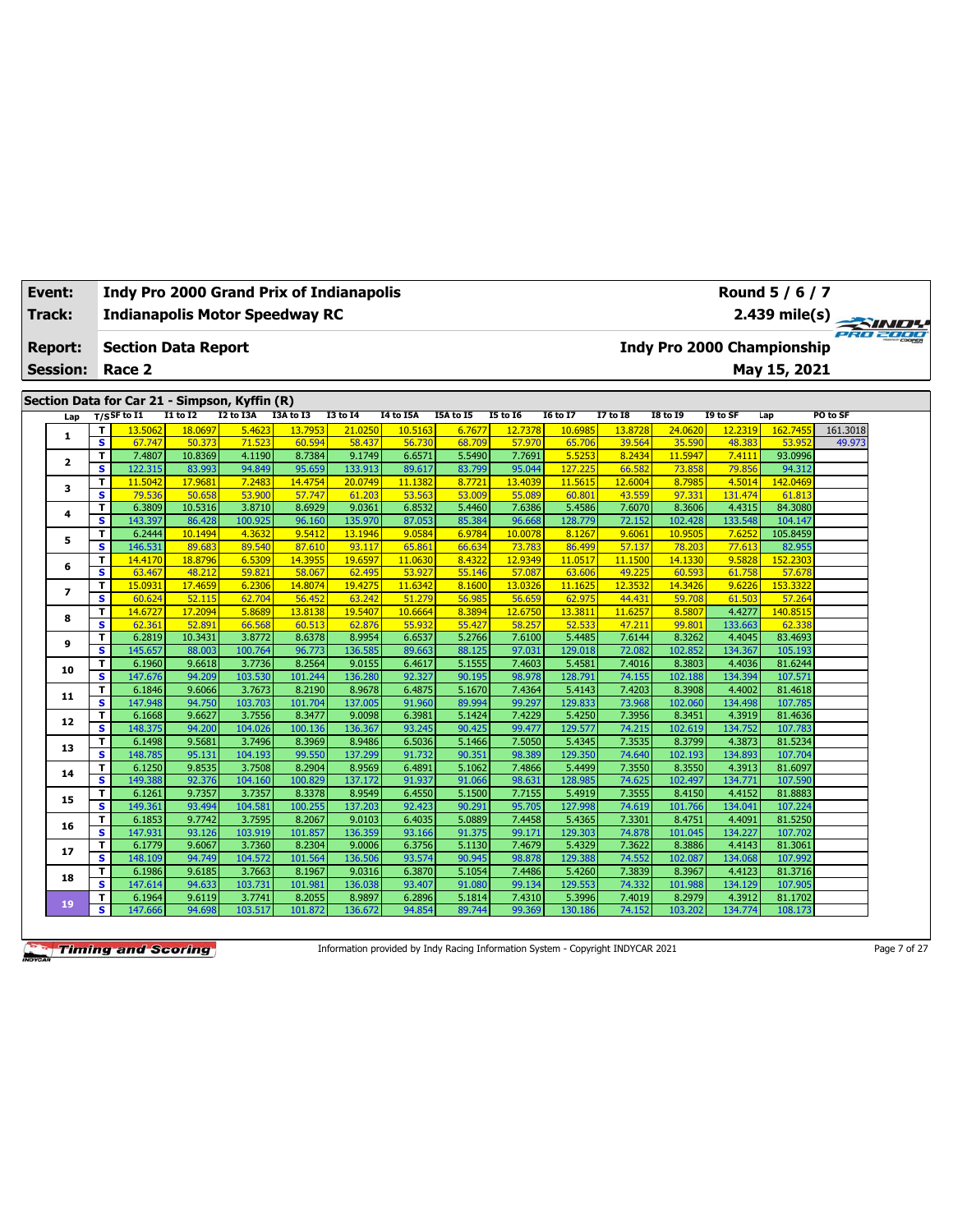| Track:                  |                               | <b>Indianapolis Motor Speedway RC</b>         |                   |                   |                   |                   |                  |                  |                  |                   |                  |                   |                   | $2.439$ mile(s) $\overline{\phantom{a}}$ |          |  |
|-------------------------|-------------------------------|-----------------------------------------------|-------------------|-------------------|-------------------|-------------------|------------------|------------------|------------------|-------------------|------------------|-------------------|-------------------|------------------------------------------|----------|--|
| <b>Report:</b>          |                               | <b>Section Data Report</b>                    |                   |                   |                   |                   |                  |                  |                  |                   |                  |                   |                   | <b>Indy Pro 2000 Championship</b>        |          |  |
| <b>Session:</b>         |                               | Race 2                                        |                   |                   |                   |                   |                  |                  |                  |                   |                  |                   |                   | May 15, 2021                             |          |  |
|                         |                               | Section Data for Car 21 - Simpson, Kyffin (R) |                   |                   |                   |                   |                  |                  |                  |                   |                  |                   |                   |                                          |          |  |
| Lap                     |                               | $T/S$ SF to $I1$                              | <b>I1 to I2</b>   | <b>I2 to I3A</b>  | I3A to I3         | <b>I3 to I4</b>   | I4 to I5A        | I5A to I5        | <b>I5 to 16</b>  | <b>I6 to I7</b>   | <b>I7 to I8</b>  | <b>I8 to 19</b>   | I9 to SF          | Lap                                      | PO to SF |  |
|                         | T.                            | 13.5062                                       | 18.0697           | 5.4623            | 13.7953           | 21.0250           | 10.5163          | 6.7677           | 12.7378          | 10.6985           | 13,8728          | 24.0620           | 12.2319           | 162.7455                                 | 161.3018 |  |
| $\mathbf{1}$            | s                             | 67.747                                        | 50.373            | 71.523            | 60.594            | 58.437            | 56.730           | 68.709           | 57.970           | 65.706            | 39.564           | 35.590            | 48.383            | 53.952                                   | 49.973   |  |
| $\overline{\mathbf{2}}$ | T.                            | 7.4807                                        | 10.8369           | 4.1190            | 8.7384            | 9.1749            | 6.6571           | 5.5490           | 7.7691           | 5.5253            | 8.2434           | 11.5947           | 7.4111            | 93.0996                                  |          |  |
|                         | s                             | 122.315                                       | 83.993            | 94.849            | 95.659            | 133.913           | 89.617           | 83.799           | 95.044           | 127.225           | 66.582           | 73.858            | 79.856            | 94.312                                   |          |  |
| 3                       | т                             | 11.5042                                       | 17.9681           | 7.2483            | 14.4754           | 20.0749           | 11.1382          | 8.7721           | 13,4039          | 11.5615           | 12.6004          | 8.7985            | 4.5014            | 142.0469                                 |          |  |
|                         | s<br>T.                       | 79.536<br>6.3809                              | 50.658<br>10.5316 | 53,900<br>3.8710  | 57.747<br>8.6929  | 61.203<br>9.0361  | 53.563<br>6.8532 | 53,009<br>5.4460 | 55.089<br>7.6386 | 60.801<br>5.4586  | 43.559<br>7.6070 | 97.331<br>8.3606  | 131.474<br>4.4315 | 61.813<br>84.3080                        |          |  |
| 4                       | s.                            | 143.397                                       | 86.428            | 100.925           | 96.160            | 135.970           | 87.053           | 85.384           | 96.668           | 128.779           | 72.152           | 102.428           | 133.548           | 104.147                                  |          |  |
|                         | T.                            | 6.2444                                        | 10.1494           | 4.3632            | 9.5412            | 13.1946           | 9.0584           | 6.9784           | 10.0078          | 8.1267            | 9.6061           | 10.9505           | 7.6252            | 105.8459                                 |          |  |
| 5                       | s.                            | 146.531                                       | 89.683            | 89.540            | 87.610            | 93.117            | 65.861           | 66.634           | 73.783           | 86.499            | 57.137           | 78.203            | 77.613            | 82.955                                   |          |  |
|                         | T                             | 14.4170                                       | 18.8796           | 6.5309            | 14.3955           | 19.6597           | 11.0630          | 8.4322           | 12.9349          | 11.0517           | 11.1500          | 14.1330           | 9.5828            | 152.2303                                 |          |  |
| 6                       | s                             | 63.467                                        | 48.212            | 59.821            | 58.067            | 62.495            | 53.927           | 55.146           | 57.087           | 63.606            | 49.225           | 60.593            | 61.758            | 57.678                                   |          |  |
| $\overline{ }$          | T                             | 15.0931                                       | 17.4659           | 6.2306            | 14,8074           | 19.4275           | 11.6342          | 8.1600           | 13.0326          | 11.1625           | 12.3532          | 14.3426           | 9.6226            | 153.3322                                 |          |  |
|                         | s                             | 60.624                                        | 52.115            | 62.704            | 56.452            | 63.242            | 51.279           | 56.985           | 56.659           | 62.975            | 44.431           | 59.708            | 61.503            | 57.264                                   |          |  |
| 8                       | T.                            | 14,6727                                       | 17.2094           | 5.8689            | 13.8138           | 19.5407           | 10.6664          | 8.3894           | 12.6750          | 13.3811           | 11.6257          | 8.5807            | 4.4277            | 140.8515                                 |          |  |
|                         | s                             | 62.361                                        | 52.891            | 66.568            | 60.513            | 62.876            | 55.932           | 55.427           | 58.257           | 52.533            | 47.211           | 99.80             | 133.663           | 62.338                                   |          |  |
| 9                       | T.                            | 6.2819                                        | 10.3431           | 3.8772            | 8.6378            | 8.9954            | 6.6537           | 5.2766           | 7.6100           | 5.4485            | 7.6144           | 8.3262            | 4.4045            | 83.4693                                  |          |  |
|                         | $\overline{\mathbf{s}}$<br>T. | 145.657<br>6.1960                             | 88.003<br>9.6618  | 100.764<br>3.7736 | 96.773<br>8.2564  | 136.585<br>9.0155 | 89.663<br>6.4617 | 88.125<br>5.1555 | 97.031<br>7.4603 | 129.018<br>5.4581 | 72.082<br>7.4016 | 102.852<br>8.3803 | 134.367<br>4.4036 | 105.193<br>81.6244                       |          |  |
| 10                      | s                             | 147.676                                       | 94.209            | 103.530           | 101.244           | 136.280           | 92.327           | 90.195           | 98.978           | 128.791           | 74.155           | 102.188           | 134.394           | 107.571                                  |          |  |
|                         | T                             | 6.1846                                        | 9.6066            | 3.7673            | 8.2190            | 8.9678            | 6.4875           | 5.1670           | 7.4364           | 5.4143            | 7.4203           | 8.3908            | 4.4002            | 81.4618                                  |          |  |
| 11                      | s.                            | 147.948                                       | 94.750            | 103.703           | 101.704           | 137.005           | 91.960           | 89.994           | 99.297           | 129.833           | 73.968           | 102.060           | 134.498           | 107.785                                  |          |  |
|                         | T.                            | 6.1668                                        | 9.6627            | 3.7556            | 8.3477            | 9.0098            | 6.3981           | 5.1424           | 7.4229           | 5.4250            | 7.3956           | 8.3451            | 4.3919            | 81.4636                                  |          |  |
| 12                      | s                             | 148.375                                       | 94.200            | 104.026           | 100.136           | 136.367           | 93.245           | 90.425           | 99.477           | 129.577           | 74.215           | 102.619           | 134.752           | 107.783                                  |          |  |
| 13                      | T                             | 6.1498                                        | 9.5681            | 3.7496            | 8.3969            | 8.9486            | 6.5036           | 5.1466           | 7.5050           | 5.4345            | 7.3535           | 8.3799            | 4.3873            | 81.5234                                  |          |  |
|                         | s                             | 148.785                                       | 95.131            | 104.193           | 99.550            | 137.299           | 91.732           | 90.351           | 98.389           | 129.350           | 74.640           | 102.193           | 134.893           | 107.704                                  |          |  |
| 14                      | T                             | 6.1250                                        | 9.8535            | 3.7508            | 8.2904            | 8.9569            | 6.4891           | 5.1062           | 7.4866           | 5.4499            | 7.3550           | 8.3550            | 4.3913            | 81.6097                                  |          |  |
|                         | s.                            | 149.388                                       | 92.376            | 104.160           | 100.829           | 137.172           | 91.937           | 91.066           | 98.631           | 128.985           | 74.625           | 102.497           | 134.771           | 107.590                                  |          |  |
| 15                      | T.<br>s                       | 6.1261<br>149.361                             | 9.7357<br>93.494  | 3.7357<br>104.581 | 8.3378<br>100.255 | 8.9549<br>137.203 | 6.4550<br>92.423 | 5.1500<br>90.291 | 7.7155<br>95.705 | 5.4919<br>127.998 | 7.3555<br>74.619 | 8.4150<br>101.766 | 4.4152<br>134.041 | 81.8883<br>107.224                       |          |  |
|                         | т                             | 6.1853                                        | 9.7742            | 3.7595            | 8.2067            | 9.0103            | 6.4035           | 5.0889           | 7.4458           | 5.4365            | 7.3301           | 8.4751            | 4.4091            | 81.5250                                  |          |  |
| 16                      | s                             | 147.931                                       | 93.126            | 103.919           | 101.857           | 136.359           | 93.166           | 91.375           | 99.171           | 129.303           | 74.878           | 101.045           | 134.227           | 107.702                                  |          |  |
|                         | T                             | 6.1779                                        | 9.6067            | 3.7360            | 8.2304            | 9.0006            | 6.3756           | 5.1130           | 7.4679           | 5.4329            | 7.3622           | 8.3886            | 4.4143            | 81.3061                                  |          |  |
| 17                      | s.                            | 148.109                                       | 94.749            | 104.572           | 101.564           | 136.506           | 93.574           | 90.945           | 98.878           | 129.388           | 74.552           | 102.087           | 134.068           | 107.992                                  |          |  |
|                         | T                             | 6.1986                                        | 9.6185            | 3.7663            | 8.1967            | 9.0316            | 6.3870           | 5.1054           | 7.4486           | 5.4260            | 7.3839           | 8.3967            | 4.4123            | 81.3716                                  |          |  |
| 18                      | s.                            | 147.614                                       | 94.633            | 103.731           | 101.981           | 136.038           | 93.407           | 91.080           | 99.134           | 129.553           | 74.332           | 101.988           | 134.129           | 107.905                                  |          |  |
| 19                      | T                             | 6.1964                                        | 9.6119            | 3.7741            | 8.2055            | 8.9897            | 6.2896           | 5.1814           | 7.4310           | 5.3996            | 7.4019           | 8.2979            | 4.3912            | 81.1702                                  |          |  |
|                         | s                             | 147.666                                       | 94.698            | 103.517           | 101.872           | 136.672           | 94.854           | 89.744           | 99.369           | 130.186           | 74.152           | 103.202           | 134.774           | 108.173                                  |          |  |

**Event: Indy Pro 2000 Grand Prix of Indianapolis**

Information provided by Indy Racing Information System - Copyright INDYCAR 2021 Page 7 of 27

**Round 5 / 6 / 7**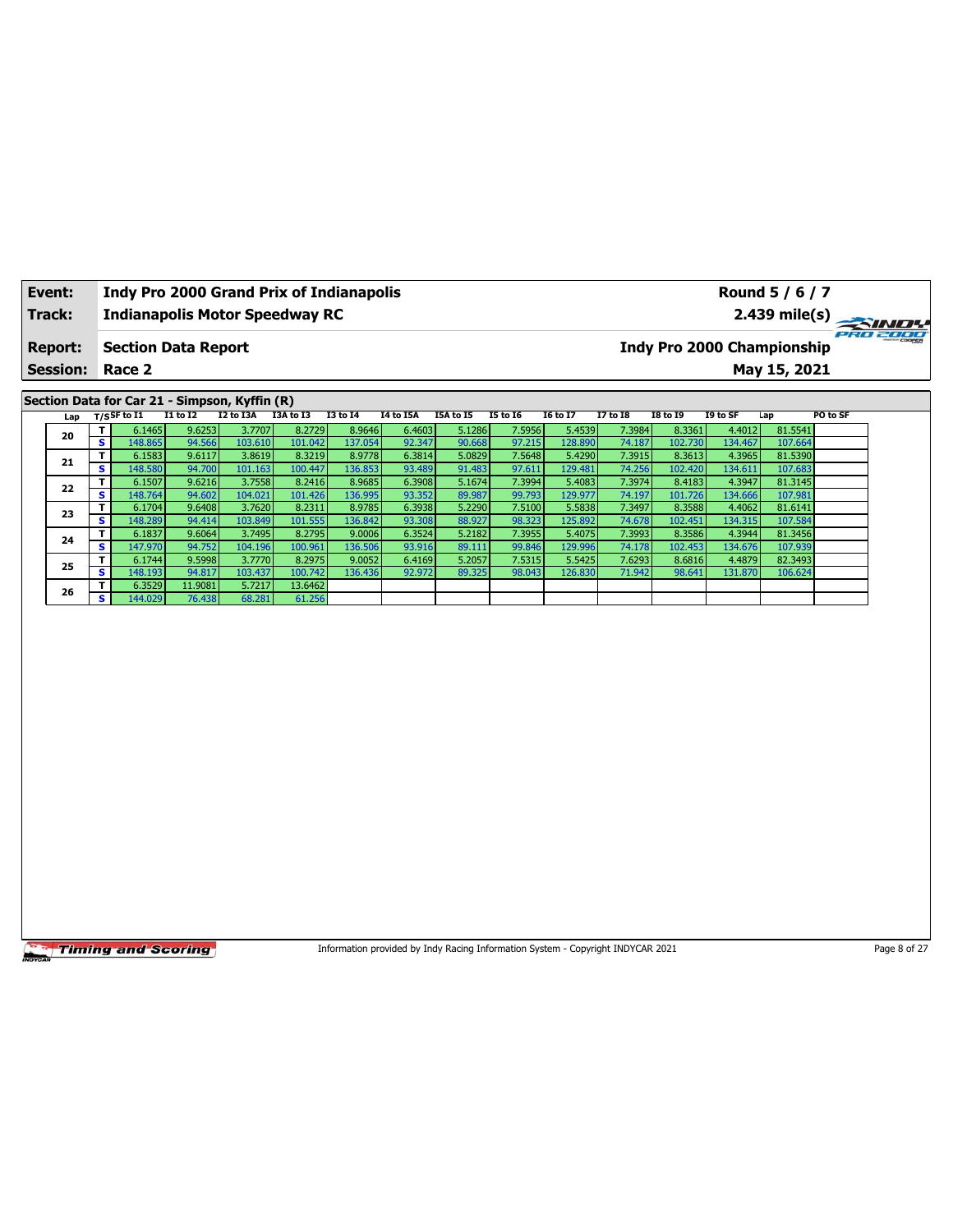| Event:          |                         |                                               |                   |                   | <b>Indy Pro 2000 Grand Prix of Indianapolis</b> |                   |                  |                                                                                 |                  |                   |                  |                            |                   | Round 5 / 6 / 7    |          |              |
|-----------------|-------------------------|-----------------------------------------------|-------------------|-------------------|-------------------------------------------------|-------------------|------------------|---------------------------------------------------------------------------------|------------------|-------------------|------------------|----------------------------|-------------------|--------------------|----------|--------------|
| Track:          |                         |                                               |                   |                   | <b>Indianapolis Motor Speedway RC</b>           |                   |                  |                                                                                 |                  |                   |                  |                            |                   | $2.439$ mile(s)    |          |              |
| <b>Report:</b>  |                         | <b>Section Data Report</b>                    |                   |                   |                                                 |                   |                  |                                                                                 |                  |                   |                  | Indy Pro 2000 Championship |                   |                    |          | 2000         |
| <b>Session:</b> |                         | Race 2                                        |                   |                   |                                                 |                   |                  |                                                                                 |                  |                   |                  |                            |                   | May 15, 2021       |          |              |
|                 |                         |                                               |                   |                   |                                                 |                   |                  |                                                                                 |                  |                   |                  |                            |                   |                    |          |              |
|                 |                         | Section Data for Car 21 - Simpson, Kyffin (R) |                   |                   |                                                 |                   |                  |                                                                                 |                  |                   |                  |                            |                   |                    |          |              |
| Lap             |                         | $T/S$ SF to I1                                | $I1$ to $I2$      | I2 to I3A         | I3A to I3                                       | <b>I3 to 14</b>   | I4 to I5A        | I5A to I5                                                                       | <b>15 to 16</b>  | <b>I6 to I7</b>   | <b>I7 to 18</b>  | <b>I8 to 19</b>            | I9 to SF          | Lap                | PO to SF |              |
| 20              | T<br>s                  | 6.1465<br>148.865                             | 9.6253<br>94.566  | 3.7707<br>103.610 | 8.2729<br>101.042                               | 8.9646<br>137.054 | 6.4603<br>92.347 | 5.1286<br>90.668                                                                | 7.5956<br>97.215 | 5.4539<br>128.890 | 7.3984<br>74.187 | 8.3361<br>102.730          | 4.4012<br>134.467 | 81.5541<br>107.664 |          |              |
|                 | T                       | 6.1583                                        | 9.6117            | 3.8619            | 8.3219                                          | 8.9778            | 6.3814           | 5.0829                                                                          | 7.5648           | 5.4290            | 7.3915           | 8.3613                     | 4.3965            | 81.5390            |          |              |
| 21              | $\overline{\mathbf{s}}$ | 148.580                                       | 94.700            | 101.163           | 100.447                                         | 136.853           | 93.489           | 91.483                                                                          | 97.611           | 129.481           | 74.256           | 102.420                    | 134.611           | 107.683            |          |              |
| 22              | T                       | 6.1507                                        | 9.6216            | 3.7558            | 8.2416                                          | 8.9685            | 6.3908           | 5.1674                                                                          | 7.3994           | 5.4083            | 7.3974           | 8.4183                     | 4.3947            | 81.3145            |          |              |
|                 | $\overline{\mathbf{s}}$ | 148.764                                       | 94.602            | 104.021           | 101.426                                         | 136.995           | 93.352           | 89.987                                                                          | 99.793           | 129.977           | 74.197           | 101.726                    | 134.666           | 107.981            |          |              |
| 23              | T<br>s                  | 6.1704<br>148.289                             | 9.6408<br>94.414  | 3.7620<br>103.849 | 8.2311<br>101.555                               | 8.9785<br>136.842 | 6.3938<br>93.308 | 5.2290<br>88.927                                                                | 7.5100<br>98.323 | 5.5838<br>125.892 | 7.3497<br>74.678 | 8.3588<br>102.451          | 4.4062<br>134.315 | 81.6141<br>107.584 |          |              |
|                 | T                       | 6.1837                                        | 9.6064            | 3.7495            | 8.2795                                          | 9.0006            | 6.3524           | 5.2182                                                                          | 7.3955           | 5.4075            | 7.3993           | 8.3586                     | 4.3944            | 81.3456            |          |              |
| 24              | s                       | 147.970                                       | 94.752            | 104.196           | 100.961                                         | 136.506           | 93.916           | 89.111                                                                          | 99.846           | 129.996           | 74.178           | 102.453                    | 134.676           | 107.939            |          |              |
| 25              | T                       | 6.1744                                        | 9.5998            | 3.7770            | 8.2975                                          | 9.0052            | 6.4169           | 5.2057                                                                          | 7.5315           | 5.5425            | 7.6293           | 8.6816                     | 4.4879            | 82.3493            |          |              |
|                 | s                       | 148.193                                       | 94.817            | 103.437           | 100.742                                         | 136.436           | 92.972           | 89.325                                                                          | 98.043           | 126.830           | 71.942           | 98.641                     | 131.870           | 106.624            |          |              |
| 26              | T<br>s.                 | 6.3529<br>144.029                             | 11.9081<br>76.438 | 5.7217<br>68.281  | 13.6462<br>61.256                               |                   |                  |                                                                                 |                  |                   |                  |                            |                   |                    |          |              |
|                 |                         |                                               |                   |                   |                                                 |                   |                  |                                                                                 |                  |                   |                  |                            |                   |                    |          |              |
|                 |                         | <b>Timing and Scoring</b>                     |                   |                   |                                                 |                   |                  | Information provided by Indy Racing Information System - Copyright INDYCAR 2021 |                  |                   |                  |                            |                   |                    |          | Page 8 of 27 |

ヿ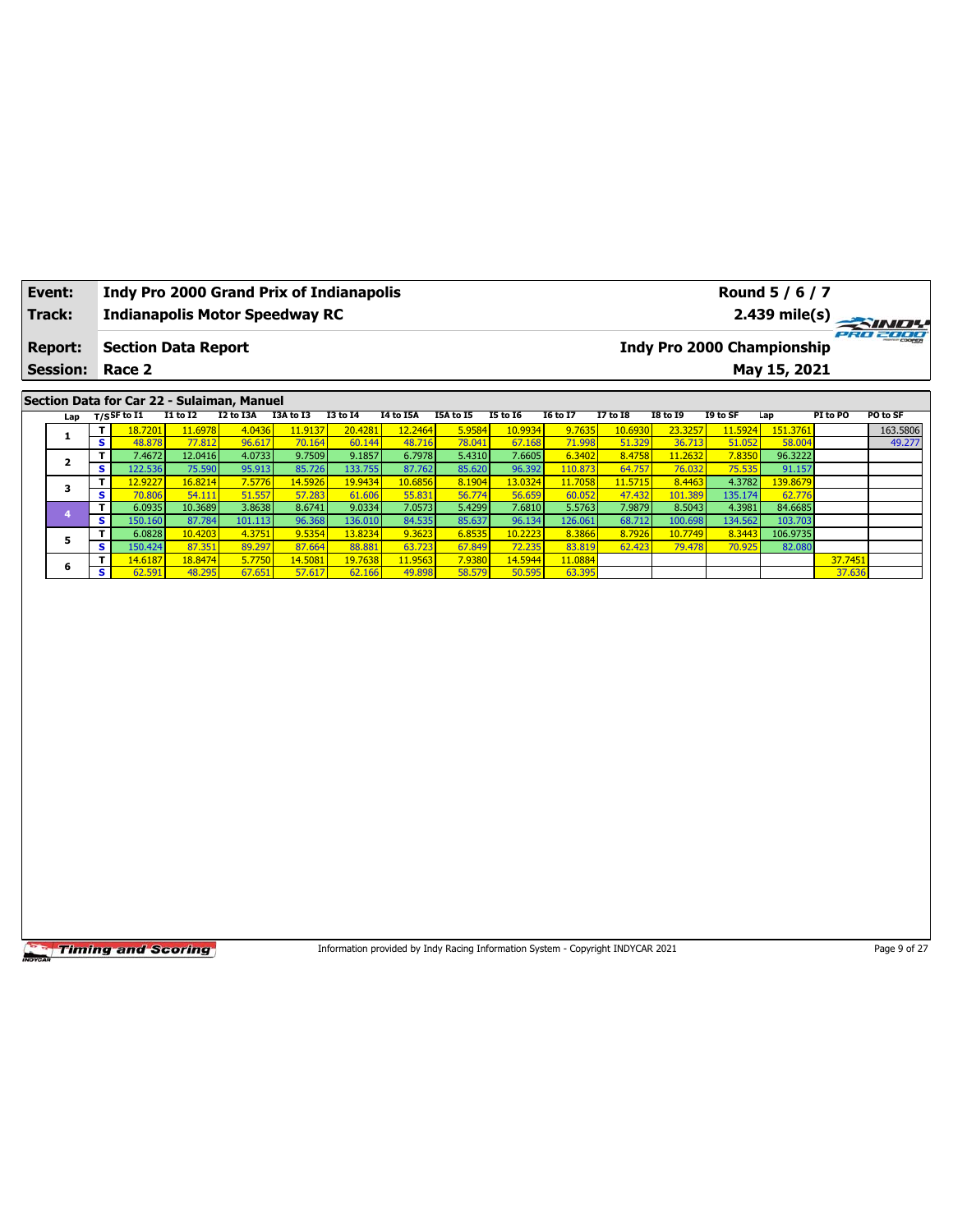| Event:           |                              | <b>Indy Pro 2000 Grand Prix of Indianapolis</b> |                   |                  |                   |                   |                                                                                 |                  |                   |                   |                   |                                   |                   | Round 5 / 6 / 7    |                   |                    |
|------------------|------------------------------|-------------------------------------------------|-------------------|------------------|-------------------|-------------------|---------------------------------------------------------------------------------|------------------|-------------------|-------------------|-------------------|-----------------------------------|-------------------|--------------------|-------------------|--------------------|
| Track:           |                              | <b>Indianapolis Motor Speedway RC</b>           |                   |                  |                   |                   |                                                                                 |                  |                   |                   |                   |                                   |                   | 2.439 mile(s)      |                   |                    |
| <b>Report:</b>   |                              | <b>Section Data Report</b>                      |                   |                  |                   |                   |                                                                                 |                  |                   |                   |                   | <b>Indy Pro 2000 Championship</b> |                   |                    |                   | PRO 2000           |
| <b>Session:</b>  |                              | Race 2                                          |                   |                  |                   |                   |                                                                                 |                  |                   |                   |                   |                                   |                   | May 15, 2021       |                   |                    |
|                  |                              |                                                 |                   |                  |                   |                   |                                                                                 |                  |                   |                   |                   |                                   |                   |                    |                   |                    |
|                  |                              | Section Data for Car 22 - Sulaiman, Manuel      |                   |                  |                   |                   |                                                                                 |                  |                   |                   |                   |                                   |                   |                    |                   |                    |
| Lap              |                              | T/SSF to 11                                     | <b>I1 to I2</b>   | I2 to I3A        | I3A to I3         | <b>I3 to 14</b>   | I4 to I5A                                                                       | I5A to I5        | <b>I5 to 16</b>   | <b>16 to 17</b>   | <b>I7 to I8</b>   | <b>I8 to 19</b>                   | I9 to SF          | Lap                | PI to PO          | PO to SF           |
| 1                | т<br>s                       | 18.7201<br>48.878                               | 11.6978<br>77.812 | 4.0436<br>96.617 | 11.9137<br>70.164 | 20.4281<br>60.144 | 12.2464<br>48.716                                                               | 5.958<br>78.041  | 10.9934<br>67.168 | 9.7635<br>71.998  | 10.6930<br>51.329 | 23.3257<br>36.713                 | 11.5924<br>51.052 | 151.3761<br>58.004 |                   | 163.5806<br>49.277 |
|                  | т                            | 7.4672                                          | 12.0416           | 4.0733           | 9.7509            | 9.1857            | 6.7978                                                                          | 5.4310           | 7.6605            | 6.3402            | 8.4758            | 11.2632                           | 7.8350            | 96.3222            |                   |                    |
| $\mathbf{2}$     | $\overline{\mathbf{s}}$      | 122.536                                         | 75.590            | 95.913           | 85.726            | 133.755           | 87.762                                                                          | 85.620           | 96.392            | 110.873           | 64.757            | 76.032                            | 75.535            | 91.157             |                   |                    |
| 3                | T                            | 12.9227                                         | 16,8214           | 7.5776           | 14.5926           | 19.9434           | 10.6856                                                                         | 8.1904           | 13.0324           | 11.7058           | 11.5715           | 8.4463                            | 4.3782            | 139.8679           |                   |                    |
|                  | $\overline{\mathbf{s}}$<br>T | 70.806<br>6.0935                                | 54.11<br>10.3689  | 51.557<br>3.8638 | 57.283<br>8.6741  | 61.606<br>9.0334  | 55.831<br>7.0573                                                                | 56.774<br>5.4299 | 56.659<br>7.6810  | 60.052<br>5.5763  | 47.432<br>7.9879  | 101.389<br>8.5043                 | 135.174<br>4.3981 | 62.776<br>84.6685  |                   |                    |
| $\boldsymbol{4}$ | ${\bf s}$                    | 150.160                                         | 87.784            | 101.113          | 96.368            | 136.010           | 84.535                                                                          | 85.637           | 96.134            | 126.061           | 68.712            | 100.698                           | 134.562           | 103.703            |                   |                    |
|                  | T                            | 6.0828                                          | 10.4203           | 4.3751           | 9.5354            | 13.8234           | 9.3623                                                                          | 6.8535           | 10.2223           | 8.3866            | 8.7926            | 10.7749                           | 8.3443            | 106.9735           |                   |                    |
| 5                | s                            | 150.424                                         | 87.351            | 89.297           | 87.664            | 88.881            | 63.723                                                                          | 67.849           | 72.235            | 83.819            | 62.423            | 79.478                            | 70.925            | 82.080             |                   |                    |
| 6                | Τ<br>S                       | 14.6187<br>62.591                               | 18.8474<br>48.295 | 5.7750           | 14.5081<br>57.617 | 19.7638<br>62.166 | 11.9563<br>49.898                                                               | 7.9380<br>58.579 | 14.5944<br>50.595 | 11.0884<br>63.395 |                   |                                   |                   |                    | 37.7451<br>37.636 |                    |
|                  |                              |                                                 |                   | 67.651           |                   |                   |                                                                                 |                  |                   |                   |                   |                                   |                   |                    |                   |                    |
|                  |                              |                                                 |                   |                  |                   |                   |                                                                                 |                  |                   |                   |                   |                                   |                   |                    |                   |                    |
|                  |                              | <b>Timing and Scoring</b>                       |                   |                  |                   |                   | Information provided by Indy Racing Information System - Copyright INDYCAR 2021 |                  |                   |                   |                   |                                   |                   |                    |                   | Page 9 of 27       |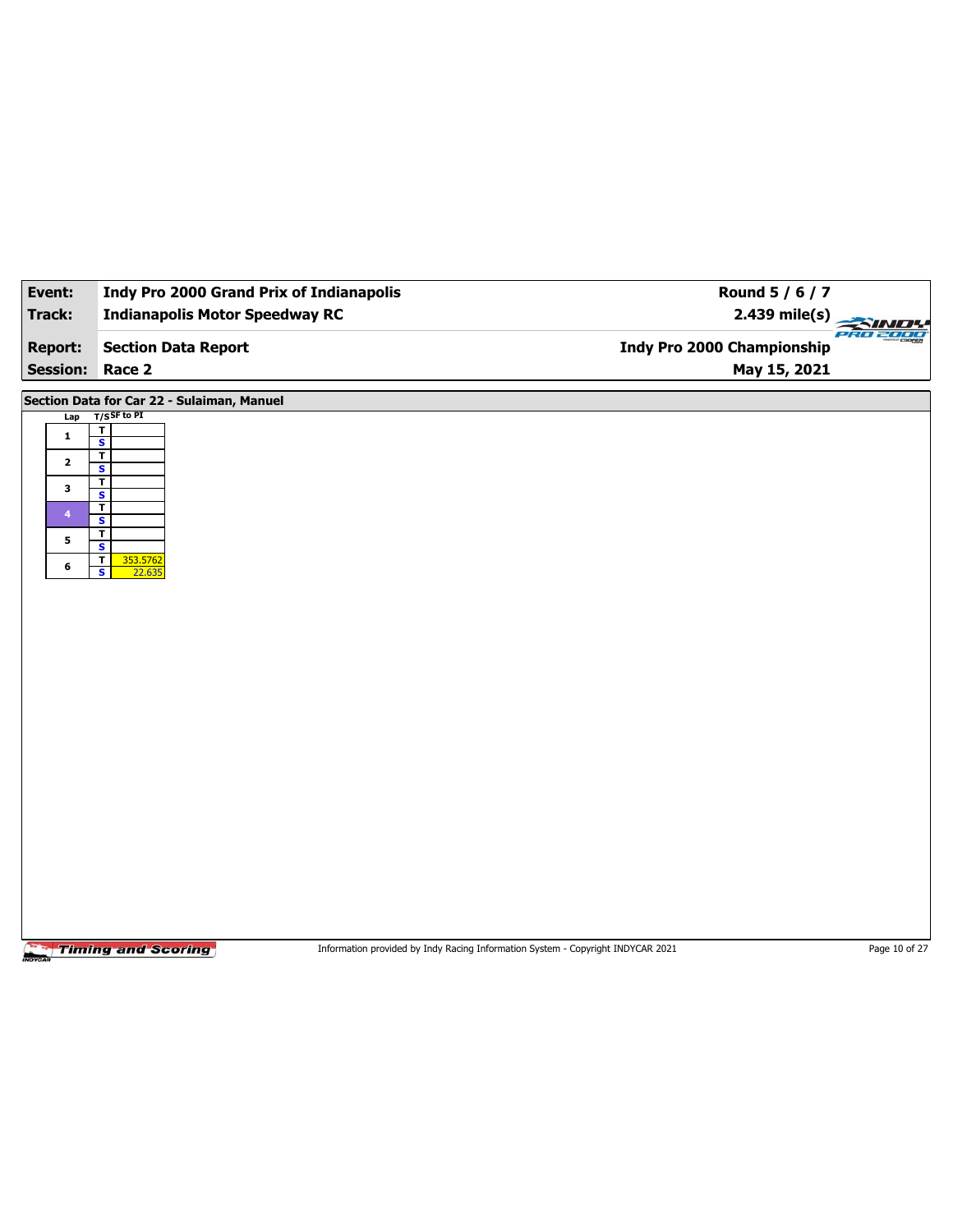| Event:                  | <b>Indy Pro 2000 Grand Prix of Indianapolis</b>               | Round 5 / 6 / 7                        |
|-------------------------|---------------------------------------------------------------|----------------------------------------|
| <b>Track:</b>           | <b>Indianapolis Motor Speedway RC</b>                         | $2.439$ mile(s)<br>SIN                 |
| <b>Report:</b>          | <b>Section Data Report</b>                                    | PRO 2000<br>Indy Pro 2000 Championship |
| <b>Session: Race 2</b>  |                                                               | May 15, 2021                           |
|                         | Section Data for Car 22 - Sulaiman, Manuel                    |                                        |
| Lap                     | $T/S$ SF to PI                                                |                                        |
| $\mathbf{1}$            | $rac{1}{s}$<br>$\overline{\mathsf{r}}$                        |                                        |
| $\mathbf{2}$            | $\mathbf{s}$<br>$\overline{\mathbf{r}}$                       |                                        |
| 3                       | $\overline{\mathbf{s}}$<br>$\overline{\mathbf{r}}$            |                                        |
| $\overline{\mathbf{4}}$ | $\mathbf{s}$                                                  |                                        |
| 5                       | $\overline{1}$<br>$\overline{\mathbf{s}}$                     |                                        |
| 6                       | $\overline{\mathsf{r}}$<br>353.5762<br>$\mathbf{s}$<br>22.635 |                                        |
|                         |                                                               |                                        |
|                         |                                                               |                                        |
|                         |                                                               |                                        |
|                         |                                                               |                                        |
|                         |                                                               |                                        |
|                         |                                                               |                                        |
|                         |                                                               |                                        |
|                         |                                                               |                                        |
|                         |                                                               |                                        |
|                         |                                                               |                                        |
|                         |                                                               |                                        |
|                         |                                                               |                                        |
|                         |                                                               |                                        |
|                         |                                                               |                                        |

Information provided by Indy Racing Information System - Copyright INDYCAR 2021 Page 10 of 27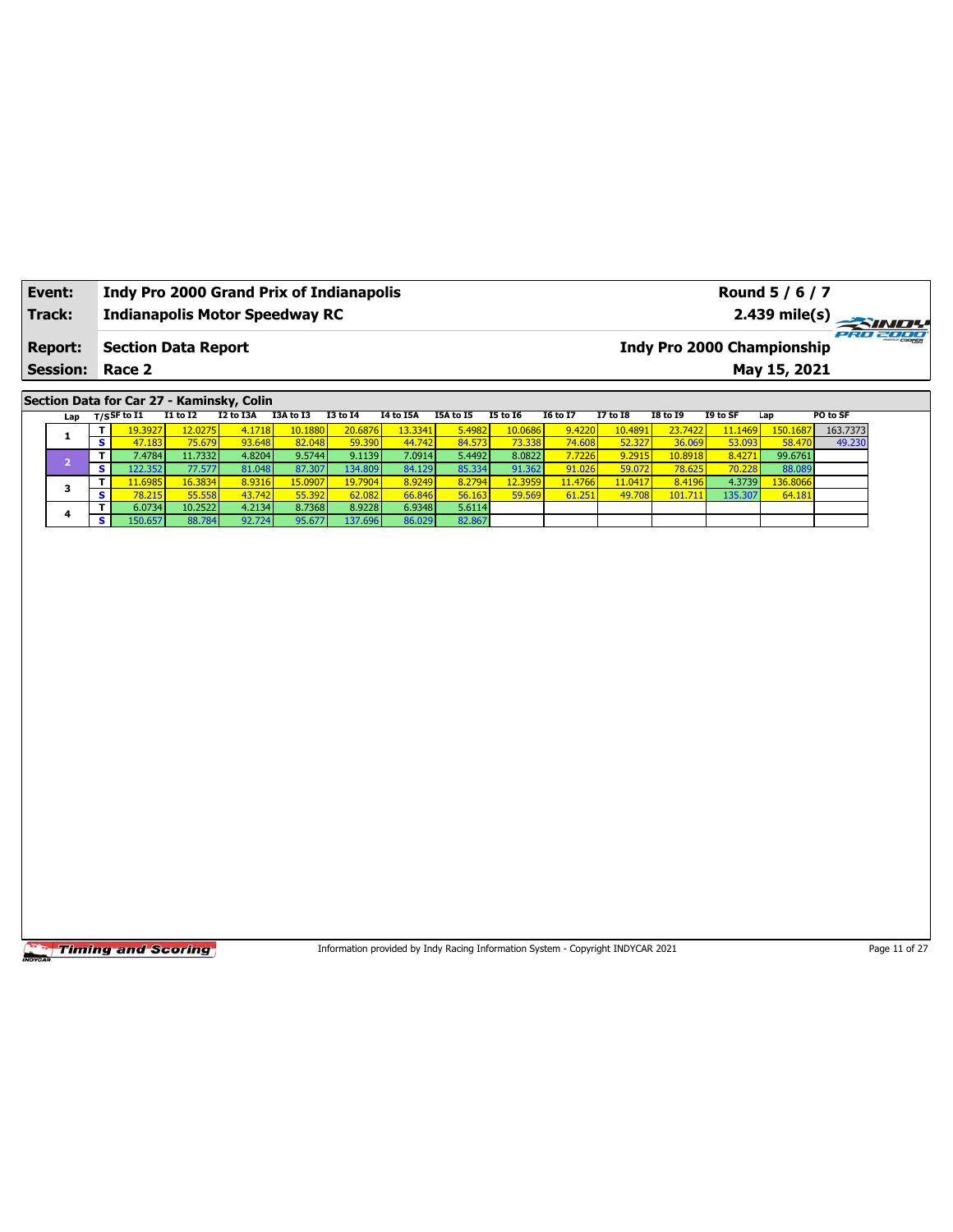| Event:                                                                                           |                                                                                                                                                                                                                                                                                                                                                                                                                                                                                                                                                                                                                                                                                                                                                                                                                                        |         |  |         |         |  |                 |                 |          |                 |          | Round 5 / 6 / 7<br>$2.439$ mile(s) |          |  |
|--------------------------------------------------------------------------------------------------|----------------------------------------------------------------------------------------------------------------------------------------------------------------------------------------------------------------------------------------------------------------------------------------------------------------------------------------------------------------------------------------------------------------------------------------------------------------------------------------------------------------------------------------------------------------------------------------------------------------------------------------------------------------------------------------------------------------------------------------------------------------------------------------------------------------------------------------|---------|--|---------|---------|--|-----------------|-----------------|----------|-----------------|----------|------------------------------------|----------|--|
|                                                                                                  |                                                                                                                                                                                                                                                                                                                                                                                                                                                                                                                                                                                                                                                                                                                                                                                                                                        |         |  |         |         |  |                 |                 |          |                 |          | <b>Indy Pro 2000 Championship</b>  |          |  |
|                                                                                                  |                                                                                                                                                                                                                                                                                                                                                                                                                                                                                                                                                                                                                                                                                                                                                                                                                                        |         |  |         |         |  |                 |                 |          |                 |          | May 15, 2021                       |          |  |
|                                                                                                  |                                                                                                                                                                                                                                                                                                                                                                                                                                                                                                                                                                                                                                                                                                                                                                                                                                        |         |  |         |         |  | <b>I5 to 16</b> | <b>16 to 17</b> | 17 to 18 | <b>I8 to 19</b> | I9 to SF | Lap                                | PO to SF |  |
|                                                                                                  |                                                                                                                                                                                                                                                                                                                                                                                                                                                                                                                                                                                                                                                                                                                                                                                                                                        | 19.3927 |  | 10.1880 | 13.3341 |  | 10.0686         | 9.4220          | 10.4891  | 23.7422         | 11.1469  | 150.1687                           | 163.7373 |  |
|                                                                                                  | s                                                                                                                                                                                                                                                                                                                                                                                                                                                                                                                                                                                                                                                                                                                                                                                                                                      | 47.183  |  | 82.048  |         |  | 73.338          | 74.608          | 52.327   | 36.069          | 53.093   | 58.470                             | 49.230   |  |
|                                                                                                  | T.                                                                                                                                                                                                                                                                                                                                                                                                                                                                                                                                                                                                                                                                                                                                                                                                                                     | 7.4784  |  |         |         |  | 8.0822          | 7.7226          | 9.2915   | 10.8918         | 8.4271   | 99.6761                            |          |  |
|                                                                                                  | S.                                                                                                                                                                                                                                                                                                                                                                                                                                                                                                                                                                                                                                                                                                                                                                                                                                     |         |  |         |         |  | 91.362          | 91.026          | 59.072   | 78.625          | 70.228   | 88.089                             |          |  |
|                                                                                                  |                                                                                                                                                                                                                                                                                                                                                                                                                                                                                                                                                                                                                                                                                                                                                                                                                                        |         |  |         |         |  | 12.3959         | 11.4766         | 11.0417  | 8.4196          | 4.3739   | 136.8066                           |          |  |
|                                                                                                  |                                                                                                                                                                                                                                                                                                                                                                                                                                                                                                                                                                                                                                                                                                                                                                                                                                        |         |  |         |         |  | 59.569          | 61.251          | 49.708   | 101.711         | 135.307  | 64.181                             |          |  |
| 4                                                                                                |                                                                                                                                                                                                                                                                                                                                                                                                                                                                                                                                                                                                                                                                                                                                                                                                                                        |         |  |         |         |  |                 |                 |          |                 |          |                                    |          |  |
| <b>Track:</b><br><b>Report:</b><br><b>Session:</b><br>Lap<br>1<br>$\overline{2}$<br>з<br>s<br>s. |                                                                                                                                                                                                                                                                                                                                                                                                                                                                                                                                                                                                                                                                                                                                                                                                                                        |         |  |         |         |  |                 |                 |          |                 |          |                                    |          |  |
|                                                                                                  |                                                                                                                                                                                                                                                                                                                                                                                                                                                                                                                                                                                                                                                                                                                                                                                                                                        |         |  |         |         |  |                 |                 |          |                 |          |                                    |          |  |
|                                                                                                  |                                                                                                                                                                                                                                                                                                                                                                                                                                                                                                                                                                                                                                                                                                                                                                                                                                        |         |  |         |         |  |                 |                 |          |                 |          |                                    |          |  |
|                                                                                                  | <b>Indy Pro 2000 Grand Prix of Indianapolis</b><br><b>Indianapolis Motor Speedway RC</b><br><b>Section Data Report</b><br>Race 2<br>Section Data for Car 27 - Kaminsky, Colin<br>$T/S$ SF to $\overline{11}$<br><b>I1 to I2</b><br>I2 to I3A<br>I3A to I3<br><b>I3 to 14</b><br>I4 to I5A<br>I5A to I5<br>4.1718<br>20.6876<br>12.0275<br>5.4982<br>93.648<br>75.679<br>59.390<br>44.742<br>84.573<br>4.8204<br>9.5744<br>5.4492<br>11.7332<br>9.1139<br>7.0914<br>87.307<br>122.352<br>81.048<br>134.809<br>85.334<br>77.577<br>84.129<br>8.9316<br>15.0907<br>16.3834<br>8.9249<br>8.2794<br>11.6985<br>19.7904<br>43.742<br>78.215<br>55.558<br>55.392<br>56.163<br>62.082<br>66.846<br>4.2134<br>8.9228<br>5.6114<br>6.0734<br>10.2522<br>8.7368<br>6.9348<br>150.657<br>92.724<br>88.784<br>95.677<br>137.696<br>82.867<br>86.029 |         |  |         |         |  |                 |                 |          |                 |          |                                    |          |  |
|                                                                                                  |                                                                                                                                                                                                                                                                                                                                                                                                                                                                                                                                                                                                                                                                                                                                                                                                                                        |         |  |         |         |  |                 |                 |          |                 |          |                                    |          |  |
|                                                                                                  |                                                                                                                                                                                                                                                                                                                                                                                                                                                                                                                                                                                                                                                                                                                                                                                                                                        |         |  |         |         |  |                 |                 |          |                 |          |                                    |          |  |

Information provided by Indy Racing Information System - Copyright INDYCAR 2021 Page 11 of 27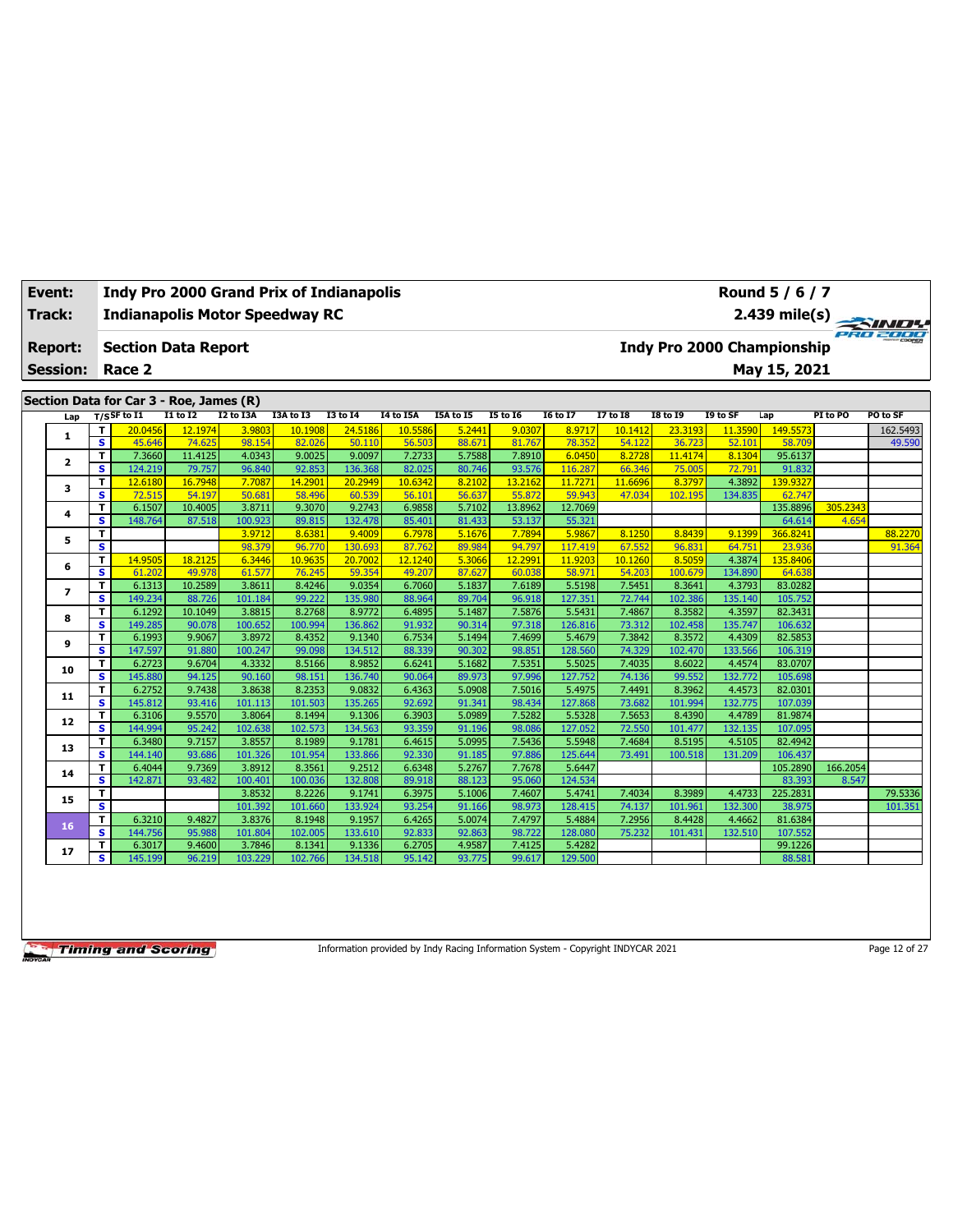| <b>Report:</b><br><b>Session:</b><br>Section Data for Car 3 - Roe, James (R)<br>Lap<br>1<br>$\overline{\mathbf{2}}$ | T<br>$\overline{\mathbf{s}}$<br>T<br>$\overline{\mathbf{s}}$<br>$\mathbf T$ | <b>Section Data Report</b><br>Race 2<br>$T/S$ SF to I1<br>20.0456<br>45.646<br>7.3660 | I1 to I2<br>12.1974<br>74.625 | I2 to I3A<br>3.9803 | I3A to I3<br>10.1908 | <b>I3 to 14</b>   |                  |                  |                  |                   |                  |                   |                   | <b>Indy Pro 2000 Championship</b> |          | <b>PRO POUL</b> |
|---------------------------------------------------------------------------------------------------------------------|-----------------------------------------------------------------------------|---------------------------------------------------------------------------------------|-------------------------------|---------------------|----------------------|-------------------|------------------|------------------|------------------|-------------------|------------------|-------------------|-------------------|-----------------------------------|----------|-----------------|
|                                                                                                                     |                                                                             |                                                                                       |                               |                     |                      |                   |                  |                  |                  |                   |                  |                   |                   |                                   |          |                 |
|                                                                                                                     |                                                                             |                                                                                       |                               |                     |                      |                   |                  |                  |                  |                   |                  |                   |                   | May 15, 2021                      |          |                 |
|                                                                                                                     |                                                                             |                                                                                       |                               |                     |                      |                   | I4 to I5A        | I5A to I5        | <b>I5 to 16</b>  | <b>I6 to I7</b>   | $17$ to 18       | <b>I8 to 19</b>   | I9 to SF          | Lap                               | PI to PO | PO to SF        |
|                                                                                                                     |                                                                             |                                                                                       |                               |                     |                      | 24.5186           | 10.5586          | 5.2441           | 9.0307           | 8.9717            | 10.1412          | 23.3193           | 11.3590           | 149.5573                          |          | 162.5493        |
|                                                                                                                     |                                                                             |                                                                                       |                               | 98.154              | 82.026               | 50.110            | 56.503           | 88.671           | 81.767           | 78.352            | 54.122           | 36.723            | 52.101            | 58.709                            |          | 49.590          |
|                                                                                                                     |                                                                             |                                                                                       | 11.4125                       | 4.0343              | 9.0025               | 9.0097            | 7.2733           | 5.7588           | 7.8910           | 6.0450            | 8.2728           | 11.4174           | 8.1304            | 95.6137                           |          |                 |
|                                                                                                                     |                                                                             | 124.219                                                                               | 79.757                        | 96.840              | 92.853               | 136.368           | 82.025           | 80.746           | 93.576           | 116.287           | 66.346           | 75.005            | 72.791            | 91.832                            |          |                 |
| 3                                                                                                                   |                                                                             | 12.6180                                                                               | 16.7948                       | 7.7087              | 14.2901              | 20.2949           | 10.6342          | 8.2102           | 13,2162          | 11,7271           | 11.6696          | 8.3797            | 4.3892            | 139.9327                          |          |                 |
|                                                                                                                     | $\overline{\mathbf{s}}$                                                     | 72.515                                                                                | 54.197                        | 50.681              | 58.496               | 60.539            | 56.101           | 56.637           | 55.872           | 59.943            | 47.034           | 102.195           | 134.835           | 62.747                            |          |                 |
| 4                                                                                                                   | T.                                                                          | 6.1507                                                                                | 10.4005                       | 3.8711              | 9.3070               | 9.2743            | 6.9858           | 5.7102           | 13.8962          | 12.7069           |                  |                   |                   | 135.8896                          | 305.2343 |                 |
|                                                                                                                     | $\overline{\mathbf{s}}$                                                     | 148.764                                                                               | 87.518                        | 100.923             | 89.815               | 132.478           | 85.401           | 81.433           | 53.137           | 55.321            |                  |                   |                   | 64.614                            | 4.654    |                 |
| 5                                                                                                                   | T                                                                           |                                                                                       |                               | 3.9712              | 8.6381               | 9.4009            | 6.7978           | 5.1676           | 7.7894           | 5.9867            | 8.1250           | 8.8439            | 9.1399            | 366.8241                          |          | 88.2270         |
|                                                                                                                     | $\overline{\mathbf{s}}$                                                     |                                                                                       |                               | 98.379              | 96.770               | 130.693           | 87.762           | 89.984           | 94.797           | 117.419           | 67.552           | 96.831            | 64.751            | 23.936                            |          | 91.364          |
| 6                                                                                                                   | T                                                                           | 14.9505                                                                               | 18.2125                       | 6.3446              | 10.9635              | 20.7002           | 12.1240          | 5.3066           | 12.2991          | 11.9203           | 10.1260          | 8.5059            | 4.3874            | 135.8406                          |          |                 |
|                                                                                                                     | s                                                                           | 61.202                                                                                | 49.978                        | 61.577              | 76.245               | 59.354            | 49.207           | 87.627           | 60.038           | 58.97             | 54.203           | 100.679           | 134.890           | 64.638                            |          |                 |
| $\overline{ }$                                                                                                      | T                                                                           | 6.1313                                                                                | 10.2589                       | 3.8611              | 8.4246               | 9.0354            | 6.7060           | 5.1837           | 7.6189           | 5.5198            | 7.5451           | 8.3641            | 4.3793            | 83.0282                           |          |                 |
|                                                                                                                     | $\overline{\mathbf{s}}$                                                     | 149.234                                                                               | 88.726                        | 101.184             | 99.222               | 135.980           | 88.964           | 89.704           | 96.918           | 127.351           | 72.744           | 102.386           | 135.140           | 105.752                           |          |                 |
| 8                                                                                                                   | T                                                                           | 6.1292                                                                                | 10.1049                       | 3.8815              | 8.2768               | 8.9772            | 6.4895           | 5.1487           | 7.5876           | 5.5431            | 7.4867           | 8.3582            | 4.3597            | 82.3431                           |          |                 |
|                                                                                                                     | s                                                                           | 149.285                                                                               | 90.078                        | 100.652<br>3.8972   | 100.994              | 136.862           | 91.932           | 90.314           | 97.318           | 126.816           | 73.312           | 102.458           | 135.747           | 106.632                           |          |                 |
| 9                                                                                                                   | т<br>$\overline{\mathbf{s}}$                                                | 6.1993<br>147.597                                                                     | 9.9067<br>91.880              | 100.247             | 8.4352<br>99.098     | 9.1340<br>134.512 | 6.7534<br>88.339 | 5.1494<br>90.302 | 7.4699<br>98.851 | 5.4679<br>128.560 | 7.3842<br>74.329 | 8.3572<br>102.470 | 4.4309<br>133.566 | 82.5853<br>106.319                |          |                 |
|                                                                                                                     | T                                                                           | 6.2723                                                                                | 9.6704                        | 4.3332              | 8.5166               | 8.9852            | 6.6241           | 5.1682           | 7.5351           | 5.5025            | 7.4035           | 8.6022            | 4.4574            | 83.0707                           |          |                 |
| 10                                                                                                                  | s                                                                           | 145.880                                                                               | 94.125                        | 90.160              | 98.151               | 136.740           | 90.064           | 89.973           | 97.996           | 127.752           | 74.136           | 99.552            | 132.772           | 105.698                           |          |                 |
|                                                                                                                     | T                                                                           | 6.2752                                                                                | 9.7438                        | 3.8638              | 8.2353               | 9.0832            | 6.4363           | 5.0908           | 7.5016           | 5.4975            | 7.4491           | 8.3962            | 4.4573            | 82.0301                           |          |                 |
| 11                                                                                                                  | s                                                                           | 145.812                                                                               | 93.416                        | 101.113             | 101.503              | 135.265           | 92.692           | 91.341           | 98.434           | 127.868           | 73.682           | 101.994           | 132.775           | 107.039                           |          |                 |
|                                                                                                                     | т                                                                           | 6.3106                                                                                | 9.5570                        | 3.8064              | 8.1494               | 9.1306            | 6.3903           | 5.0989           | 7.5282           | 5.5328            | 7.5653           | 8.4390            | 4.4789            | 81.9874                           |          |                 |
| 12                                                                                                                  | S                                                                           | 144.994                                                                               | 95.242                        | 102.638             | 102.573              | 134.563           | 93.359           | 91.196           | 98.086           | 127.052           | 72.550           | 101.477           | 132.135           | 107.095                           |          |                 |
|                                                                                                                     | т                                                                           | 6.3480                                                                                | 9.7157                        | 3.8557              | 8.1989               | 9.1781            | 6.4615           | 5.0995           | 7.5436           | 5.5948            | 7.4684           | 8.5195            | 4.5105            | 82.4942                           |          |                 |
| 13                                                                                                                  | s                                                                           | 144.140                                                                               | 93.686                        | 101.326             | 101.954              | 133.866           | 92.330           | 91.185           | 97.886           | 125.644           | 73.491           | 100.518           | 131.209           | 106.437                           |          |                 |
|                                                                                                                     | т                                                                           | 6.4044                                                                                | 9.7369                        | 3.8912              | 8.3561               | 9.2512            | 6.6348           | 5.2767           | 7.7678           | 5.6447            |                  |                   |                   | 105.2890                          | 166.2054 |                 |
| 14                                                                                                                  | s                                                                           | 142.871                                                                               | 93.482                        | 100.401             | 100.036              | 132.808           | 89.918           | 88.123           | 95.060           | 124.534           |                  |                   |                   | 83.393                            | 8.547    |                 |
|                                                                                                                     | T                                                                           |                                                                                       |                               | 3.8532              | 8.2226               | 9.1741            | 6.3975           | 5.1006           | 7.4607           | 5.4741            | 7.4034           | 8.3989            | 4.4733            | 225.2831                          |          | 79.5336         |
| 15                                                                                                                  | $\overline{\mathbf{s}}$                                                     |                                                                                       |                               | 101.392             | 101.660              | 133.924           | 93.254           | 91.166           | 98.973           | 128.415           | 74.137           | 101.961           | 132.300           | 38.975                            |          | 101.351         |
|                                                                                                                     | T.                                                                          | 6.3210                                                                                | 9.4827                        | 3.8376              | 8.1948               | 9.1957            | 6.4265           | 5.0074           | 7.4797           | 5.4884            | 7.2956           | 8.4428            | 4.4662            | 81.6384                           |          |                 |
| 16                                                                                                                  | s                                                                           | 144.756                                                                               | 95.988                        | 101.804             | 102.005              | 133.610           | 92.833           | 92.863           | 98.722           | 128.080           | 75.232           | 101.431           | 132.510           | 107.552                           |          |                 |
| 17                                                                                                                  | T                                                                           | 6.3017                                                                                | 9.4600                        | 3.7846              | 8.1341               | 9.1336            | 6.2705           | 4.9587           | 7.4125           | 5.4282            |                  |                   |                   | 99.1226                           |          |                 |
|                                                                                                                     | $\overline{\mathbf{s}}$                                                     | 145.199                                                                               | 96.219                        | 103.229             | 102.766              | 134.518           | 95.142           | 93.775           | 99.617           | 129,500           |                  |                   |                   | 88.581                            |          |                 |

Information provided by Indy Racing Information System - Copyright INDYCAR 2021 Page 12 of 27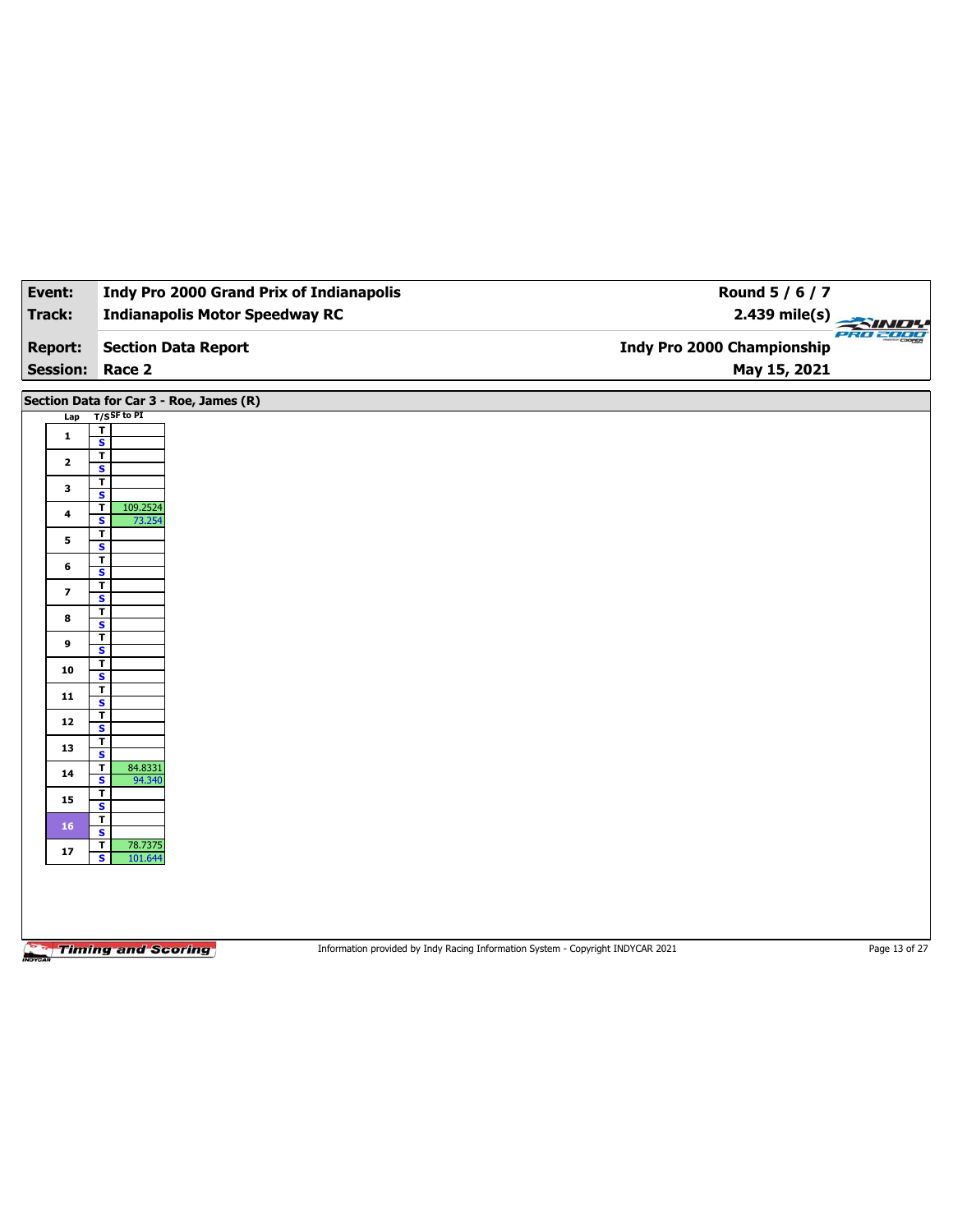| Event:         | <b>Indy Pro 2000 Grand Prix of Indianapolis</b>   | Round 5 / 6 / 7                          |
|----------------|---------------------------------------------------|------------------------------------------|
|                |                                                   |                                          |
| <b>Track:</b>  | <b>Indianapolis Motor Speedway RC</b>             | $2.439$ mile(s)                          |
| <b>Report:</b> | <b>Section Data Report</b>                        | een<br><b>Indy Pro 2000 Championship</b> |
|                | <b>Session: Race 2</b>                            | May 15, 2021                             |
|                | Section Data for Car 3 - Roe, James (R)           |                                          |
|                | Lap T/SSF to PI                                   |                                          |
| $\mathbf{1}$   | т                                                 |                                          |
|                | $\overline{\mathbf{s}}$                           |                                          |
| $\mathbf{2}$   | T<br>S                                            |                                          |
| 3              | T                                                 |                                          |
|                | $\overline{\mathbf{s}}$<br>T<br>109.2524          |                                          |
| 4              | S<br>73.254                                       |                                          |
| 5              | T                                                 |                                          |
|                | $\overline{\mathbf{s}}$<br>T                      |                                          |
| 6              | s                                                 |                                          |
| $\overline{ }$ | T<br>$\overline{\mathbf{s}}$                      |                                          |
|                | T                                                 |                                          |
| 8              | <b>S</b>                                          |                                          |
| 9              | T<br>$\overline{\mathbf{s}}$                      |                                          |
| 10             | T                                                 |                                          |
|                | S<br>T                                            |                                          |
| 11             | $\overline{\mathbf{s}}$                           |                                          |
| $12$           | T                                                 |                                          |
|                | $\mathbf{s}$<br>T                                 |                                          |
| 13             | $\overline{\mathbf{s}}$                           |                                          |
| 14             | 84.8331<br>T<br>$\overline{\mathbf{s}}$<br>94.340 |                                          |
|                | T                                                 |                                          |
| 15             | $\overline{\mathbf{s}}$                           |                                          |
| 16             | $\overline{\mathbf{r}}$<br>۱                      |                                          |

**S** 101.644

**S**  $\frac{1}{\sqrt{15}}$ 

Information provided by Indy Racing Information System - Copyright INDYCAR 2021 Page 13 of 27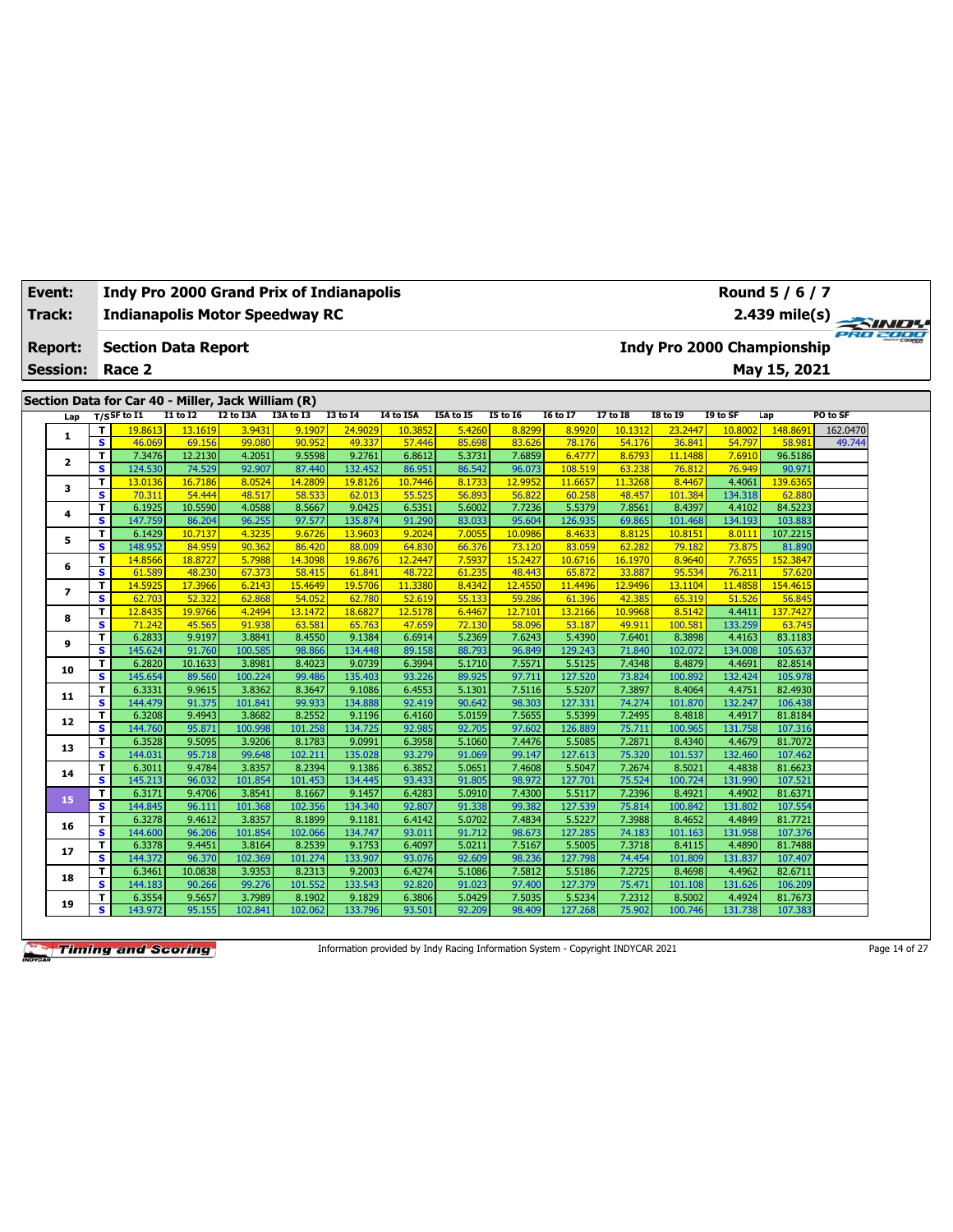| Event:          |                              | <b>Indy Pro 2000 Grand Prix of Indianapolis</b>    |                   |                   |                   |                   |                  |                  |                  |                   |                  |                   |                                   | Round 5 / 6 / 7    |          |
|-----------------|------------------------------|----------------------------------------------------|-------------------|-------------------|-------------------|-------------------|------------------|------------------|------------------|-------------------|------------------|-------------------|-----------------------------------|--------------------|----------|
| Track:          |                              | <b>Indianapolis Motor Speedway RC</b>              |                   |                   |                   |                   |                  |                  |                  |                   |                  |                   |                                   | 2.439 mile(s)      | PRO 2000 |
| <b>Report:</b>  |                              | <b>Section Data Report</b>                         |                   |                   |                   |                   |                  |                  |                  |                   |                  |                   | <b>Indy Pro 2000 Championship</b> |                    |          |
| <b>Session:</b> |                              | Race 2                                             |                   |                   |                   |                   |                  |                  |                  |                   |                  |                   |                                   | May 15, 2021       |          |
|                 |                              |                                                    |                   |                   |                   |                   |                  |                  |                  |                   |                  |                   |                                   |                    |          |
|                 |                              | Section Data for Car 40 - Miller, Jack William (R) |                   |                   |                   |                   |                  |                  |                  |                   |                  |                   |                                   |                    |          |
| Lap             |                              | $T/S$ SF to I1                                     | $I1$ to $I2$      | I2 to I3A         | I3A to I3         | <b>I3 to I4</b>   | <b>I4 to I5A</b> | I5A to I5        | <b>I5 to 16</b>  | <b>I6 to I7</b>   | <b>I7 to I8</b>  | <b>I8 to 19</b>   | I9 to SF                          | Lap                | PO to SF |
| 1               | T                            | 19.8613                                            | 13.1619           | 3.9431            | 9.1907            | 24.9029           | 10.3852          | 5.4260           | 8.8299           | 8.9920            | 10.1312          | 23.2447           | 10.8002                           | 148,8691           | 162.0470 |
|                 | $\overline{\mathbf{s}}$<br>T | 46.069<br>7.3476                                   | 69.156<br>12.2130 | 99.080<br>4.2051  | 90.952<br>9.5598  | 49.337<br>9.2761  | 57.446<br>6.8612 | 85.698<br>5.3731 | 83.626<br>7.6859 | 78.176<br>6.4777  | 54.176<br>8.6793 | 36.841<br>11.1488 | 54.797<br>7.6910                  | 58.981<br>96.5186  | 49.744   |
| 2               | s                            | 124.530                                            | 74.529            | 92.907            | 87.440            | 132.452           | 86.951           | 86.542           | 96.073           | 108.519           | 63.238           | 76.812            | 76.949                            | 90.971             |          |
|                 | T                            | 13.0136                                            | 16.7186           | 8.0524            | 14.2809           | 19.8126           | 10.7446          | 8.1733           | 12.9952          | 11.6657           | 11.3268          | 8.4467            | 4.4061                            | 139.6365           |          |
| 3               | s                            | 70.311                                             | 54,444            | 48.517            | 58.533            | 62.013            | 55.525           | 56.893           | 56.822           | 60.258            | 48.457           | 101.384           | 134.318                           | 62.880             |          |
|                 | T                            | 6.1925                                             | 10.5590           | 4.0588            | 8.5667            | 9.0425            | 6.5351           | 5.6002           | 7.7236           | 5.5379            | 7.8561           | 8.4397            | 4.4102                            | 84.5223            |          |
| 4               | s                            | 147.759                                            | 86.204            | 96.255            | 97.577            | 135.874           | 91.290           | 83.033           | 95.604           | 126.935           | 69.865           | 101.468           | 134.193                           | 103.883            |          |
|                 | T                            | 6.1429                                             | 10.7137           | 4.3235            | 9.6726            | 13.9603           | 9.2024           | 7.0055           | 10.0986          | 8.4633            | 8.8125           | 10.8151           | 8.0111                            | 107.2215           |          |
| 5               | s                            | 148.952                                            | 84.959            | 90.362            | 86.420            | 88,009            | 64.830           | 66.376           | 73.120           | 83.059            | 62.282           | 79.182            | 73.875                            | 81.890             |          |
|                 | T                            | 14,8566                                            | 18.8727           | 5.7988            | 14.3098           | 19.8676           | 12.2447          | 7.5937           | 15,2427          | 10.6716           | 16.1970          | 8.9640            | 7.7655                            | 152.3847           |          |
| 6               | s                            | 61.589                                             | 48.230            | 67.373            | 58.415            | 61.841            | 48.722           | 61.235           | 48.443           | 65.872            | 33.887           | 95.534            | 76.211                            | 57.62              |          |
|                 | т                            | 14.5925                                            | 17.3966           | 6.2143            | 15.4649           | 19.5706           | 11.3380          | 8.4342           | 12.4550          | 11.4496           | 12.9496          | 13.1104           | 11.4858                           | 154.461            |          |
| $\overline{ }$  | $\overline{\mathbf{s}}$      | 62.703                                             | 52.322            | 62.868            | 54.052            | 62.780            | 52.619           | 55.133           | 59.286           | 61.396            | 42.385           | 65.319            | 51.526                            | 56.845             |          |
|                 | T                            | 12.8435                                            | 19.9766           | 4.2494            | 13.1472           | 18.6827           | 12.5178          | 6.4467           | 12.7101          | 13.2166           | 10.9968          | 8.5142            | 4.4411                            | 137.7427           |          |
| 8               | s                            | 71.242                                             | 45.565            | 91.938            | 63.581            | 65.763            | 47.659           | 72.130           | 58.096           | 53.187            | 49.911           | 100.581           | 133.259                           | 63.745             |          |
|                 | T                            | 6.2833                                             | 9.9197            | 3.8841            | 8.4550            | 9.1384            | 6.6914           | 5.2369           | 7.6243           | 5.4390            | 7.6401           | 8.3898            | 4.4163                            | 83.1183            |          |
| 9               | s                            | 145.624                                            | 91.760            | 100.585           | 98.866            | 134.448           | 89.158           | 88.793           | 96.849           | 129.243           | 71.840           | 102.072           | 134.008                           | 105.637            |          |
| 10              | т                            | 6.2820                                             | 10.1633           | 3.8981            | 8.4023            | 9.0739            | 6.3994           | 5.1710           | 7.5571           | 5.5125            | 7.4348           | 8.4879            | 4.4691                            | 82.8514            |          |
|                 | s                            | 145.654                                            | 89.560            | 100.224           | 99.486            | 135.403           | 93.226           | 89.925           | 97.711           | 127.520           | 73.824           | 100.892           | 132.424                           | 105.978            |          |
| 11              | T                            | 6.3331                                             | 9.9615            | 3.8362            | 8.3647            | 9.1086            | 6.4553           | 5.1301           | 7.5116           | 5.5207            | 7.3897           | 8.4064            | 4.4751                            | 82.4930            |          |
|                 | s                            | 144.479                                            | 91.375            | 101.841           | 99.933            | 134.888           | 92.419           | 90.642           | 98.303           | 127.331           | 74.274           | 101.870           | 132.247                           | 106.438            |          |
| 12              | T                            | 6.3208                                             | 9.4943            | 3.8682            | 8.2552            | 9.1196            | 6.4160           | 5.0159           | 7.5655           | 5.5399            | 7.2495           | 8.4818            | 4.4917                            | 81.8184            |          |
|                 | s                            | 144.760                                            | 95.871            | 100.998           | 101.258           | 134.725           | 92.985           | 92.705           | 97.602           | 126.889           | 75.711           | 100.965           | 131.758                           | 107.316            |          |
| 13              | T                            | 6.3528                                             | 9.5095            | 3.9206            | 8.1783            | 9.0991            | 6.3958           | 5.1060           | 7.4476           | 5.5085            | 7.2871           | 8.4340            | 4.4679                            | 81.7072            |          |
|                 | s                            | 144.031                                            | 95.718            | 99.648            | 102.211           | 135.02            | 93.279           | 91.069           | 99.147           | 127.613           | 75.320           | 101.537           | 132.460                           | 107.462            |          |
| 14              | T                            | 6.3011                                             | 9.4784            | 3.8357            | 8.2394            | 9.1386            | 6.3852           | 5.0651           | 7.4608           | 5.5047            | 7.2674           | 8.5021            | 4.4838                            | 81.6623            |          |
|                 | $\overline{\mathbf{s}}$      | 145.213                                            | 96.032            | 101.854           | 101.453           | 134.445           | 93.433           | 91.805           | 98.972           | 127.701           | 75.524           | 100.724           | 131.990                           | 107.521            |          |
| 15              | T                            | 6.3171                                             | 9.4706            | 3.8541            | 8.1667            | 9.1457            | 6.4283           | 5.0910           | 7.4300           | 5.5117            | 7.2396           | 8.4921            | 4.4902                            | 81.6371            |          |
|                 | s                            | 144.845                                            | 96.111            | 101.368           | 102.356           | 134.340           | 92.807           | 91.338           | 99.382           | 127.539           | 75.814           | 100.842           | 131.802                           | 107.554            |          |
| 16              | T<br>s                       | 6.3278                                             | 9.4612            | 3.8357            | 8.1899<br>102.066 | 9.1181            | 6.4142           | 5.0702           | 7.4834           | 5.5227            | 7.3988           | 8.4652            | 4.4849                            | 81.7721<br>107.376 |          |
|                 |                              | 144.600                                            | 96.206<br>9.4451  | 101.854<br>3.8164 |                   | 134.747           | 93.011<br>6.4097 | 91.712<br>5.0211 | 98.673           | 127.285           | 74.183<br>7.3718 | 101.163<br>8.4115 | 131.958<br>4.4890                 | 81.7488            |          |
| 17              | T<br>s                       | 6.3378<br>144.372                                  | 96.370            | 102.369           | 8.2539<br>101.274 | 9.1753<br>133.907 | 93.076           | 92.609           | 7.5167<br>98.236 | 5.5005<br>127.798 | 74.454           | 101.809           | 131.837                           | 107.407            |          |
|                 | T                            | 6.3461                                             | 10.0838           | 3.9353            | 8.2313            | 9.2003            | 6.4274           | 5.1086           | 7.5812           | 5.5186            | 7.2725           | 8.4698            | 4.4962                            | 82.6711            |          |
| 18              | s                            | 144.183                                            | 90.266            | 99.276            | 101.552           | 133.543           | 92.820           | 91.023           | 97.400           | 127.379           | 75.471           | 101.108           | 131.626                           | 106.209            |          |
|                 | T                            | 6.3554                                             | 9.5657            | 3.7989            | 8.1902            | 9.1829            | 6.3806           | 5.0429           | 7.5035           | 5.5234            | 7.2312           | 8.5002            | 4.4924                            | 81.7673            |          |
| 19              | s                            | 143.972                                            | 95.155            | 102.841           | 102.062           | 133.796           | 93.501           | 92.209           | 98.409           | 127.268           | 75.902           | 100.746           | 131.738                           | 107.383            |          |
|                 |                              |                                                    |                   |                   |                   |                   |                  |                  |                  |                   |                  |                   |                                   |                    |          |

Information provided by Indy Racing Information System - Copyright INDYCAR 2021 Page 14 of 27

ヿ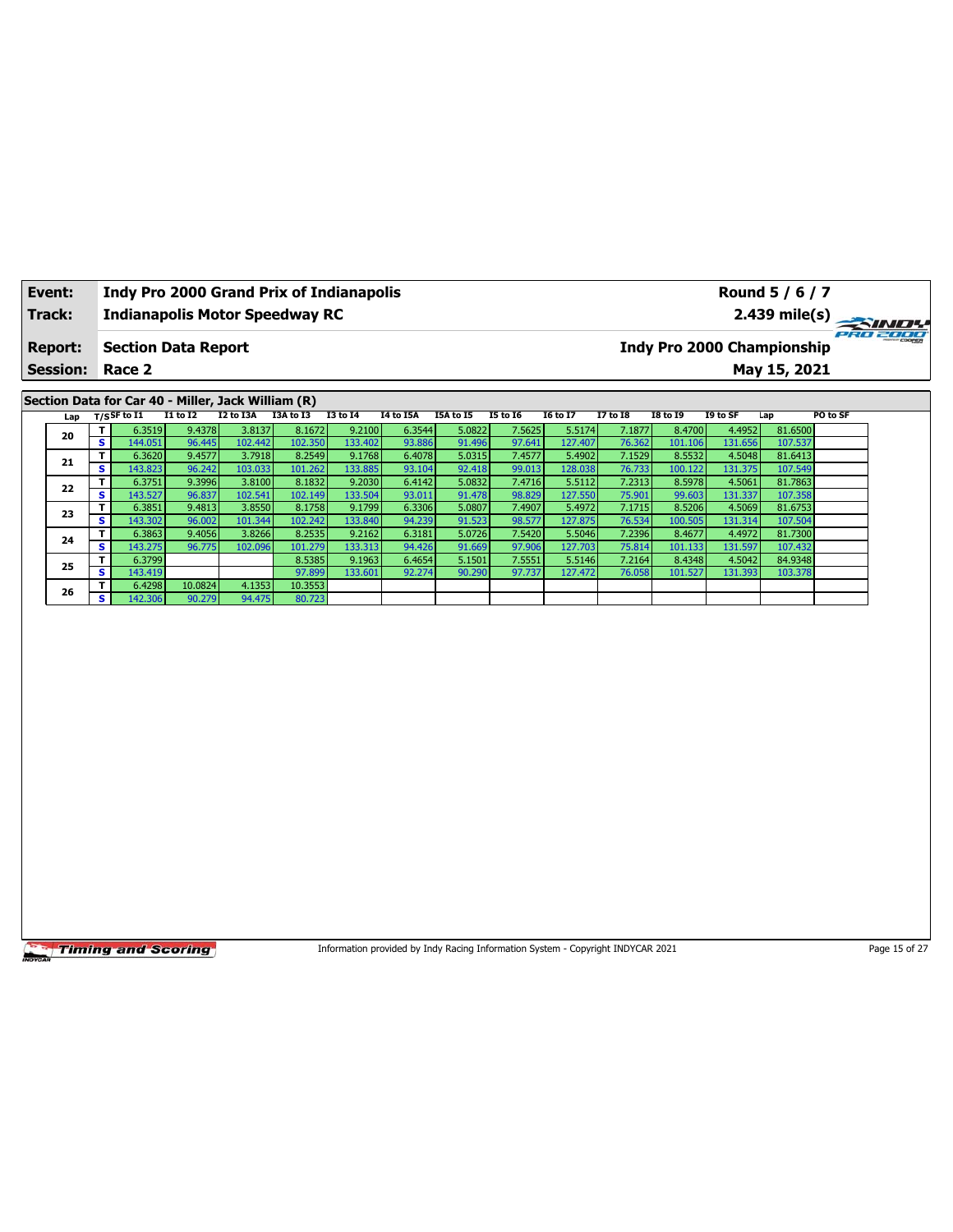| Event:          |     |                         |                   |                            |                                                    | <b>Indy Pro 2000 Grand Prix of Indianapolis</b> |                   |                                                                                 |                  |                  |                   |                  |                   |                   | Round 5 / 6 / 7                   |               |
|-----------------|-----|-------------------------|-------------------|----------------------------|----------------------------------------------------|-------------------------------------------------|-------------------|---------------------------------------------------------------------------------|------------------|------------------|-------------------|------------------|-------------------|-------------------|-----------------------------------|---------------|
| <b>Track:</b>   |     |                         |                   |                            |                                                    | <b>Indianapolis Motor Speedway RC</b>           |                   |                                                                                 |                  |                  |                   |                  |                   |                   | 2.439 mile(s)                     |               |
| <b>Report:</b>  |     |                         |                   | <b>Section Data Report</b> |                                                    |                                                 |                   |                                                                                 |                  |                  |                   |                  |                   |                   | <b>Indy Pro 2000 Championship</b> | 280 2000      |
| <b>Session:</b> |     |                         | Race 2            |                            |                                                    |                                                 |                   |                                                                                 |                  |                  |                   |                  |                   |                   | May 15, 2021                      |               |
|                 |     |                         |                   |                            | Section Data for Car 40 - Miller, Jack William (R) |                                                 |                   |                                                                                 |                  |                  |                   |                  |                   |                   |                                   |               |
|                 | Lap | $T/S$ SF to I1          |                   | <b>I1 to I2</b>            | I2 to I3A                                          | I3A to I3                                       | <b>I3 to I4</b>   | I4 to I5A                                                                       | I5A to I5        | <b>I5 to 16</b>  | <b>I6 to I7</b>   | <b>I7 to I8</b>  | <b>I8 to 19</b>   | I9 to SF          | Lap                               | PO to SF      |
| 20              |     | T                       | 6.3519            | 9.4378                     | 3.8137                                             | 8.1672                                          | 9.2100            | 6.3544                                                                          | 5.0822           | 7.5625           | 5.5174            | 7.1877           | 8.4700            | 4.4952            | 81.6500                           |               |
|                 |     | $\overline{\mathbf{s}}$ | 144.051           | 96.445                     | 102.442                                            | 102.350                                         | 133.402           | 93.886                                                                          | 91.496           | 97.641           | 127.407           | 76.362           | 101.106           | 131.656           | 107.537                           |               |
| 21              |     | T                       | 6.3620            | 9.4577                     | 3.7918                                             | 8.2549                                          | 9.1768            | 6.4078                                                                          | 5.0315           | 7.4577           | 5.4902            | 7.1529           | 8.5532            | 4.5048            | 81.6413                           |               |
|                 |     | s<br>T                  | 143.823<br>6.3751 | 96.242<br>9.3996           | 103.033<br>3.8100                                  | 101.262<br>8.1832                               | 133.885<br>9.2030 | 93.104<br>6.4142                                                                | 92.418<br>5.0832 | 99.013<br>7.4716 | 128.038<br>5.5112 | 76.733<br>7.2313 | 100.122<br>8.5978 | 131.375<br>4.5061 | 107.549<br>81.7863                |               |
| 22              |     | s                       | 143.527           | 96.837                     | 102.541                                            | 102.149                                         | 133.504           | 93.011                                                                          | 91.478           | 98.829           | 127.550           | 75.901           | 99.603            | 131.337           | 107.358                           |               |
|                 |     | T                       | 6.3851            | 9.4813                     | 3.8550                                             | 8.1758                                          | 9.1799            | 6.3306                                                                          | 5.0807           | 7.4907           | 5.4972            | 7.1715           | 8.5206            | 4.5069            | 81.6753                           |               |
| 23              |     | S                       | 143.302           | 96.002                     | 101.344                                            | 102.242                                         | 133.840           | 94.239                                                                          | 91.523           | 98.577           | 127.875           | 76.534           | 100.505           | 131.314           | 107.504                           |               |
|                 |     | T                       | 6.3863            | 9.4056                     | 3.8266                                             | 8.2535                                          | 9.2162            | 6.3181                                                                          | 5.0726           | 7.5420           | 5.5046            | 7.2396           | 8.4677            | 4.4972            | 81.7300                           |               |
| 24              |     | s                       | 143.275           | 96.775                     | 102.096                                            | 101.279                                         | 133.313           | 94.426                                                                          | 91.669           | 97.906           | 127.703           | 75.814           | 101.133           | 131.597           | 107.432                           |               |
| 25              |     | T                       | 6.3799            |                            |                                                    | 8.5385                                          | 9.1963            | 6.4654                                                                          | 5.1501           | 7.5551           | 5.5146            | 7.2164           | 8.4348            | 4.5042            | 84.9348                           |               |
|                 |     | s                       | 143.419           |                            |                                                    | 97.899                                          | 133.601           | 92.274                                                                          | 90.290           | 97.737           | 127.472           | 76.058           | 101.527           | 131.393           | 103.378                           |               |
| 26              |     | T                       | 6.4298            | 10.0824                    | 4.1353                                             | 10.3553                                         |                   |                                                                                 |                  |                  |                   |                  |                   |                   |                                   |               |
|                 |     | s                       | 142.306           | 90.279                     | 94.475                                             | 80.723                                          |                   |                                                                                 |                  |                  |                   |                  |                   |                   |                                   |               |
|                 |     |                         |                   |                            |                                                    |                                                 |                   |                                                                                 |                  |                  |                   |                  |                   |                   |                                   |               |
|                 |     |                         |                   | <b>Timing and Scoring</b>  |                                                    |                                                 |                   | Information provided by Indy Racing Information System - Copyright INDYCAR 2021 |                  |                  |                   |                  |                   |                   |                                   | Page 15 of 27 |

٦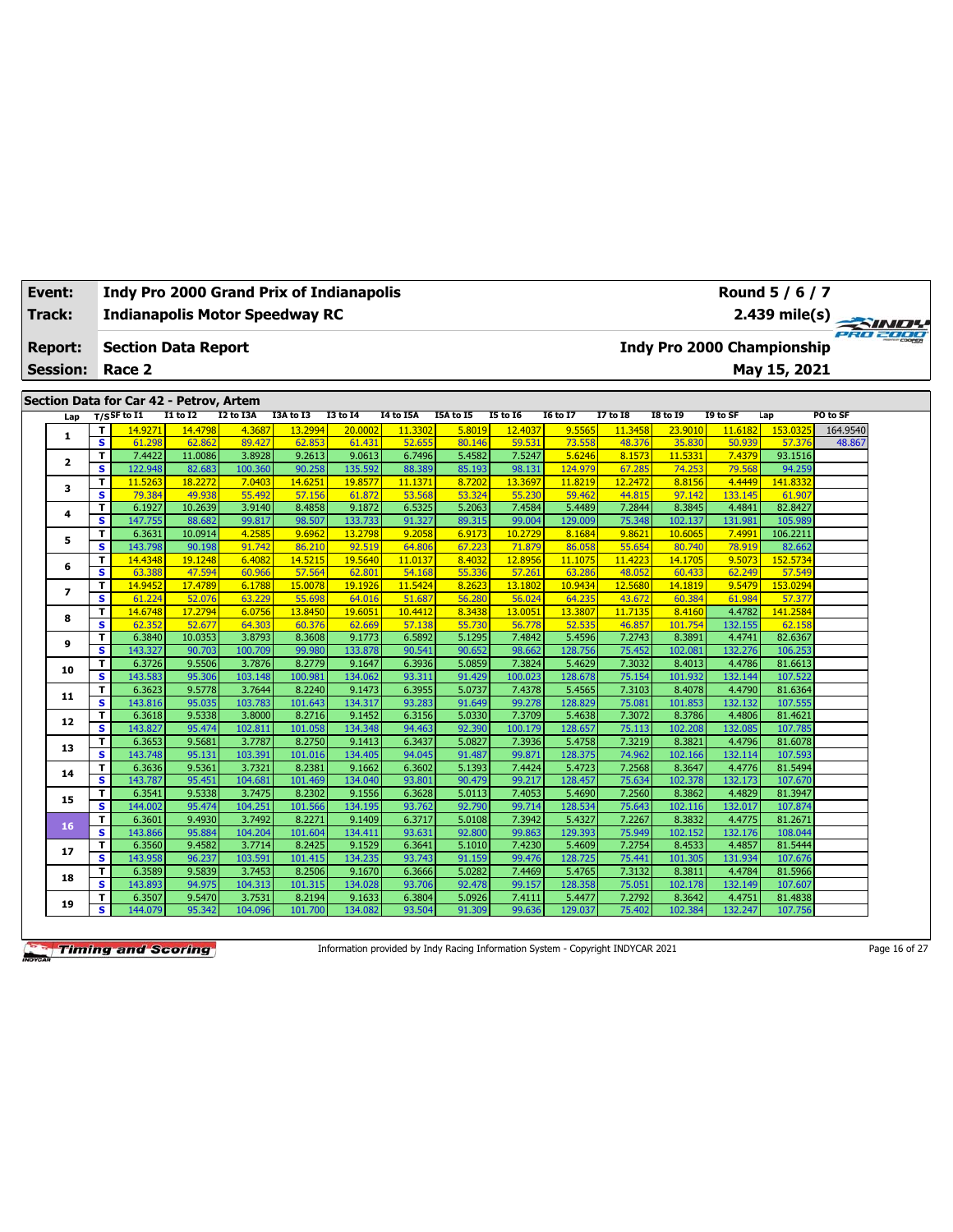| Event:                  |                              |                                         |                   |                  | <b>Indy Pro 2000 Grand Prix of Indianapolis</b> |                  |                  |                  |                   |                  |                  |                  |                                   | Round 5 / 6 / 7   |          |  |
|-------------------------|------------------------------|-----------------------------------------|-------------------|------------------|-------------------------------------------------|------------------|------------------|------------------|-------------------|------------------|------------------|------------------|-----------------------------------|-------------------|----------|--|
| Track:                  |                              |                                         |                   |                  | <b>Indianapolis Motor Speedway RC</b>           |                  |                  |                  |                   |                  |                  |                  |                                   | $2.439$ mile(s)   | PRO 2000 |  |
| <b>Report:</b>          |                              | <b>Section Data Report</b>              |                   |                  |                                                 |                  |                  |                  |                   |                  |                  |                  | <b>Indy Pro 2000 Championship</b> |                   |          |  |
| <b>Session:</b>         |                              | Race 2                                  |                   |                  |                                                 |                  |                  |                  |                   |                  |                  |                  |                                   | May 15, 2021      |          |  |
|                         |                              |                                         |                   |                  |                                                 |                  |                  |                  |                   |                  |                  |                  |                                   |                   |          |  |
|                         |                              | Section Data for Car 42 - Petrov, Artem |                   |                  |                                                 |                  |                  |                  |                   |                  |                  |                  |                                   |                   |          |  |
| Lap                     |                              | $T/S$ SF to I1                          | I1 to I2          | I2 to I3A        | I3A to I3                                       | <b>I3 to 14</b>  | I4 to I5A        | I5A to I5        | <b>I5 to 16</b>   | <b>I6 to I7</b>  | <b>I7 to I8</b>  | <b>I8 to 19</b>  | I9 to SF                          | Lap               | PO to SF |  |
| 1                       | т                            | 14.9271                                 | 14.4798           | 4.3687           | 13.2994                                         | 20,0002          | 11.3302          | 5.8019           | 12.4037           | 9.5565           | 11.3458          | 23,9010          | 11,6182                           | 153.0325          | 164.9540 |  |
|                         | s                            | 61.298                                  | 62.862            | 89.427           | 62.853                                          | 61.431           | 52.655           | 80.146           | 59.531            | 73.558           | 48.376           | 35.830           | 50.939                            | 57.376            | 48.867   |  |
| $\overline{\mathbf{2}}$ | T                            | 7.4422                                  | 11.0086           | 3.8928           | 9.2613                                          | 9.0613           | 6.7496           | 5.4582           | 7.5247            | 5.6246           | 8.1573           | 11.5331          | 7.4379                            | 93.1516           |          |  |
|                         | s.                           | 122.948                                 | 82.683            | 100.360          | 90.258                                          | 135.592          | 88.389           | 85.193           | 98.131            | 124.979          | 67.285           | 74.253           | 79.568                            | 94.259            |          |  |
| 3                       | т                            | 11.5263                                 | 18.2272           | 7.0403<br>55.492 | 14.6251                                         | 19.857           | 11.1371          | 8.7202           | 13.3697<br>55.230 | 11.8219          | 12.2472          | 8.8156           | 4.4449<br>133.145                 | 141,833           |          |  |
|                         | $\overline{\mathbf{s}}$<br>T | 79.384<br>6.1927                        | 49.938<br>10.2639 | 3.9140           | 57.156<br>8.4858                                | 61.872<br>9.1872 | 53.568<br>6.5325 | 53.324<br>5.2063 | 7.4584            | 59.462<br>5.4489 | 44.815<br>7.2844 | 97.142<br>8.3845 | 4.4841                            | 61.907<br>82.8427 |          |  |
| 4                       | s                            | 147.755                                 | 88.682            | 99.817           | 98.507                                          | 133.733          | 91.327           | 89.315           | 99.004            | 129.009          | 75.348           | 102.137          | 131.981                           | 105.989           |          |  |
|                         | T                            | 6.3631                                  | 10.0914           | 4.2585           | 9.6962                                          | 13.2798          | 9.2058           | 6.9173           | 10.2729           | 8.1684           | 9.8621           | 10.6065          | 7.4991                            | 106.2211          |          |  |
| 5                       | s                            | 143.798                                 | 90.198            | 91.742           | 86.210                                          | 92.519           | 64.806           | 67.223           | 71.879            | 86.058           | 55.654           | 80.740           | 78.919                            | 82.662            |          |  |
|                         | T                            | 14.4348                                 | 19.1248           | 6.4082           | 14.5215                                         | 19.5640          | 11.0137          | 8.4032           | 12.8956           | 11.1075          | 11.4223          | 14.1705          | 9.5073                            | 152.5734          |          |  |
| 6                       | $\overline{\mathbf{s}}$      | 63.388                                  | 47.594            | 60.966           | 57.564                                          | 62.801           | 54.168           | 55.336           | 57.261            | 63.286           | 48.052           | 60.433           | 62.249                            | 57.549            |          |  |
|                         | T.                           | 14.9452                                 | 17.4789           | 6.1788           | 15.0078                                         | 19.1926          | 11.5424          | 8.2623           | 13.1802           | 10.9434          | 12.5680          | 14.1819          | 9.5479                            | 153.0294          |          |  |
| 7                       | $\overline{\mathbf{s}}$      | 61.224                                  | 52.076            | 63.229           | 55.698                                          | 64.01            | 51.687           | 56.280           | 56.024            | 64.235           | 43.672           | 60.384           | 61.984                            | 57.377            |          |  |
|                         | T.                           | 14.6748                                 | 17.2794           | 6.0756           | 13,8450                                         | 19.6051          | 10.4412          | 8.3438           | 13.0051           | 13.3807          | 11.7135          | 8.4160           | 4.4782                            | 141.2584          |          |  |
| 8                       | s                            | 62.352                                  | 52.677            | 64.303           | 60.376                                          | 62.669           | 57.138           | 55.730           | 56.778            | 52.535           | 46.857           | 101.754          | 132.155                           | 62.158            |          |  |
|                         | T.                           | 6.3840                                  | 10.0353           | 3.8793           | 8.3608                                          | 9.1773           | 6.5892           | 5.1295           | 7.4842            | 5.4596           | 7.2743           | 8.3891           | 4.4741                            | 82.6367           |          |  |
| 9                       | $\overline{\mathbf{s}}$      | 143.327                                 | 90.703            | 100.709          | 99.980                                          | 133.878          | 90.541           | 90.652           | 98.662            | 128.756          | 75.452           | 102.081          | 132.276                           | 106.253           |          |  |
|                         | T                            | 6.3726                                  | 9.5506            | 3.7876           | 8.2779                                          | 9.1647           | 6.3936           | 5.0859           | 7.3824            | 5.4629           | 7.3032           | 8.4013           | 4.4786                            | 81.6613           |          |  |
| 10                      | $\overline{\mathbf{s}}$      | 143.583                                 | 95.306            | 103.148          | 100.981                                         | 134.062          | 93.311           | 91.429           | 100.023           | 128.678          | 75.154           | 101.932          | 132.144                           | 107.522           |          |  |
|                         | T.                           | 6.3623                                  | 9.5778            | 3.7644           | 8.2240                                          | 9.1473           | 6.3955           | 5.0737           | 7.4378            | 5.4565           | 7.3103           | 8.4078           | 4.4790                            | 81.6364           |          |  |
| 11                      | s.                           | 143.816                                 | 95.035            | 103.783          | 101.643                                         | 134.317          | 93.283           | 91.649           | 99.278            | 128.829          | 75.081           | 101.853          | 132.132                           | 107.555           |          |  |
|                         | T.                           | 6.3618                                  | 9.5338            | 3.8000           | 8.2716                                          | 9.1452           | 6.3156           | 5.0330           | 7.3709            | 5.4638           | 7.3072           | 8.3786           | 4.4806                            | 81.4621           |          |  |
| 12                      | $\overline{\mathbf{s}}$      | 143.827                                 | 95.474            | 102.811          | 101.058                                         | 134.348          | 94.463           | 92.390           | 100.179           | 128.657          | 75.113           | 102.208          | 132.085                           | 107.785           |          |  |
|                         | T.                           | 6.3653                                  | 9.5681            | 3.7787           | 8.2750                                          | 9.1413           | 6.3437           | 5.0827           | 7.3936            | 5.4758           | 7.3219           | 8.3821           | 4.4796                            | 81.6078           |          |  |
| 13                      | s                            | 143.748                                 | 95.131            | 103.391          | 101.016                                         | 134.405          | 94.045           | 91.487           | 99.871            | 128.375          | 74.962           | 102.166          | 132.114                           | 107.593           |          |  |
|                         | T.                           | 6.3636                                  | 9.5361            | 3.7321           | 8.2381                                          | 9.1662           | 6.3602           | 5.1393           | 7.4424            | 5.4723           | 7.2568           | 8.3647           | 4.4776                            | 81.5494           |          |  |
| 14                      | s                            | 143.787                                 | 95.451            | 104.681          | 101.469                                         | 134.040          | 93.801           | 90.479           | 99.217            | 128.457          | 75.634           | 102.378          | 132.173                           | 107.670           |          |  |
|                         | T.                           | 6.3541                                  | 9.5338            | 3.7475           | 8.2302                                          | 9.1556           | 6.3628           | 5.0113           | 7.4053            | 5.4690           | 7.2560           | 8.3862           | 4.4829                            | 81.3947           |          |  |
| 15                      | s                            | 144.002                                 | 95.474            | 104.251          | 101.566                                         | 134.195          | 93.762           | 92.790           | 99.714            | 128.534          | 75.643           | 102.116          | 132.017                           | 107.874           |          |  |
| 16                      | T.                           | 6.3601                                  | 9.4930            | 3.7492           | 8.2271                                          | 9.1409           | 6.3717           | 5.0108           | 7.3942            | 5.4327           | 7.2267           | 8.3832           | 4.4775                            | 81.2671           |          |  |
|                         | $\overline{\mathbf{s}}$      | 143.866                                 | 95.884            | 104.204          | 101.604                                         | 134.411          | 93.631           | 92.800           | 99.863            | 129.393          | 75.949           | 102.152          | 132.176                           | 108.044           |          |  |
| 17                      | T.                           | 6.3560                                  | 9.4582            | 3.7714           | 8.2425                                          | 9.1529           | 6.3641           | 5.1010           | 7.4230            | 5.4609           | 7.2754           | 8.4533           | 4.4857                            | 81.5444           |          |  |
|                         | S.                           | 143.958                                 | 96.237            | 103.591          | 101.415                                         | 134.235          | 93.743           | 91.159           | 99.476            | 128.725          | 75.441           | 101.305          | 131.934                           | 107.676           |          |  |
| 18                      | T.                           | 6.3589                                  | 9.5839            | 3.7453           | 8.2506                                          | 9.1670           | 6.3666           | 5.0282           | 7.4469            | 5.4765           | 7.3132           | 8.3811           | 4.4784                            | 81.5966           |          |  |
|                         | s                            | 143.893                                 | 94.975            | 104.313          | 101.315                                         | 134.028          | 93.706           | 92.478           | 99.157            | 128.358          | 75.051           | 102.178          | 132.149                           | 107.607           |          |  |
| 19                      | T.                           | 6.3507                                  | 9.5470            | 3.7531           | 8.2194                                          | 9.1633           | 6.3804           | 5.0926           | 7.4111            | 5.4477           | 7.2792           | 8.3642           | 4.4751                            | 81.4838           |          |  |
|                         | s.                           | 144.079                                 | 95.342            | 104.096          | 101.700                                         | 134.082          | 93.504           | 91.309           | 99.636            | 129.037          | 75.402           | 102.384          | 132.247                           | 107.756           |          |  |

Information provided by Indy Racing Information System - Copyright INDYCAR 2021 Page 16 of 27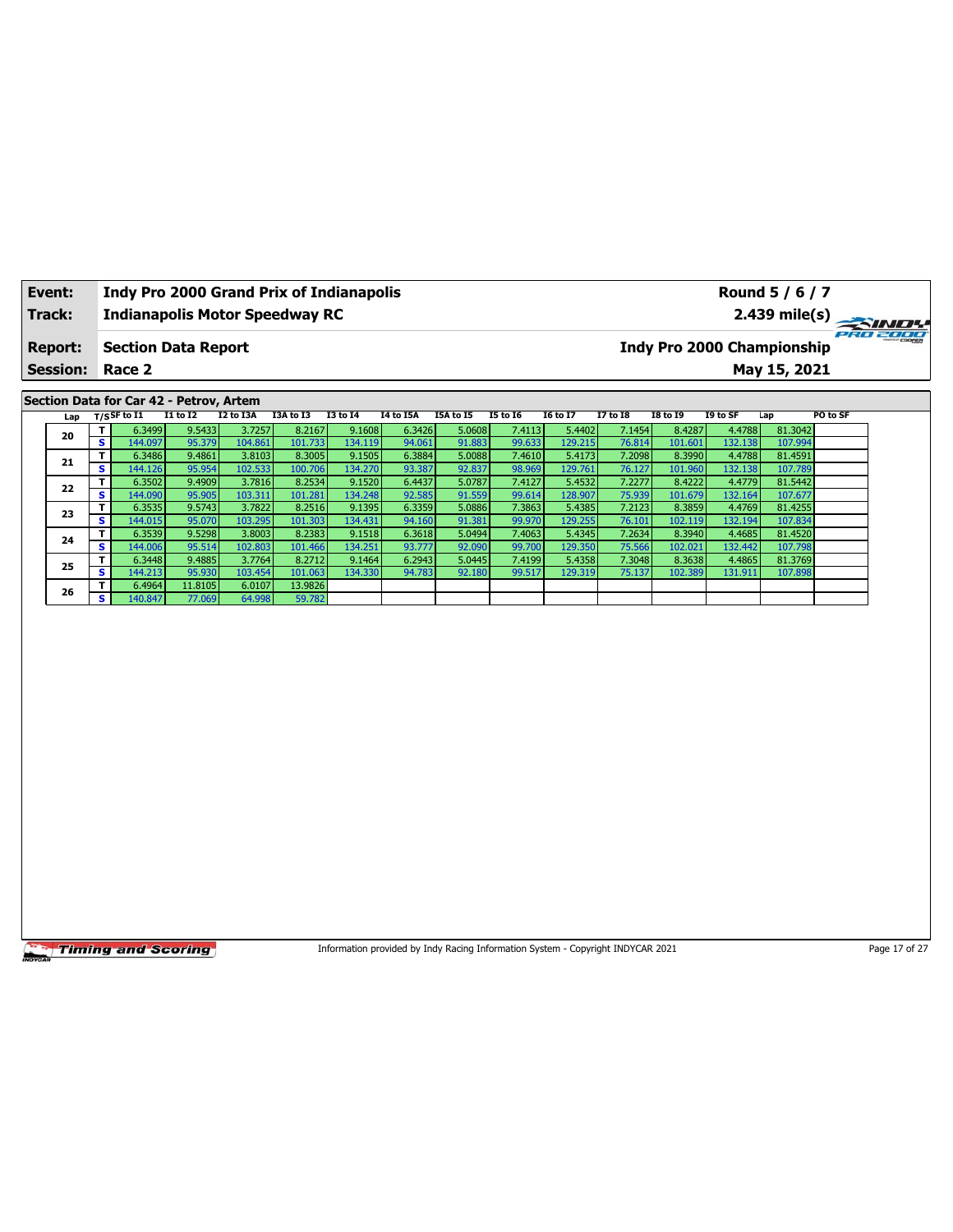| Event:          |                         |                   |                                         |                   | <b>Indy Pro 2000 Grand Prix of Indianapolis</b> |                   |                  |                                                                                 |                  |                   |                  |                   |                   | Round 5 / 6 / 7                   |               |
|-----------------|-------------------------|-------------------|-----------------------------------------|-------------------|-------------------------------------------------|-------------------|------------------|---------------------------------------------------------------------------------|------------------|-------------------|------------------|-------------------|-------------------|-----------------------------------|---------------|
| Track:          |                         |                   |                                         |                   | <b>Indianapolis Motor Speedway RC</b>           |                   |                  |                                                                                 |                  |                   |                  |                   |                   | 2.439 mile(s)                     |               |
| <b>Report:</b>  |                         |                   | <b>Section Data Report</b>              |                   |                                                 |                   |                  |                                                                                 |                  |                   |                  |                   |                   | <b>Indy Pro 2000 Championship</b> | 920 2000      |
| <b>Session:</b> |                         | Race 2            |                                         |                   |                                                 |                   |                  |                                                                                 |                  |                   |                  |                   |                   | May 15, 2021                      |               |
|                 |                         |                   |                                         |                   |                                                 |                   |                  |                                                                                 |                  |                   |                  |                   |                   |                                   |               |
|                 |                         |                   | Section Data for Car 42 - Petrov, Artem |                   |                                                 |                   |                  |                                                                                 |                  |                   |                  |                   |                   |                                   |               |
| Lap             |                         | $T/S$ SF to $I1$  | <b>I1 to I2</b>                         | I2 to I3A         | I3A to I3                                       | <b>I3 to I4</b>   | <b>I4 to I5A</b> | I5A to I5                                                                       | <b>I5 to 16</b>  | <b>I6 to I7</b>   | <b>I7 to 18</b>  | <b>I8 to 19</b>   | I9 to SF          | Lap                               | PO to SF      |
| 20              | T<br>s.                 | 6.3499            | 9.5433                                  | 3.7257            | 8.2167                                          | 9.1608            | 6.3426           | 5.0608                                                                          | 7.4113           | 5.4402            | 7.1454           | 8.4287            | 4.4788            | 81.3042                           |               |
|                 | T                       | 144.097<br>6.3486 | 95.379<br>9.4861                        | 104.861<br>3.8103 | 101.733<br>8.3005                               | 134.119<br>9.1505 | 94.061<br>6.3884 | 91.883<br>5.0088                                                                | 99.633<br>7.4610 | 129.215<br>5.4173 | 76.814<br>7.2098 | 101.601<br>8.3990 | 132.138<br>4.4788 | 107.994<br>81.4591                |               |
| 21              | s                       | 144.126           | 95.954                                  | 102.533           | 100.706                                         | 134.270           | 93.387           | 92.837                                                                          | 98.969           | 129.761           | 76.127           | 101.960           | 132.138           | 107.789                           |               |
|                 | T                       | 6.3502            | 9.4909                                  | 3.7816            | 8.2534                                          | 9.1520            | 6.4437           | 5.0787                                                                          | 7.4127           | 5.4532            | 7.2277           | 8.4222            | 4.4779            | 81.5442                           |               |
| 22              | s                       | 144.090           | 95.905                                  | 103.311           | 101.281                                         | 134.248           | 92.585           | 91.559                                                                          | 99.614           | 128.907           | 75.939           | 101.679           | 132.164           | 107.677                           |               |
| 23              | T                       | 6.3535            | 9.5743                                  | 3.7822            | 8.2516                                          | 9.1395            | 6.3359           | 5.0886                                                                          | 7.3863           | 5.4385            | 7.2123           | 8.3859            | 4.4769            | 81.4255                           |               |
|                 | s                       | 144.015           | 95.070                                  | 103.295           | 101.303                                         | 134.431           | 94.160           | 91.381                                                                          | 99.970           | 129.255           | 76.101           | 102.119           | 132.194           | 107.834                           |               |
| 24              | T.                      | 6.3539            | 9.5298                                  | 3.8003            | 8.2383                                          | 9.1518            | 6.3618           | 5.0494                                                                          | 7.4063           | 5.4345            | 7.2634           | 8.3940            | 4.4685            | 81.4520                           |               |
|                 | s<br>T                  | 144.006           | 95.514                                  | 102.803<br>3.7764 | 101.466<br>8.2712                               | 134.251           | 93.777           | 92.090                                                                          | 99.700           | 129.350           | 75.566           | 102.021           | 132.442           | 107.798                           |               |
| 25              | s                       | 6.3448<br>144.213 | 9.4885<br>95.930                        | 103.454           | 101.063                                         | 9.1464<br>134.330 | 6.2943<br>94.783 | 5.0445<br>92.180                                                                | 7.4199<br>99.517 | 5.4358<br>129.319 | 7.3048<br>75.137 | 8.3638<br>102.389 | 4.4865<br>131.911 | 81.3769<br>107.898                |               |
|                 | T.                      | 6.4964            | 11.8105                                 | 6.0107            | 13.9826                                         |                   |                  |                                                                                 |                  |                   |                  |                   |                   |                                   |               |
| 26              | $\overline{\mathbf{s}}$ | 140.847           | 77.069                                  | 64.998            | 59.782                                          |                   |                  |                                                                                 |                  |                   |                  |                   |                   |                                   |               |
|                 |                         |                   |                                         |                   |                                                 |                   |                  |                                                                                 |                  |                   |                  |                   |                   |                                   |               |
|                 |                         |                   | <b>Timing and Scoring</b>               |                   |                                                 |                   |                  | Information provided by Indy Racing Information System - Copyright INDYCAR 2021 |                  |                   |                  |                   |                   |                                   | Page 17 of 27 |

ヿ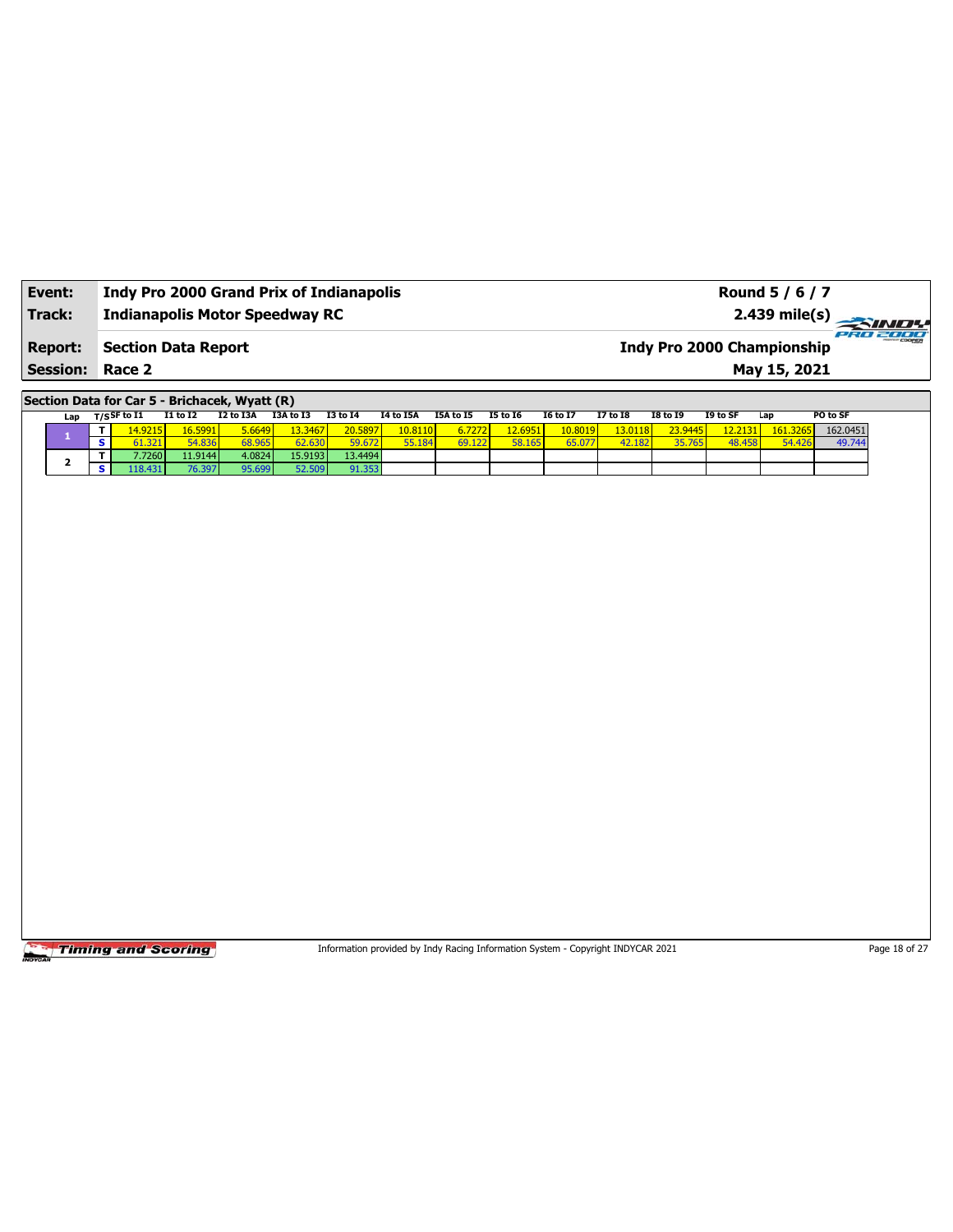| Event:                 | <b>Indy Pro 2000 Grand Prix of Indianapolis</b> | Round 5 / 6 / 7                               |
|------------------------|-------------------------------------------------|-----------------------------------------------|
| Track:                 | <b>Indianapolis Motor Speedway RC</b>           | 2.439 mile(s)                                 |
| <b>Report:</b>         | Section Data Report                             | PRO 2000<br><b>Indy Pro 2000 Championship</b> |
| <b>Session: Race 2</b> |                                                 | May 15, 2021                                  |

**Section Data for Car 5 - Brichacek, Wyatt (R)**

| Lap | T/SSF to I1 | <b>I1 to I2</b> | I2 to I3A              | I3A to I3       | <b>I3 to 14</b> | <b>I4 to I5A</b> | I5A to I5 | <b>I5 to 16</b> | <b>I6 to I7</b> | <b>I7 to I8</b> | <b>I8 to I9</b> | I9 to SF | Lap      | PO to SF |
|-----|-------------|-----------------|------------------------|-----------------|-----------------|------------------|-----------|-----------------|-----------------|-----------------|-----------------|----------|----------|----------|
|     | .4.9215     | 16.5991         | <mark>، 6649، ز</mark> | <u>13.34671</u> | 20.5897         | 10.8110          | 6.7272    | 12,6951'        | 10.8019         | 13.0118         | 23.9445         | 12.2131  | 161.3265 | 162.0451 |
|     | 1.321       | 54.836          | 68.965                 | 62.630          | 59.672          | 55 184           | 69.122    | 58.165          | 65.07           | 42.182          | 35.765          | 48.458   | 54.426   | 49.744   |
|     | 7.7260      | 11.9144 l       | 4.0824                 | 15.9193         | 13.4494         |                  |           |                 |                 |                 |                 |          |          |          |
|     | .18.431     | 76.397          | 95.699                 | 52.509          | 91.353          |                  |           |                 |                 |                 |                 |          |          |          |

**Timing and Scoring** 

Information provided by Indy Racing Information System - Copyright INDYCAR 2021 Page 18 of 27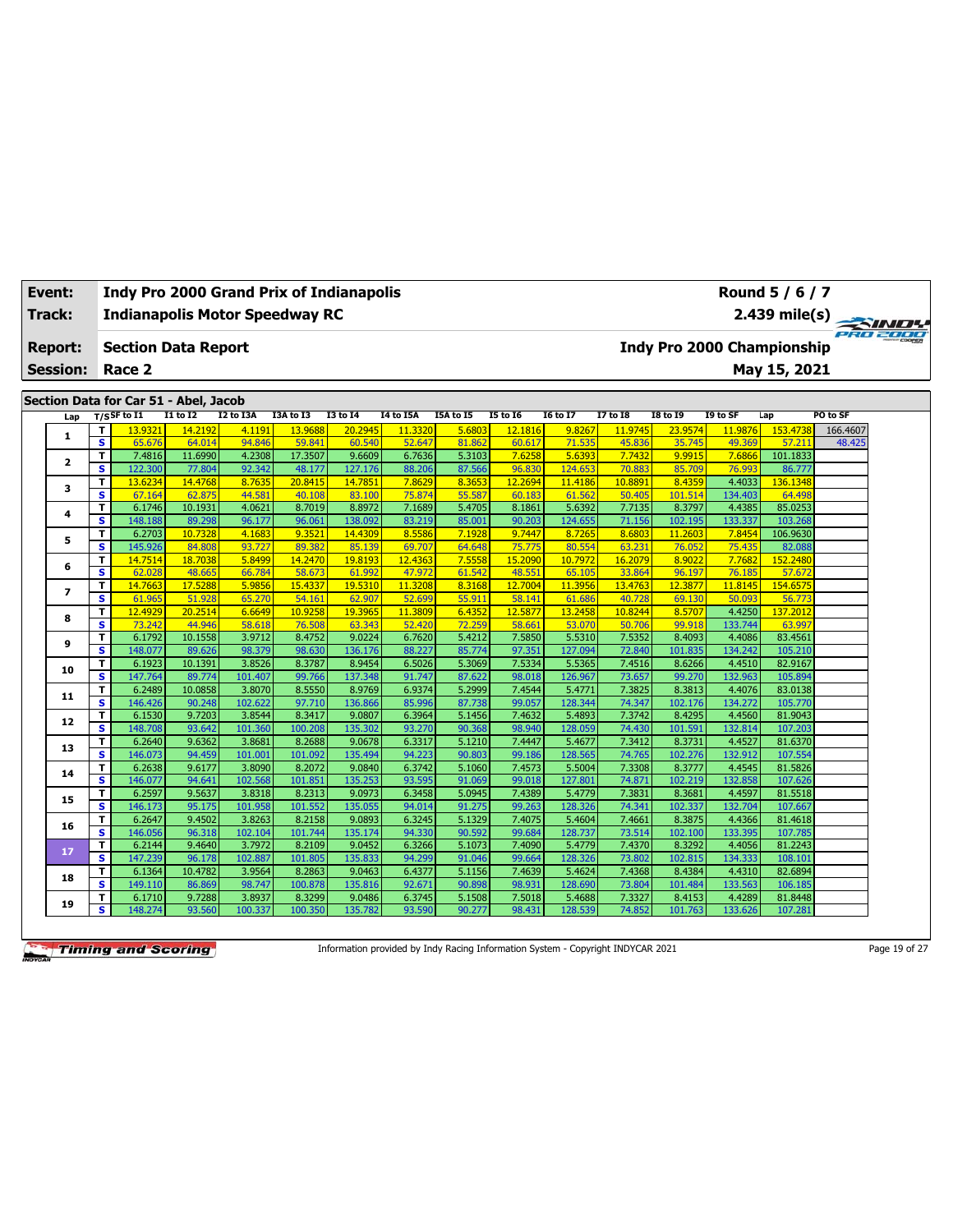| Track: |                 |                         | <b>Indianapolis Motor Speedway RC</b>                   |                   |                   |                   |                   |                  |                  |                  |                   |                  |                            |                   |                    | 2.439 mile(s) $\rightarrow$ | PRO 2000 |
|--------|-----------------|-------------------------|---------------------------------------------------------|-------------------|-------------------|-------------------|-------------------|------------------|------------------|------------------|-------------------|------------------|----------------------------|-------------------|--------------------|-----------------------------|----------|
|        | <b>Report:</b>  |                         | <b>Section Data Report</b>                              |                   |                   |                   |                   |                  |                  |                  |                   |                  | Indy Pro 2000 Championship |                   |                    |                             |          |
|        | <b>Session:</b> |                         | Race 2                                                  |                   |                   |                   |                   |                  |                  |                  |                   |                  |                            |                   | May 15, 2021       |                             |          |
|        |                 |                         |                                                         |                   |                   |                   |                   |                  |                  |                  |                   |                  |                            |                   |                    |                             |          |
|        | Lap             |                         | Section Data for Car 51 - Abel, Jacob<br>$T/S$ SF to I1 | <b>I1 to I2</b>   | I2 to I3A         | I3A to I3         | <b>I3 to 14</b>   | <b>I4 to I5A</b> | I5A to I5        | <b>I5 to 16</b>  | <b>I6 to I7</b>   | <b>17 to 18</b>  | <b>I8 to 19</b>            | I9 to SF          | Lap                | PO to SF                    |          |
|        |                 | T                       | 13.9321                                                 | 14.2192           | 4.1191            | 13.9688           | 20.2945           | 11.3320          | 5.6803           | 12.1816          | 9.8267            | 11.9745          | 23.9574                    | 11.9876           | 153.4738           | 166.4607                    |          |
|        | 1               | $\overline{\mathbf{s}}$ | 65.676                                                  | 64.014            | 94.846            | 59.841            | 60.540            | 52.647           | 81.862           | 60.617           | 71.535            | 45.836           | 35.745                     | 49.369            | 57.211             | 48.425                      |          |
|        | $\mathbf{z}$    | T                       | 7.4816                                                  | 11.6990           | 4.2308            | 17.3507           | 9.6609            | 6.7636           | 5.3103           | 7.6258           | 5.6393            | 7.7432           | 9.9915                     | 7.6866            | 101.1833           |                             |          |
|        |                 | s                       | 122.300                                                 | 77,804            | 92.342            | 48.177            | 127.176           | 88.206           | 87.566           | 96.830           | 124.653           | 70.883           | 85.709                     | 76.993            | 86.777             |                             |          |
|        | з               | T                       | 13.6234                                                 | 14.4768           | 8.7635            | 20.8415           | 14,7851           | 7.8629           | 8.3653           | 12.2694          | 11.4186           | 10.8891          | 8.4359                     | 4.4033            | 136.1348           |                             |          |
|        |                 | $\overline{\mathbf{s}}$ | 67.164                                                  | 62.875            | 44.581            | 40.108            | 83.100            | 75.874           | 55.587           | 60.183           | 61.562            | 50,405           | 101.514                    | 134.403           | 64.498             |                             |          |
|        | 4               | T                       | 6.1746                                                  | 10.1931           | 4.0621            | 8.7019            | 8.8972            | 7.1689           | 5.4705           | 8.1861           | 5.6392            | 7.7135           | 8.3797                     | 4.4385            | 85.0253            |                             |          |
|        |                 | s                       | 148.188                                                 | 89.298            | 96.177            | 96.061            | 138.092           | 83.219           | 85.001           | 90.203           | 124.655           | 71.156           | 102.195                    | 133.337           | 103.268            |                             |          |
|        | 5               | T<br>$\mathbf{s}$       | 6.2703<br>145.926                                       | 10.7328<br>84.808 | 4.1683<br>93.727  | 9.3521<br>89.382  | 14.4309<br>85.139 | 8.5586<br>69.707 | 7.1928<br>64.648 | 9.7447<br>75.775 | 8.7265<br>80.554  | 8.6803<br>63.231 | 11.2603<br>76.052          | 7.8454<br>75.435  | 106.9630<br>82.088 |                             |          |
|        |                 | T                       | 14.7514                                                 | 18,7038           | 5.8499            | 14,2470           | 19,8193           | 12,4363          | 7.5558           | 15.2090          | 10.7972           | 16,2079          | 8.9022                     | 7.7682            | 152.2480           |                             |          |
|        | 6               | s                       | 62.028                                                  | 48.665            | 66.784            | 58.673            | 61.992            | 47.972           | 61.542           | 48.551           | 65.105            | 33.864           | 96.197                     | 76.185            | 57.672             |                             |          |
|        |                 | T                       | 14,7663                                                 | 17,5288           | 5.9856            | 15,4337           | 19.5310           | 11.3208          | 8.3168           | 12,7004          | 11.3956           | 13.4763          | 12,3877                    | 11.8145           | 154.6575           |                             |          |
|        | $\overline{ }$  | $\overline{\mathbf{s}}$ | 61.965                                                  | 51.928            | 65.270            | 54.161            | 62.907            | 52.699           | 55.911           | 58.141           | 61.686            | 40.728           | 69.130                     | 50.093            | 56.773             |                             |          |
|        |                 | T                       | 12,4929                                                 | 20.2514           | 6.6649            | 10.9258           | 19.396            | 11.3809          | 6.4352           | 12.5877          | 13.2458           | 10.8244          | 8.5707                     | 4.4250            | 137.2012           |                             |          |
|        | 8               | s                       | 73.242                                                  | 44.946            | 58.618            | 76.508            | 63.343            | 52.420           | 72.259           | 58.661           | 53.070            | 50.706           | 99.918                     | 133.744           | 63.997             |                             |          |
|        |                 | T.                      | 6.1792                                                  | 10.1558           | 3.9712            | 8.4752            | 9.0224            | 6.7620           | 5.4212           | 7.5850           | 5.5310            | 7.5352           | 8.4093                     | 4.4086            | 83.4561            |                             |          |
|        | 9               | s                       | 148.077                                                 | 89.626            | 98.379            | 98.630            | 136.176           | 88.227           | 85.774           | 97.351           | 127.094           | 72.840           | 101.835                    | 134.242           | 105.210            |                             |          |
|        |                 | T                       | 6.1923                                                  | 10.1391           | 3.8526            | 8.3787            | 8.9454            | 6.5026           | 5.3069           | 7.5334           | 5.5365            | 7.4516           | 8.6266                     | 4.4510            | 82.9167            |                             |          |
|        | 10              | s                       | 147.764                                                 | 89.774            | 101.407           | 99.766            | 137.348           | 91.747           | 87.622           | 98.018           | 126.967           | 73.657           | 99.270                     | 132.963           | 105.894            |                             |          |
|        | 11              | T                       | 6.2489                                                  | 10.0858           | 3.8070            | 8.5550            | 8.9769            | 6.9374           | 5.2999           | 7.4544           | 5.4771            | 7.3825           | 8.3813                     | 4.4076            | 83.0138            |                             |          |
|        |                 | s                       | 146.426                                                 | 90.248            | 102.622           | 97.710            | 136.866           | 85.996           | 87.738           | 99.057           | 128.344           | 74.347           | 102.176                    | 134.272           | 105.770            |                             |          |
|        | 12              | T                       | 6.1530                                                  | 9.7203            | 3.8544            | 8.3417            | 9.0807            | 6.3964           | 5.1456           | 7.4632           | 5.4893            | 7.3742           | 8.4295                     | 4.4560            | 81.9043            |                             |          |
|        |                 | s                       | 148.708                                                 | 93.642            | 101.360           | 100.208           | 135.302           | 93.270           | 90.368           | 98.940           | 128.059           | 74.430           | 101.591                    | 132.814           | 107.203            |                             |          |
|        | 13              | $\mathbf{T}$            | 6.2640                                                  | 9.6362            | 3.8681            | 8.2688            | 9.0678            | 6.3317           | 5.1210           | 7.4447           | 5.4677            | 7.3412           | 8.3731                     | 4.4527            | 81.6370            |                             |          |
|        |                 | $\overline{\mathbf{s}}$ | 146.073                                                 | 94.459            | 101.001           | 101.092           | 135.494           | 94.223           | 90.803           | 99.186           | 128.565           | 74.765           | 102.276                    | 132.912           | 107.554            |                             |          |
|        | 14              | T                       | 6.2638                                                  | 9.6177            | 3.8090            | 8.2072            | 9.0840            | 6.3742           | 5.1060           | 7.4573           | 5.5004            | 7.3308           | 8.3777                     | 4.4545            | 81.5826            |                             |          |
|        |                 | s                       | 146.077<br>6.2597                                       | 94.641<br>9.5637  | 102.568<br>3.8318 | 101.851           | 135.253<br>9.0973 | 93.595<br>6.3458 | 91.069<br>5.0945 | 99.018<br>7.4389 | 127.801           | 74.871<br>7.3831 | 102.219<br>8.3681          | 132.858<br>4.4597 | 107.626<br>81.5518 |                             |          |
|        | 15              | T<br>s                  | 146.173                                                 | 95.175            | 101.958           | 8.2313<br>101.552 | 135.055           | 94.014           | 91.275           | 99.263           | 5.4779<br>128.326 | 74.341           | 102.337                    | 132.704           | 107.667            |                             |          |
|        |                 | T                       | 6.2647                                                  | 9.4502            | 3.8263            | 8.2158            | 9.0893            | 6.3245           | 5.1329           | 7.4075           | 5.4604            | 7.4661           | 8.3875                     | 4.4366            | 81.4618            |                             |          |
|        | 16              | s                       | 146.056                                                 | 96.318            | 102.104           | 101.744           | 135.174           | 94.330           | 90.592           | 99.684           | 128.737           | 73.514           | 102.100                    | 133.395           | 107.785            |                             |          |
|        |                 | T.                      | 6.2144                                                  | 9.4640            | 3.7972            | 8.2109            | 9.0452            | 6.3266           | 5.1073           | 7.4090           | 5.4779            | 7.4370           | 8.3292                     | 4.4056            | 81.2243            |                             |          |
|        | 17              | s                       | 147.239                                                 | 96.178            | 102.887           | 101.805           | 135.833           | 94.299           | 91.046           | 99.664           | 128.326           | 73.802           | 102.815                    | 134.333           | 108.101            |                             |          |
|        |                 | T                       | 6.1364                                                  | 10.4782           | 3.9564            | 8.2863            | 9.0463            | 6.4377           | 5.1156           | 7.4639           | 5.4624            | 7.4368           | 8.4384                     | 4.4310            | 82.6894            |                             |          |
|        | 18              | s                       | 149.110                                                 | 86.869            | 98.747            | 100.878           | 135.816           | 92.671           | 90.898           | 98.931           | 128.690           | 73.804           | 101.484                    | 133.563           | 106.185            |                             |          |
|        |                 | T                       | 6.1710                                                  | 9.7288            | 3.8937            | 8.3299            | 9.0486            | 6.3745           | 5.1508           | 7.5018           | 5.4688            | 7.3327           | 8.4153                     | 4.4289            | 81.8448            |                             |          |
|        | 19              | s.                      | 148.274                                                 | 93.560            | 100.337           | 100.350           | 135.782           | 93.590           | 90.277           | 98.431           | 128.539           | 74.852           | 101.763                    | 133.626           | 107.281            |                             |          |

**Event: Indy Pro 2000 Grand Prix of Indianapolis**

Information provided by Indy Racing Information System - Copyright INDYCAR 2021 Page 19 of 27

**Round 5 / 6 / 7**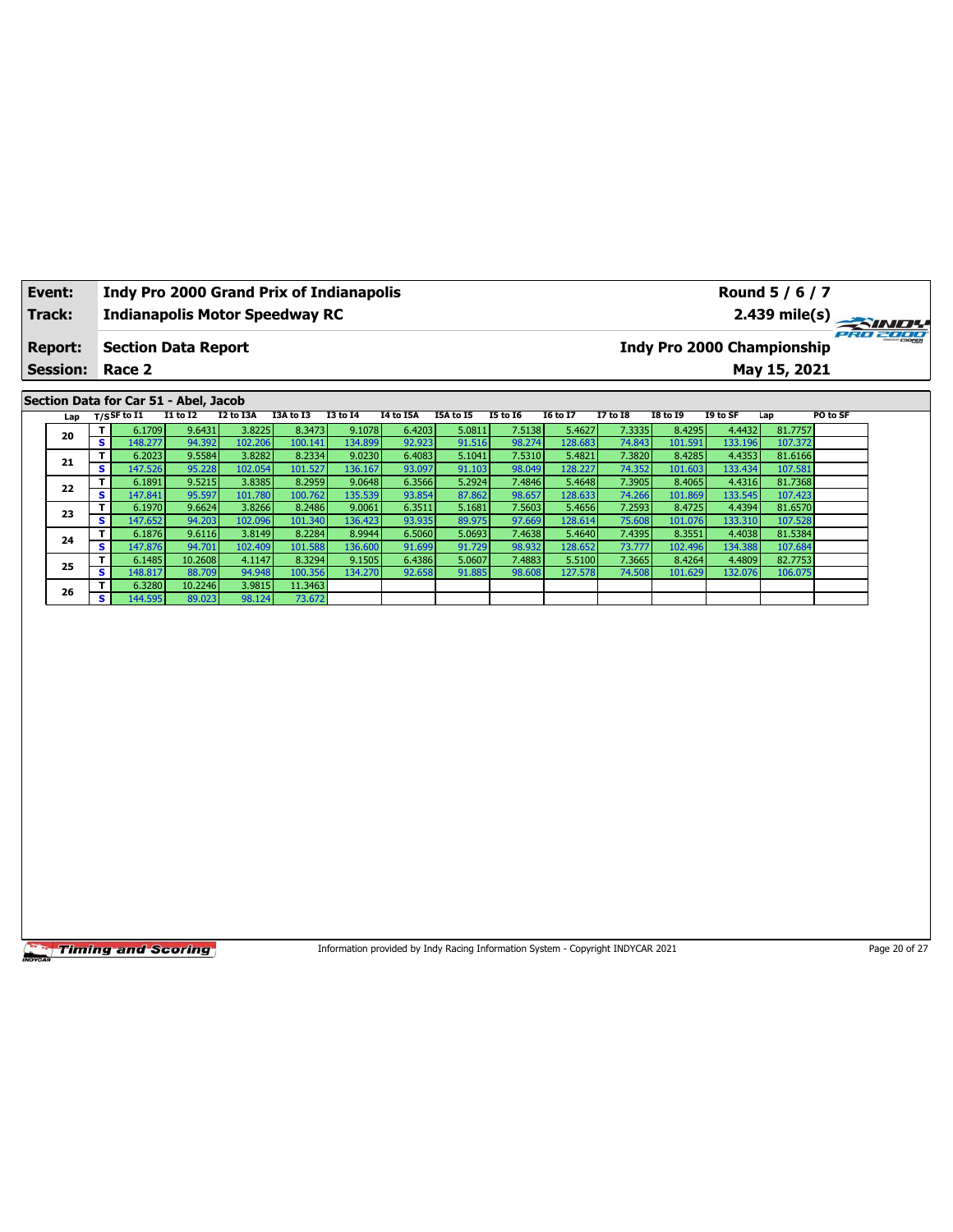| Event:<br>Track: |                         | <b>Indy Pro 2000 Grand Prix of Indianapolis</b><br><b>Indianapolis Motor Speedway RC</b> |                   |                   |                    |                   |                  |                  |                                                                                 |                   |                  |                   |                   | Round 5 / 6 / 7<br>2.439 mile(s)  |               |
|------------------|-------------------------|------------------------------------------------------------------------------------------|-------------------|-------------------|--------------------|-------------------|------------------|------------------|---------------------------------------------------------------------------------|-------------------|------------------|-------------------|-------------------|-----------------------------------|---------------|
|                  |                         |                                                                                          |                   |                   |                    |                   |                  |                  |                                                                                 |                   |                  |                   |                   |                                   | PRO 2000      |
| <b>Report:</b>   |                         | <b>Section Data Report</b>                                                               |                   |                   |                    |                   |                  |                  |                                                                                 |                   |                  |                   |                   | <b>Indy Pro 2000 Championship</b> |               |
| <b>Session:</b>  |                         | Race 2                                                                                   |                   |                   |                    |                   |                  |                  |                                                                                 |                   |                  |                   |                   | May 15, 2021                      |               |
|                  |                         | Section Data for Car 51 - Abel, Jacob                                                    |                   |                   |                    |                   |                  |                  |                                                                                 |                   |                  |                   |                   |                                   |               |
| Lap              |                         | $T/S$ SF to $I1$                                                                         | $I1$ to $I2$      | I2 to I3A         | I3A to I3          | <b>I3 to 14</b>   | <b>I4 to I5A</b> | I5A to I5        | <b>I5 to 16</b>                                                                 | <b>I6 to I7</b>   | <b>I7 to 18</b>  | <b>I8 to 19</b>   | I9 to SF          | Lap                               | PO to SF      |
| 20               | T                       | 6.1709                                                                                   | 9.6431            | 3.8225            | 8.3473             | 9.1078            | 6.4203           | 5.0811           | 7.5138                                                                          | 5.4627            | 7.3335           | 8.4295            | 4.4432            | 81.7757                           |               |
|                  | $\overline{\mathbf{s}}$ | 148.277                                                                                  | 94.392            | 102.206           | 100.141            | 134.899           | 92.923           | 91.516           | 98.274                                                                          | 128.683           | 74.843           | 101.591           | 133.196           | 107.372                           |               |
| 21               | T<br>S.                 | 6.2023<br>147.526                                                                        | 9.5584<br>95.228  | 3.8282<br>102.054 | 8.2334<br>101.527  | 9.0230<br>136.167 | 6.4083<br>93.097 | 5.1041<br>91.103 | 7.5310<br>98.049                                                                | 5.4821<br>128.227 | 7.3820<br>74.352 | 8.4285<br>101.603 | 4.4353<br>133.434 | 81.6166<br>107.581                |               |
|                  | T                       | 6.1891                                                                                   | 9.5215            | 3.8385            | 8.2959             | 9.0648            | 6.3566           | 5.2924           | 7.4846                                                                          | 5.4648            | 7.3905           | 8.4065            | 4.4316            | 81.7368                           |               |
| 22               | s                       | 147.841                                                                                  | 95.597            | 101.780           | 100.762            | 135.539           | 93.854           | 87.862           | 98.657                                                                          | 128.633           | 74.266           | 101.869           | 133.545           | 107.423                           |               |
|                  | T                       | 6.1970                                                                                   | 9.6624            | 3.8266            | 8.2486             | 9.0061            | 6.3511           | 5.1681           | 7.5603                                                                          | 5.4656            | 7.2593           | 8.4725            | 4.4394            | 81.6570                           |               |
| 23               | s                       | 147.652                                                                                  | 94.203            | 102.096           | 101.340            | 136.423           | 93.935           | 89.975           | 97.669                                                                          | 128.614           | 75.608           | 101.076           | 133.310           | 107.528                           |               |
| 24               | T.                      | 6.1876                                                                                   | 9.6116            | 3.8149            | 8.2284             | 8.9944            | 6.5060           | 5.0693           | 7.4638                                                                          | 5.4640            | 7.4395           | 8.3551            | 4.4038            | 81.5384                           |               |
|                  | $\overline{\mathbf{s}}$ | 147.876                                                                                  | 94.701            | 102.409           | 101.588            | 136.600           | 91.699           | 91.729           | 98.932                                                                          | 128.652           | 73.777           | 102.496           | 134.388           | 107.684                           |               |
| 25               | T                       | 6.1485                                                                                   | 10.2608           | 4.1147            | 8.3294             | 9.1505            | 6.4386           | 5.0607           | 7.4883                                                                          | 5.5100            | 7.3665           | 8.4264            | 4.4809            | 82.7753                           |               |
|                  | s                       | 148.817<br>6.3280                                                                        | 88.709<br>10.2246 | 94.948<br>3.9815  | 100.356<br>11.3463 | 134.270           | 92.658           | 91.885           | 98.608                                                                          | 127.578           | 74.508           | 101.629           | 132.076           | 106.075                           |               |
| 26               | Τ.<br>S.                | 144.595                                                                                  | 89.023            | 98.124            | 73.672             |                   |                  |                  |                                                                                 |                   |                  |                   |                   |                                   |               |
|                  |                         |                                                                                          |                   |                   |                    |                   |                  |                  |                                                                                 |                   |                  |                   |                   |                                   |               |
|                  |                         | <b>Timing and Scoring</b>                                                                |                   |                   |                    |                   |                  |                  | Information provided by Indy Racing Information System - Copyright INDYCAR 2021 |                   |                  |                   |                   |                                   | Page 20 of 27 |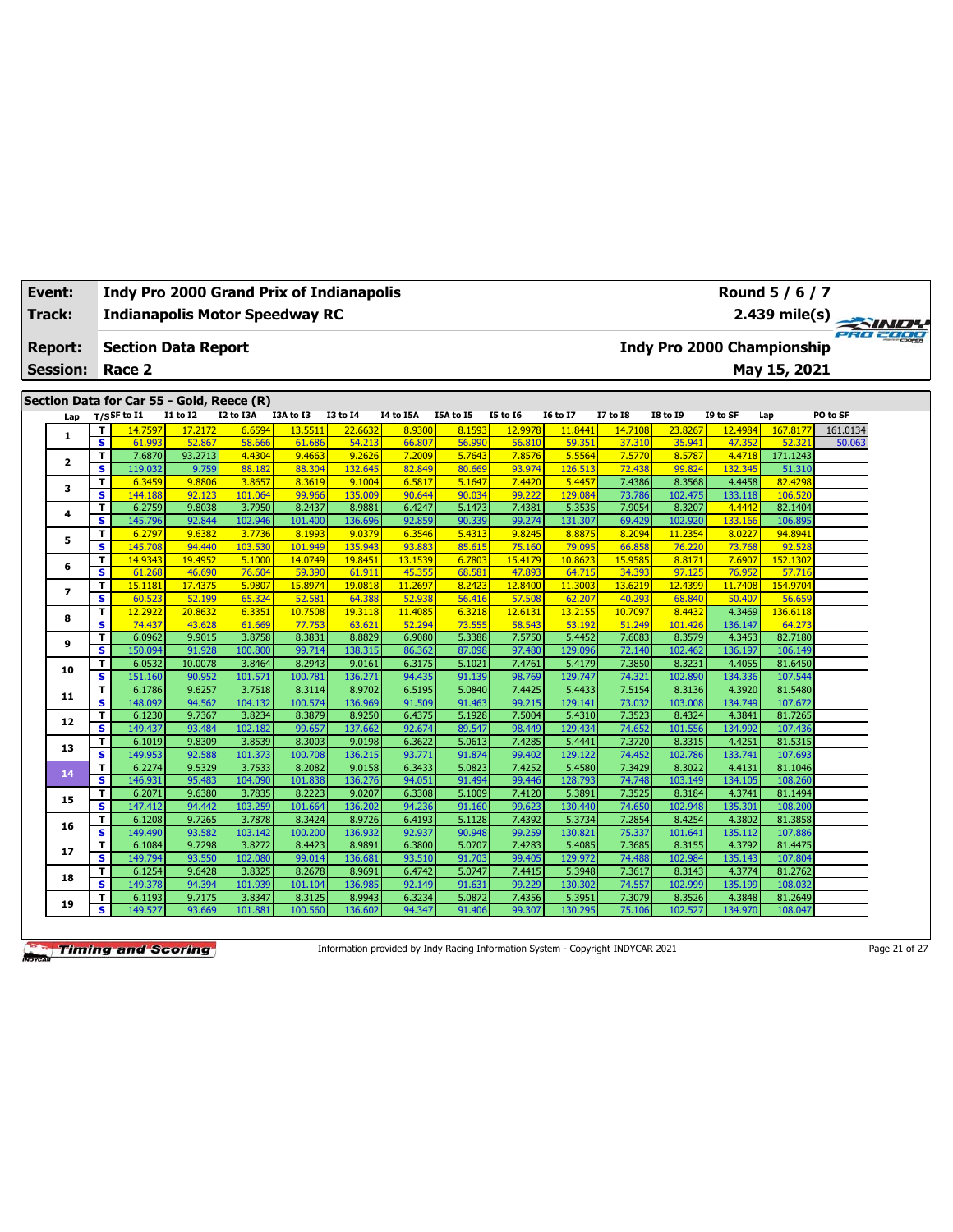|        | Event:          |                         |                                           |                  |                   | <b>Indy Pro 2000 Grand Prix of Indianapolis</b> |                   |                  |                  |                  |                   |                  |                   |                                   | Round 5 / 6 / 7    |          |  |
|--------|-----------------|-------------------------|-------------------------------------------|------------------|-------------------|-------------------------------------------------|-------------------|------------------|------------------|------------------|-------------------|------------------|-------------------|-----------------------------------|--------------------|----------|--|
| Track: |                 |                         |                                           |                  |                   | <b>Indianapolis Motor Speedway RC</b>           |                   |                  |                  |                  |                   |                  |                   |                                   | $2.439$ mile(s)    | PRO 2000 |  |
|        | <b>Report:</b>  |                         | <b>Section Data Report</b>                |                  |                   |                                                 |                   |                  |                  |                  |                   |                  |                   | <b>Indy Pro 2000 Championship</b> |                    |          |  |
|        | <b>Session:</b> |                         | Race 2                                    |                  |                   |                                                 |                   |                  |                  |                  |                   |                  |                   |                                   | May 15, 2021       |          |  |
|        |                 |                         |                                           |                  |                   |                                                 |                   |                  |                  |                  |                   |                  |                   |                                   |                    |          |  |
|        |                 |                         | Section Data for Car 55 - Gold, Reece (R) |                  |                   |                                                 |                   |                  |                  |                  |                   |                  |                   |                                   |                    |          |  |
|        | Lap             |                         | $T/S$ SF to I1                            | <b>I1 to I2</b>  | <b>I2 to I3A</b>  | I3A to I3                                       | <b>I3 to 14</b>   | I4 to I5A        | I5A to I5        | <b>I5 to 16</b>  | <b>16 to 17</b>   | 17 to 18         | <b>I8 to 19</b>   | I9 to SF                          | Lap                | PO to SF |  |
|        | 1               | T                       | 14.7597                                   | 17,2172          | 6.6594            | 13.5511                                         | 22.6632           | 8.9300           | 8.1593           | 12.9978          | 11.8441           | 14.7108          | 23.8267           | 12.4984                           | 167.8177           | 161.0134 |  |
|        |                 | $\overline{\mathbf{s}}$ | 61.993                                    | 52.867           | 58.666            | 61.686                                          | 54.213            | 66.807           | 56.990           | 56.810           | 59.351            | 37.310           | 35.941            | 47.352                            | 52.321             | 50.063   |  |
|        | 2               | T.                      | 7.6870                                    | 93.2713          | 4.4304            | 9.4663                                          | 9.262             | 7.2009           | 5.7643           | 7.8576           | 5.5564            | 7.5770           | 8.5787            | 4.4718                            | 171.1243           |          |  |
|        |                 | S<br>T.                 | 119.032                                   | 9.759<br>9.8806  | 88.182<br>3.8657  | 88.304<br>8.3619                                | 132.645<br>9.1004 | 82.849           | 80.669<br>5.1647 | 93.974<br>7.4420 | 126.513<br>5.4457 | 72.438<br>7.4386 | 99.824<br>8.3568  | 132.345<br>4.4458                 | 51.310<br>82,4298  |          |  |
|        | 3               | $\overline{\mathbf{s}}$ | 6.3459<br>144.188                         | 92.123           | 101.064           | 99.966                                          | 135,009           | 6.5817<br>90.644 | 90.034           | 99.222           | 129.084           | 73.786           | 102.475           | 133.118                           | 106.520            |          |  |
|        |                 | T.                      | 6.2759                                    | 9.8038           | 3.7950            | 8.2437                                          | 8.9881            | 6.4247           | 5.1473           | 7.4381           | 5.3535            | 7.9054           | 8.3207            | 4.4442                            | 82.1404            |          |  |
|        | 4               | s                       | 145.796                                   | 92.844           | 102.946           | 101.400                                         | 136.696           | 92.859           | 90.339           | 99.274           | 131.307           | 69.429           | 102.920           | 133.166                           | 106.895            |          |  |
|        |                 | T                       | 6.2797                                    | 9.638            | 3.7736            | 8.1993                                          | 9.0379            | 6.3546           | 5.4313           | 9.8245           | 8.8875            | 8.2094           | 11.2354           | 8.0227                            | 94.8941            |          |  |
|        | 5               | $\overline{\mathbf{s}}$ | 145.708                                   | 94.440           | 103.530           | 101.949                                         | 135.943           | 93.883           | 85.615           | 75.160           | 79.095            | 66.858           | 76.220            | 73.768                            | 92.528             |          |  |
|        |                 | T                       | 14.9343                                   | 19.4952          | 5.1000            | 14.0749                                         | 19.845            | 13.1539          | 6.7803           | 15.4179          | 10.8623           | 15.958           | 8.8171            | 7.6907                            | 152.1302           |          |  |
|        | 6               | s                       | 61.268                                    | 46.690           | 76.604            | 59.390                                          | 61.911            | 45.355           | 68.581           | 47.893           | 64.715            | 34.393           | 97.125            | 76.952                            | 57.716             |          |  |
|        |                 | T.                      | 15.1181                                   | 17.4375          | 5.9807            | 15,8974                                         | 19.0818           | 11.2697          | 8.2423           | 12.8400          | 11,3003           | 13,6219          | 12.4399           | 11.7408                           | 154,9704           |          |  |
|        | $\overline{ }$  | s                       | 60.523                                    | 52.199           | 65.324            | 52.581                                          | 64.388            | 52.938           | 56.416           | 57.508           | 62.207            | 40.293           | 68.840            | 50.40                             | 56.659             |          |  |
|        | 8               | T                       | 12.2922                                   | 20.8632          | 6.3351            | 10.7508                                         | 19.3118           | 11.4085          | 6.3218           | 12.6131          | 13.2155           | 10.7097          | 8.4432            | 4.3469                            | 136.6118           |          |  |
|        |                 | $\overline{\mathbf{s}}$ | 74.437                                    | 43.628           | 61.669            | 77.753                                          | 63.621            | 52.294           | 73.555           | 58.543           | 53.192            | 51.249           | 101.426           | 136.147                           | 64.273             |          |  |
|        | 9               | T                       | 6.0962                                    | 9.9015           | 3.8758            | 8.3831                                          | 8.8829            | 6.9080           | 5.3388           | 7.5750           | 5.4452            | 7.6083           | 8.3579            | 4.3453                            | 82.7180            |          |  |
|        |                 | s                       | 150.094                                   | 91.928           | 100.800           | 99.714                                          | 138.315           | 86.362           | 87.098           | 97.480           | 129.096           | 72.140           | 102.462           | 136.197                           | 106.149            |          |  |
|        | 10              | T                       | 6.0532                                    | 10.0078          | 3.8464            | 8.2943                                          | 9.0161            | 6.3175           | 5.1021           | 7.4761           | 5.4179            | 7.3850           | 8.3231            | 4.4055                            | 81.6450            |          |  |
|        |                 | s                       | 151.160                                   | 90.952           | 101.571           | 100.781                                         | 136.271           | 94.435           | 91.139           | 98.769           | 129.747           | 74.321           | 102.890           | 134.336                           | 107.544            |          |  |
|        | 11              | T.                      | 6.1786                                    | 9.6257           | 3.7518            | 8.3114                                          | 8.9702            | 6.5195           | 5.0840           | 7.4425           | 5.4433            | 7.5154           | 8.3136            | 4.3920                            | 81.5480            |          |  |
|        |                 | s.                      | 148.092                                   | 94.562           | 104.132           | 100.574                                         | 136.969           | 91.509           | 91.463           | 99.215           | 129.141           | 73.032           | 103.008           | 134.749                           | 107.672            |          |  |
|        | 12              | T                       | 6.1230                                    | 9.7367           | 3.8234            | 8.3879                                          | 8.9250            | 6.4375           | 5.1928           | 7.5004           | 5.4310            | 7.3523           | 8.4324            | 4.3841                            | 81.7265            |          |  |
|        |                 | $\overline{\mathbf{s}}$ | 149.437                                   | 93.484           | 102.182           | 99.657                                          | 137.662           | 92.674           | 89.547           | 98.449           | 129.434           | 74.652           | 101.556           | 134.992                           | 107.436            |          |  |
|        | 13              | T                       | 6.1019                                    | 9.8309           | 3.8539            | 8.3003                                          | 9.0198            | 6.3622           | 5.0613           | 7.4285           | 5.4441            | 7.3720           | 8.3315            | 4.4251                            | 81.5315            |          |  |
|        |                 | $\overline{\mathbf{s}}$ | 149.953                                   | 92.588<br>9.5329 | 101.373<br>3.7533 | 100.708<br>8.2082                               | 136.215<br>9.0158 | 93.771           | 91.874<br>5.0823 | 99.402<br>7.4252 | 129.122<br>5.4580 | 74.452<br>7.3429 | 102.786<br>8.3022 | 133.741                           | 107.693<br>81.1046 |          |  |
|        | 14              | T.<br>s.                | 6.2274<br>146.931                         | 95.483           | 104.090           | 101.838                                         | 136.276           | 6.3433<br>94.05  | 91.494           | 99.446           | 128.793           | 74.748           | 103.149           | 4.4131<br>134.105                 | 108,260            |          |  |
|        |                 | T.                      | 6.2071                                    | 9.6380           | 3.7835            | 8.2223                                          | 9.0207            | 6.3308           | 5.1009           | 7.4120           | 5.3891            | 7.3525           | 8.3184            | 4.3741                            | 81.1494            |          |  |
|        | 15              | s.                      | 147.412                                   | 94.442           | 103.259           | 101.664                                         | 136.202           | 94.236           | 91.160           | 99.623           | 130.440           | 74.650           | 102.948           | 135.301                           | 108,200            |          |  |
|        |                 | T.                      | 6.1208                                    | 9.7265           | 3.7878            | 8.3424                                          | 8.9726            | 6.4193           | 5.1128           | 7.4392           | 5.3734            | 7.2854           | 8.4254            | 4.3802                            | 81.3858            |          |  |
|        | 16              | s                       | 149.490                                   | 93.582           | 103.142           | 100.200                                         | 136.932           | 92.937           | 90.948           | 99.259           | 130.821           | 75.337           | 101.641           | 135.112                           | 107.886            |          |  |
|        |                 | T                       | 6.1084                                    | 9.7298           | 3.8272            | 8.4423                                          | 8.9891            | 6.3800           | 5.0707           | 7.4283           | 5.4085            | 7.3685           | 8.3155            | 4.3792                            | 81.4475            |          |  |
|        | 17              | S                       | 149.794                                   | 93.550           | 102.080           | 99.014                                          | 136.681           | 93.510           | 91.703           | 99.405           | 129.972           | 74.488           | 102.984           | 135.143                           | 107.804            |          |  |
|        |                 | T.                      | 6.1254                                    | 9.6428           | 3.8325            | 8.2678                                          | 8.9691            | 6.4742           | 5.0747           | 7.4415           | 5.3948            | 7.3617           | 8.3143            | 4.3774                            | 81.2762            |          |  |
|        | 18              | s                       | 149.378                                   | 94.394           | 101.939           | 101.104                                         | 136.985           | 92.149           | 91.631           | 99.229           | 130.302           | 74.557           | 102.999           | 135.199                           | 108.032            |          |  |
|        |                 | T.                      | 6.1193                                    | 9.7175           | 3.8347            | 8.3125                                          | 8.9943            | 6.3234           | 5.0872           | 7.4356           | 5.3951            | 7.3079           | 8.3526            | 4.3848                            | 81.2649            |          |  |
|        | 19              | s                       | 149.527                                   | 93.669           | 101.881           | 100.560                                         | 136.602           | 94.347           | 91.406           | 99.307           | 130.295           | 75.106           | 102.527           | 134.970                           | 108.047            |          |  |

Information provided by Indy Racing Information System - Copyright INDYCAR 2021 Page 21 of 27

 $\overline{\phantom{a}}$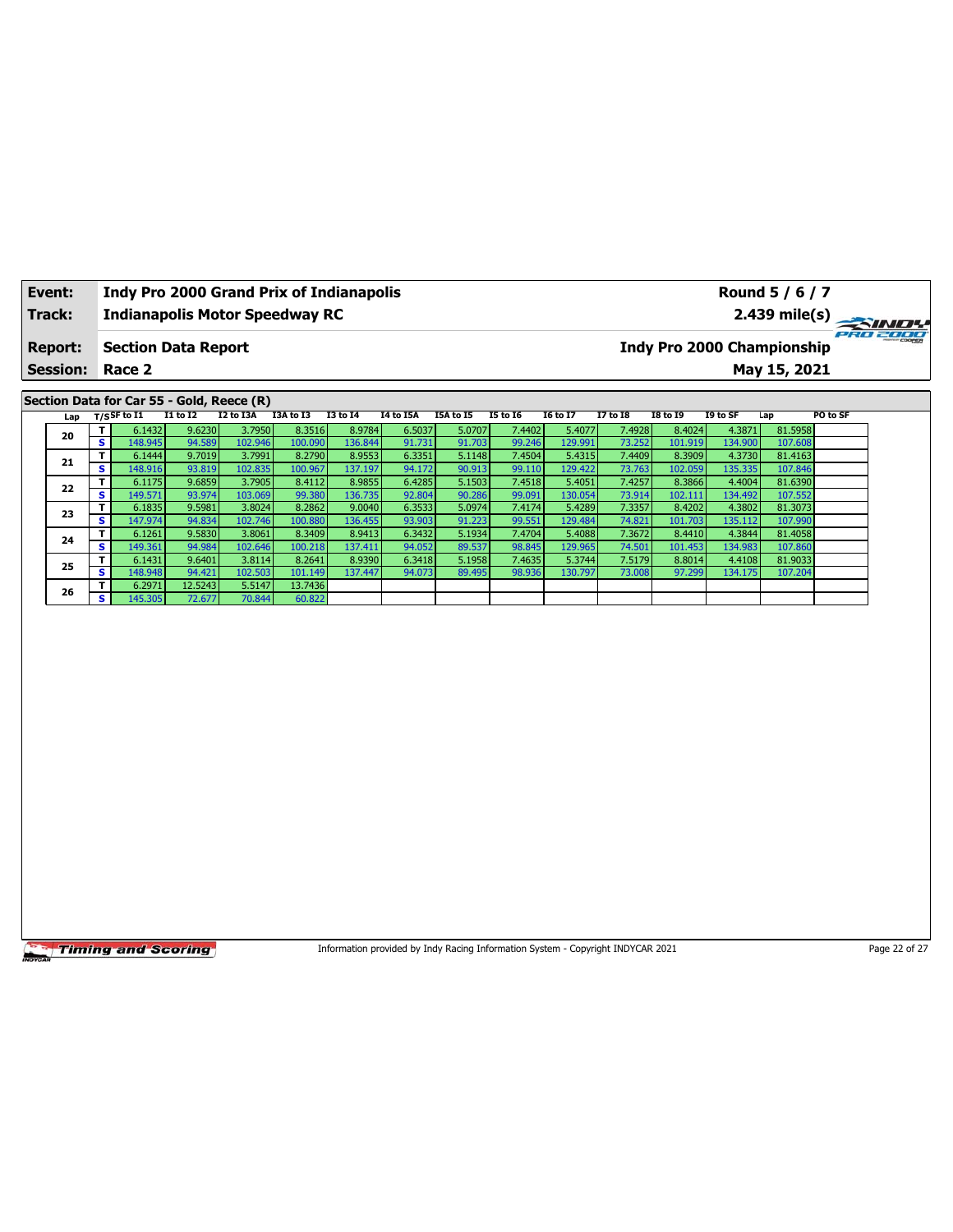|                                                                                                                                                                                                                                                                                     | Event:                                      |                         |                           |                                           |                  | <b>Indy Pro 2000 Grand Prix of Indianapolis</b> |                 |                                                                                 |           |                 |                 |                 |                 |          | Round 5 / 6 / 7                   |               |
|-------------------------------------------------------------------------------------------------------------------------------------------------------------------------------------------------------------------------------------------------------------------------------------|---------------------------------------------|-------------------------|---------------------------|-------------------------------------------|------------------|-------------------------------------------------|-----------------|---------------------------------------------------------------------------------|-----------|-----------------|-----------------|-----------------|-----------------|----------|-----------------------------------|---------------|
|                                                                                                                                                                                                                                                                                     | Track:                                      |                         |                           |                                           |                  | <b>Indianapolis Motor Speedway RC</b>           |                 |                                                                                 |           |                 |                 |                 |                 |          | $2.439$ mile(s)                   |               |
|                                                                                                                                                                                                                                                                                     | <b>Report:</b>                              |                         |                           | <b>Section Data Report</b>                |                  |                                                 |                 |                                                                                 |           |                 |                 |                 |                 |          | <b>Indy Pro 2000 Championship</b> | 181818        |
|                                                                                                                                                                                                                                                                                     | <b>Session:</b>                             |                         | Race 2                    |                                           |                  |                                                 |                 |                                                                                 |           |                 |                 |                 |                 |          | May 15, 2021                      |               |
|                                                                                                                                                                                                                                                                                     |                                             |                         |                           | Section Data for Car 55 - Gold, Reece (R) |                  |                                                 |                 |                                                                                 |           |                 |                 |                 |                 |          |                                   |               |
|                                                                                                                                                                                                                                                                                     | Lap                                         |                         | $T/S$ SF to $I1$          | <b>I1 to I2</b>                           | <b>I2 to I3A</b> | I3A to I3                                       | <b>I3 to 14</b> | <b>I4 to I5A</b>                                                                | I5A to I5 | <b>I5 to 16</b> | <b>I6 to I7</b> | <b>I7 to I8</b> | <b>I8 to 19</b> | I9 to SF | Lap                               | PO to SF      |
|                                                                                                                                                                                                                                                                                     | 20                                          | T                       | 6.1432                    | 9.6230                                    | 3.7950           | 8.3516                                          | 8.9784          | 6.5037                                                                          | 5.0707    | 7.4402          | 5.4077          | 7.4928          | 8.4024          | 4.3871   | 81.5958                           |               |
|                                                                                                                                                                                                                                                                                     |                                             | $\overline{\mathbf{s}}$ | 148.945                   | 94.589                                    | 102.946          | 100.090                                         | 136.844         | 91.731                                                                          | 91.703    | 99.246          | 129.991         | 73.252          | 101.919         | 134.900  | 107.608                           |               |
|                                                                                                                                                                                                                                                                                     | 21                                          | T                       | 6.1444                    | 9.7019                                    | 3.7991           | 8.2790                                          | 8.9553          | 6.3351                                                                          | 5.1148    | 7.4504          | 5.4315          | 7.4409          | 8.3909          | 4.3730   | 81.4163                           |               |
|                                                                                                                                                                                                                                                                                     |                                             | s                       | 148.916                   | 93.819                                    | 102.835          | 100.967                                         | 137.197         | 94.172                                                                          | 90.913    | 99.110          | 129.422         | 73.763          | 102.059         | 135.335  | 107.846                           |               |
|                                                                                                                                                                                                                                                                                     | 22                                          | T                       | 6.1175                    | 9.6859                                    | 3.7905           | 8.4112                                          | 8.9855          | 6.4285                                                                          | 5.1503    | 7.4518          | 5.4051          | 7.4257          | 8.3866          | 4.4004   | 81.6390                           |               |
|                                                                                                                                                                                                                                                                                     |                                             | s                       | 149.571                   | 93.974                                    | 103.069          | 99.380                                          | 136.735         | 92.804                                                                          | 90.286    | 99.091          | 130.054         | 73.914          | 102.111         | 134.492  | 107.552                           |               |
|                                                                                                                                                                                                                                                                                     | 23                                          | т                       | 6.1835                    | 9.5981                                    | 3.8024           | 8.2862                                          | 9.0040          | 6.3533                                                                          | 5.0974    | 7.4174          | 5.4289          | 7.3357          | 8.4202          | 4.3802   | 81.3073                           |               |
| s<br>147.974<br>102.746<br>100.880<br>136.455<br>91.223<br>99.551<br>129.484<br>74.821<br>107.990<br>94.834<br>93.903<br>101.703<br>135.112<br>T<br>6.1261<br>9.5830<br>3.8061<br>8.3409<br>8.9413<br>6.3432<br>5.1934<br>7.4704<br>5.4088<br>7.3672<br>8.4410<br>4.3844<br>81.4058 |                                             |                         |                           |                                           |                  |                                                 |                 |                                                                                 |           |                 |                 |                 |                 |          |                                   |               |
| 24<br>$\overline{\mathbf{s}}$<br>149.361<br>102.646<br>100.218<br>137.411<br>94.052<br>89.537<br>98.845<br>129.965<br>74.501<br>134.983<br>107.860<br>94.984<br>101.453                                                                                                             |                                             |                         |                           |                                           |                  |                                                 |                 |                                                                                 |           |                 |                 |                 |                 |          |                                   |               |
| T<br>9.6401<br>3.8114<br>8.2641<br>8.9390<br>6.3418<br>5.1958<br>7.4635<br>5.3744<br>7.5179<br>8.8014<br>4.4108<br>81.9033                                                                                                                                                          |                                             |                         |                           |                                           |                  |                                                 |                 |                                                                                 |           |                 |                 |                 |                 |          |                                   |               |
| 6.1431<br>25<br>148.948<br>102.503<br>101.149<br>98.936<br>s<br>94.421<br>137.447<br>94.073<br>89.495<br>130.797<br>73.008<br>97.299<br>134.175<br>107.204                                                                                                                          |                                             |                         |                           |                                           |                  |                                                 |                 |                                                                                 |           |                 |                 |                 |                 |          |                                   |               |
|                                                                                                                                                                                                                                                                                     | 12.5243<br>5.5147<br>13.7436<br>T<br>6.2971 |                         |                           |                                           |                  |                                                 |                 |                                                                                 |           |                 |                 |                 |                 |          |                                   |               |
|                                                                                                                                                                                                                                                                                     | 26                                          | s                       | 145.305                   | 72.677                                    | 70.844           | 60.822                                          |                 |                                                                                 |           |                 |                 |                 |                 |          |                                   |               |
|                                                                                                                                                                                                                                                                                     |                                             |                         |                           |                                           |                  |                                                 |                 |                                                                                 |           |                 |                 |                 |                 |          |                                   |               |
|                                                                                                                                                                                                                                                                                     |                                             |                         | <b>Timing and Scoring</b> |                                           |                  |                                                 |                 | Information provided by Indy Racing Information System - Copyright INDYCAR 2021 |           |                 |                 |                 |                 |          |                                   | Page 22 of 27 |

┑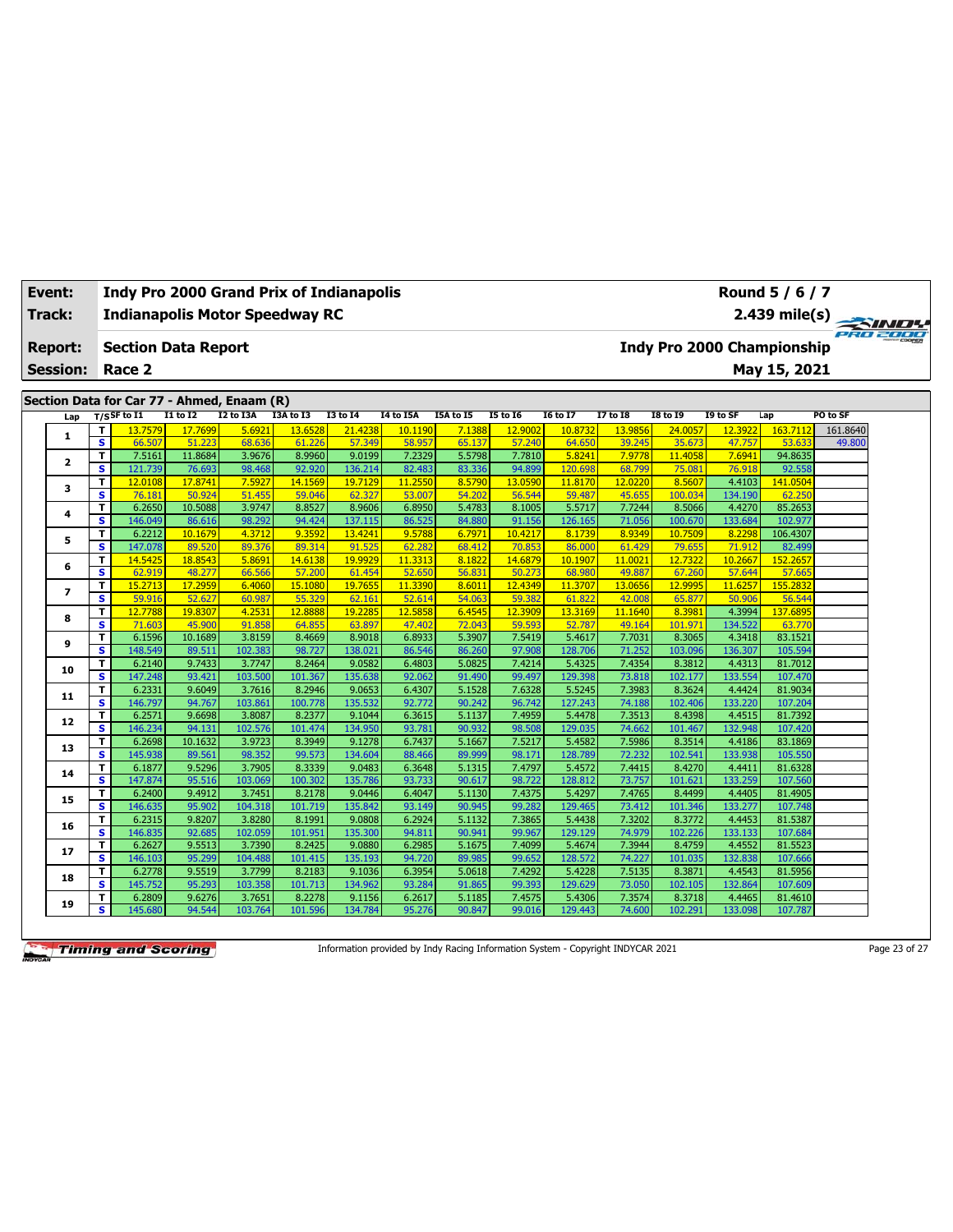| Track: |                 |                                                                 | <b>Indianapolis Motor Speedway RC</b><br>2.439 mile(s)       |                   |                   |                   |                   |                  |                  |                  |                   |                  |                   |                   |                    |          |  |
|--------|-----------------|-----------------------------------------------------------------|--------------------------------------------------------------|-------------------|-------------------|-------------------|-------------------|------------------|------------------|------------------|-------------------|------------------|-------------------|-------------------|--------------------|----------|--|
|        | <b>Report:</b>  | <b>Indy Pro 2000 Championship</b><br><b>Section Data Report</b> |                                                              |                   |                   |                   |                   |                  |                  |                  |                   |                  |                   |                   |                    |          |  |
|        | <b>Session:</b> |                                                                 | Race 2                                                       |                   |                   |                   |                   |                  |                  |                  |                   |                  |                   |                   | May 15, 2021       |          |  |
|        |                 |                                                                 |                                                              |                   |                   |                   |                   |                  |                  |                  |                   |                  |                   |                   |                    |          |  |
|        |                 |                                                                 | Section Data for Car 77 - Ahmed, Enaam (R)<br>$T/S$ SF to I1 | $I1$ to $I2$      | I2 to I3A         | I3A to I3         | <b>I3 to I4</b>   | <b>I4 to I5A</b> | I5A to I5        | <b>I5 to 16</b>  | <b>I6 to I7</b>   | <b>I7 to I8</b>  | <b>I8 to 19</b>   | I9 to SF          |                    | PO to SF |  |
|        | Lap             | т                                                               | 13.7579                                                      | 17.7699           | 5.6921            | 13.6528           | 21.4238           | 10.1190          |                  | 12,9002          | 10.8732           | 13.9856          | 24,0057           | 12.3922           | Lap<br>163.7112    | 161.8640 |  |
|        | 1               | s                                                               | 66.507                                                       | 51.223            | 68.636            | 61.226            | 57.349            | 58.957           | 7.1388<br>65.137 | 57.240           | 64.650            | 39.245           | 35.673            | 47.757            | 53.633             | 49.800   |  |
|        |                 | T                                                               | 7.5161                                                       | 11.8684           | 3.9676            | 8.9960            | 9.0199            | 7.2329           | 5.5798           | 7.7810           | 5.8241            | 7.9778           | 11.4058           | 7.6941            | 94.8635            |          |  |
|        | $\mathbf{z}$    | s                                                               | 121.739                                                      | 76.693            | 98.468            | 92.920            | 136.214           | 82.483           | 83.336           | 94.899           | 120.698           | 68.799           | 75.081            | 76.918            | 92.558             |          |  |
|        |                 | T                                                               | 12.0108                                                      | 17.8741           | 7.5927            | 14.1569           | 19.7129           | 11.2550          | 8.5790           | 13.0590          | 11.8170           | 12.0220          | 8.5607            | 4.4103            | 141.0504           |          |  |
|        | 3               | s                                                               | 76.181                                                       | 50.924            | 51,455            | 59.046            | 62.327            | 53.007           | 54.202           | 56.544           | 59.487            | 45.655           | 100.034           | 134.190           | 62.250             |          |  |
|        | 4               | T                                                               | 6.2650                                                       | 10.5088           | 3.9747            | 8.8527            | 8.9606            | 6.8950           | 5.4783           | 8.1005           | 5.5717            | 7.7244           | 8.5066            | 4.4270            | 85.2653            |          |  |
|        |                 | s                                                               | 146.049                                                      | 86.616            | 98.292            | 94.424            | 137.115           | 86.525           | 84.880           | 91.156           | 126.165           | 71.056           | 100.670           | 133.684           | 102.977            |          |  |
|        | 5               | T                                                               | 6.2212                                                       | 10.1679           | 4.3712            | 9.3592            | 13.4241           | 9.5788           | 6.7971           | 10.4217          | 8.1739            | 8.9349           | 10.7509           | 8.2298            | 106.4307           |          |  |
|        |                 | $\mathbf{s}$                                                    | 147.078                                                      | 89.520            | 89.376            | 89.314            | 91.525            | 62.282           | 68.412           | 70.853           | 86,000            | 61.429           | 79.655            | 71.912            | 82.499             |          |  |
|        | 6               | T                                                               | 14.5425                                                      | 18.8543           | 5.8691            | 14.6138           | 19.9929           | 11.3313          | 8.1822           | 14.6879          | 10.1907           | 11.0021          | 12.7322           | 10.2667           | 152.2657           |          |  |
|        |                 | s                                                               | 62.919                                                       | 48.277            | 66.566            | 57.200            | 61.454            | 52.650           | 56.831           | 50.273           | 68.980            | 49.887           | 67.260            | 57.644            | 57.665             |          |  |
|        | $\overline{ }$  | T                                                               | 15,2713                                                      | 17,2959           | 6.4060            | 15.1080           | 19.7655           | 11.3390          | 8.6011           | 12.4349          | 11.3707           | 13.0656          | 12.9995           | 11.6257           | 155,283            |          |  |
|        |                 | $\overline{\mathbf{s}}$                                         | 59.916                                                       | 52.627            | 60.987            | 55.329            | 62.161            | 52.614           | 54.063           | 59.382           | 61.822            | 42.008           | 65.877            | 50.906            | 56.544             |          |  |
|        | 8               | T                                                               | 12.7788                                                      | 19.8307           | 4.2531            | 12,8888           | 19,2285           | 12.5858          | 6.4545           | 12.3909          | 13.3169           | 11.1640          | 8.3981            | 4.3994            | 137.6895           |          |  |
|        |                 | s                                                               | 71.603                                                       | 45.900            | 91.858            | 64.855            | 63.897            | 47.402           | 72.043           | 59.593           | 52.787            | 49.164           | 101.971           | 134.522           | 63.770             |          |  |
|        | 9               | T<br>s                                                          | 6.1596<br>148.549                                            | 10.1689<br>89.511 | 3.8159<br>102.383 | 8.4669<br>98.727  | 8.9018<br>138.021 | 6.8933<br>86.546 | 5.3907<br>86.260 | 7.5419<br>97.908 | 5.4617<br>128.706 | 7.7031<br>71.252 | 8.3065<br>103.096 | 4.3418<br>136.307 | 83.1521<br>105.594 |          |  |
|        |                 | T                                                               | 6.2140                                                       | 9.7433            | 3.7747            | 8.2464            | 9.0582            | 6.4803           | 5.0825           | 7.4214           | 5.4325            | 7.4354           | 8.3812            | 4.4313            | 81.7012            |          |  |
|        | 10              | s                                                               | 147.248                                                      | 93.421            | 103.500           | 101.367           | 135.638           | 92.062           | 91.490           | 99.497           | 129.398           | 73.818           | 102.177           | 133.554           | 107.470            |          |  |
|        |                 | T                                                               | 6.2331                                                       | 9.6049            | 3.7616            | 8.2946            | 9.0653            | 6.4307           | 5.1528           | 7.6328           | 5.5245            | 7.3983           | 8.3624            | 4.4424            | 81.9034            |          |  |
|        | 11              | s                                                               | 146.797                                                      | 94.767            | 103.861           | 100.778           | 135.532           | 92.772           | 90.242           | 96.742           | 127.243           | 74.188           | 102.406           | 133.220           | 107.204            |          |  |
|        |                 | T                                                               | 6.2571                                                       | 9.6698            | 3.8087            | 8.2377            | 9.1044            | 6.3615           | 5.1137           | 7.4959           | 5.4478            | 7.3513           | 8.4398            | 4.4515            | 81.7392            |          |  |
|        | 12              | s                                                               | 146.234                                                      | 94.131            | 102.576           | 101.474           | 134.950           | 93.781           | 90.932           | 98.508           | 129.035           | 74.662           | 101.467           | 132.948           | 107.420            |          |  |
|        |                 | T                                                               | 6.2698                                                       | 10.1632           | 3.9723            | 8.3949            | 9.1278            | 6.7437           | 5.1667           | 7.5217           | 5.4582            | 7.5986           | 8.3514            | 4.4186            | 83.1869            |          |  |
|        | 13              | s                                                               | 145.938                                                      | 89.561            | 98.352            | 99.573            | 134.604           | 88.466           | 89.999           | 98.171           | 128.789           | 72.232           | 102.541           | 133.938           | 105.550            |          |  |
|        | 14              | т                                                               | 6.1877                                                       | 9.5296            | 3.7905            | 8.3339            | 9.0483            | 6.3648           | 5.1315           | 7.4797           | 5.4572            | 7.4415           | 8.4270            | 4.4411            | 81.6328            |          |  |
|        |                 | s                                                               | 147.874                                                      | 95.516            | 103.069           | 100.302           | 135.786           | 93.733           | 90.617           | 98.722           | 128.812           | 73.757           | 101.621           | 133.259           | 107.560            |          |  |
|        | 15              | T                                                               | 6.2400                                                       | 9.4912            | 3.7451            | 8.2178            | 9.0446            | 6.4047           | 5.1130           | 7.4375           | 5.4297            | 7.4765           | 8.4499            | 4.4405            | 81.4905            |          |  |
|        |                 | s                                                               | 146.635                                                      | 95.902            | 104.318           | 101.719           | 135.842           | 93.149           | 90.945           | 99.282           | 129.465           | 73.412           | 101.346           | 133.277           | 107.748            |          |  |
|        | 16              | T                                                               | 6.2315                                                       | 9.8207            | 3.8280            | 8.1991            | 9.0808            | 6.2924           | 5.1132           | 7.3865           | 5.4438            | 7.3202           | 8.3772            | 4.4453            | 81.5387            |          |  |
|        |                 | s                                                               | 146.835                                                      | 92.685            | 102.059           | 101.951           | 135.300           | 94.811           | 90.941           | 99.967           | 129.129           | 74.979           | 102.226           | 133.133           | 107.684            |          |  |
|        | 17              | T                                                               | 6.2627                                                       | 9.5513            | 3.7390            | 8.2425            | 9.0880            | 6.2985           | 5.1675           | 7.4099           | 5.4674            | 7.3944           | 8.4759            | 4.4552            | 81.5523            |          |  |
|        |                 | s                                                               | 146.103                                                      | 95.299            | 104.488           | 101.415           | 135.193           | 94.720           | 89.985           | 99.652           | 128.572           | 74.227           | 101.035           | 132.838           | 107.666            |          |  |
|        | 18              | т<br>s                                                          | 6.2778                                                       | 9.5519<br>95.293  | 3.7799<br>103.358 | 8.2183<br>101.713 | 9.1036<br>134.962 | 6.3954           | 5.0618           | 7.4292           | 5.4228<br>129.629 | 7.5135           | 8.3871            | 4.4543<br>132.864 | 81.5956<br>107.609 |          |  |
|        |                 |                                                                 | 145.752<br>6.2809                                            | 9.6276            | 3.7651            | 8.2278            |                   | 93.284<br>6.2617 | 91.865<br>5.1185 | 99.393<br>7.4575 | 5.4306            | 73.050<br>7.3574 | 102.105<br>8.3718 | 4.4465            |                    |          |  |
|        | 19              | T<br>s                                                          | 145.680                                                      | 94.544            | 103.764           | 101.596           | 9.1156<br>134.784 | 95.276           | 90.847           | 99.016           | 129.443           | 74.600           | 102.291           | 133.098           | 81.4610<br>107.787 |          |  |
|        |                 |                                                                 |                                                              |                   |                   |                   |                   |                  |                  |                  |                   |                  |                   |                   |                    |          |  |

**Event: Indy Pro 2000 Grand Prix of Indianapolis**

Information provided by Indy Racing Information System - Copyright INDYCAR 2021 Page 23 of 27

**Round 5 / 6 / 7**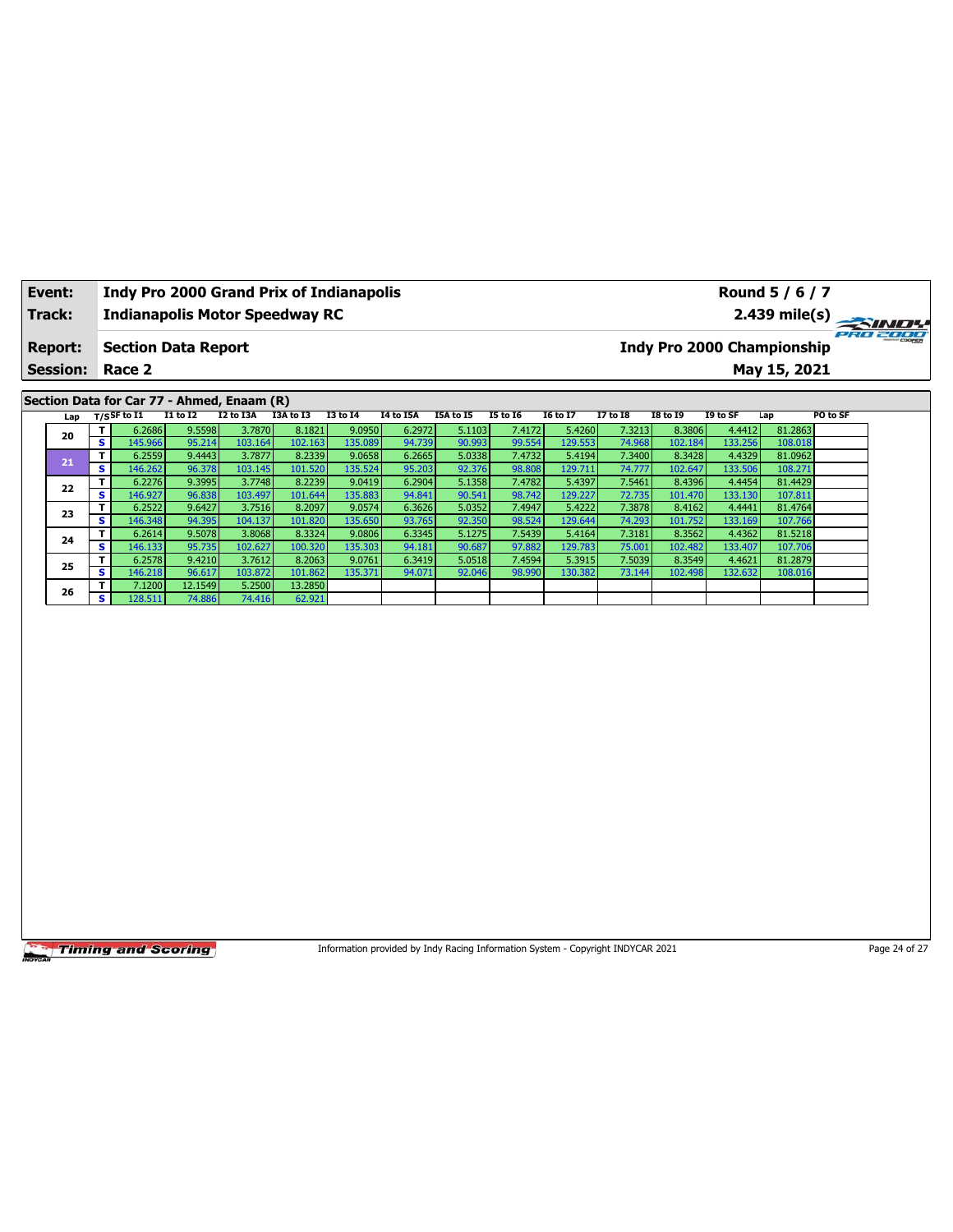| Event:                                     |                 |                         | <b>Indy Pro 2000 Grand Prix of Indianapolis</b> |                 |           |           |                 |                  |                                                                                 |                 |                 |                 |                 |          |              | Round 5 / 6 / 7 |
|--------------------------------------------|-----------------|-------------------------|-------------------------------------------------|-----------------|-----------|-----------|-----------------|------------------|---------------------------------------------------------------------------------|-----------------|-----------------|-----------------|-----------------|----------|--------------|-----------------|
| Track:                                     |                 |                         | <b>Indianapolis Motor Speedway RC</b>           |                 |           |           |                 | $2.439$ mile(s)  |                                                                                 |                 |                 |                 |                 |          |              |                 |
| <b>Report:</b>                             |                 |                         | <b>Section Data Report</b>                      |                 |           |           |                 |                  | 220 2000<br>Indy Pro 2000 Championship                                          |                 |                 |                 |                 |          |              |                 |
|                                            | <b>Session:</b> |                         | Race 2                                          |                 |           |           |                 |                  |                                                                                 |                 |                 |                 |                 |          | May 15, 2021 |                 |
| Section Data for Car 77 - Ahmed, Enaam (R) |                 |                         |                                                 |                 |           |           |                 |                  |                                                                                 |                 |                 |                 |                 |          |              |                 |
|                                            | Lap             |                         | T/SSF to I1                                     | <b>I1 to I2</b> | I2 to I3A | I3A to I3 | <b>I3 to 14</b> | <b>I4 to I5A</b> | I5A to I5                                                                       | <b>I5 to 16</b> | <b>I6 to I7</b> | <b>I7 to I8</b> | <b>I8 to 19</b> | I9 to SF | Lap          | PO to SF        |
|                                            | 20              | T                       | 6.2686                                          | 9.5598          | 3.7870    | 8.1821    | 9.0950          | 6.2972           | 5.1103                                                                          | 7.4172          | 5.4260          | 7.3213          | 8.3806          | 4.4412   | 81.2863      |                 |
|                                            |                 | $\overline{\mathbf{s}}$ | 145.966                                         | 95.214          | 103.164   | 102.163   | 135.089         | 94.739           | 90.993                                                                          | 99.554          | 129.553         | 74.968          | 102.184         | 133.256  | 108.018      |                 |
|                                            | 21              | T                       | 6.2559                                          | 9.4443          | 3.7877    | 8.2339    | 9.0658          | 6.2665           | 5.0338                                                                          | 7.4732          | 5.4194          | 7.3400          | 8.3428          | 4.4329   | 81.0962      |                 |
|                                            |                 | s.                      | 146.262                                         | 96.378          | 103.145   | 101.520   | 135.524         | 95.203           | 92.376                                                                          | 98.808          | 129.71:         | 74.777          | 102.647         | 133.506  | 108.271      |                 |
|                                            | 22              | T.                      | 6.2276                                          | 9.3995          | 3.7748    | 8.2239    | 9.0419          | 6.2904           | 5.1358                                                                          | 7.4782          | 5.4397          | 7.5461          | 8.4396          | 4.4454   | 81.4429      |                 |
|                                            |                 | s                       | 146.927                                         | 96.838          | 103.497   | 101.644   | 135.883         | 94.841           | 90.541                                                                          | 98.742          | 129.227         | 72.735          | 101.470         | 133.130  | 107.811      |                 |
|                                            | 23              | T                       | 6.2522                                          | 9.6427          | 3.7516    | 8.2097    | 9.0574          | 6.3626           | 5.0352                                                                          | 7.4947          | 5.4222          | 7.3878          | 8.4162          | 4.4441   | 81.4764      |                 |
|                                            |                 | S                       | 146.348                                         | 94.395          | 104.137   | 101.820   | 135.650         | 93.765           | 92.350                                                                          | 98.524          | 129.644         | 74.293          | 101.752         | 133.169  | 107.766      |                 |
|                                            | 24              | T                       | 6.2614                                          | 9.5078          | 3.8068    | 8.3324    | 9.0806          | 6.3345           | 5.1275                                                                          | 7.5439          | 5.4164          | 7.3181          | 8.3562          | 4.4362   | 81.5218      |                 |
|                                            |                 | $\overline{\mathbf{s}}$ | 146.133                                         | 95.735          | 102.627   | 100.320   | 135.303         | 94.181           | 90.687                                                                          | 97.882          | 129.783         | 75.001          | 102.482         | 133.407  | 107.706      |                 |
|                                            | 25              | T.                      | 6.2578                                          | 9.4210          | 3.7612    | 8.2063    | 9.0761          | 6.3419           | 5.0518                                                                          | 7.4594          | 5.3915          | 7.5039          | 8.3549          | 4.4621   | 81.2879      |                 |
|                                            |                 | s                       | 146.218                                         | 96.617          | 103.872   | 101.862   | 135.371         | 94.071           | 92.046                                                                          | 98.990          | 130.382         | 73.144          | 102.498         | 132.632  | 108.016      |                 |
|                                            | 26              | T.                      | 7.1200                                          | 12.1549         | 5.2500    | 13.2850   |                 |                  |                                                                                 |                 |                 |                 |                 |          |              |                 |
|                                            |                 | $\overline{\mathbf{s}}$ | 128.511                                         | 74.886          | 74.416    | 62.921    |                 |                  |                                                                                 |                 |                 |                 |                 |          |              |                 |
|                                            |                 |                         |                                                 |                 |           |           |                 |                  |                                                                                 |                 |                 |                 |                 |          |              |                 |
|                                            |                 |                         | <b>Timing and Scoring</b>                       |                 |           |           |                 |                  | Information provided by Indy Racing Information System - Copyright INDYCAR 2021 |                 |                 |                 |                 |          |              | Page 24 of 27   |

٦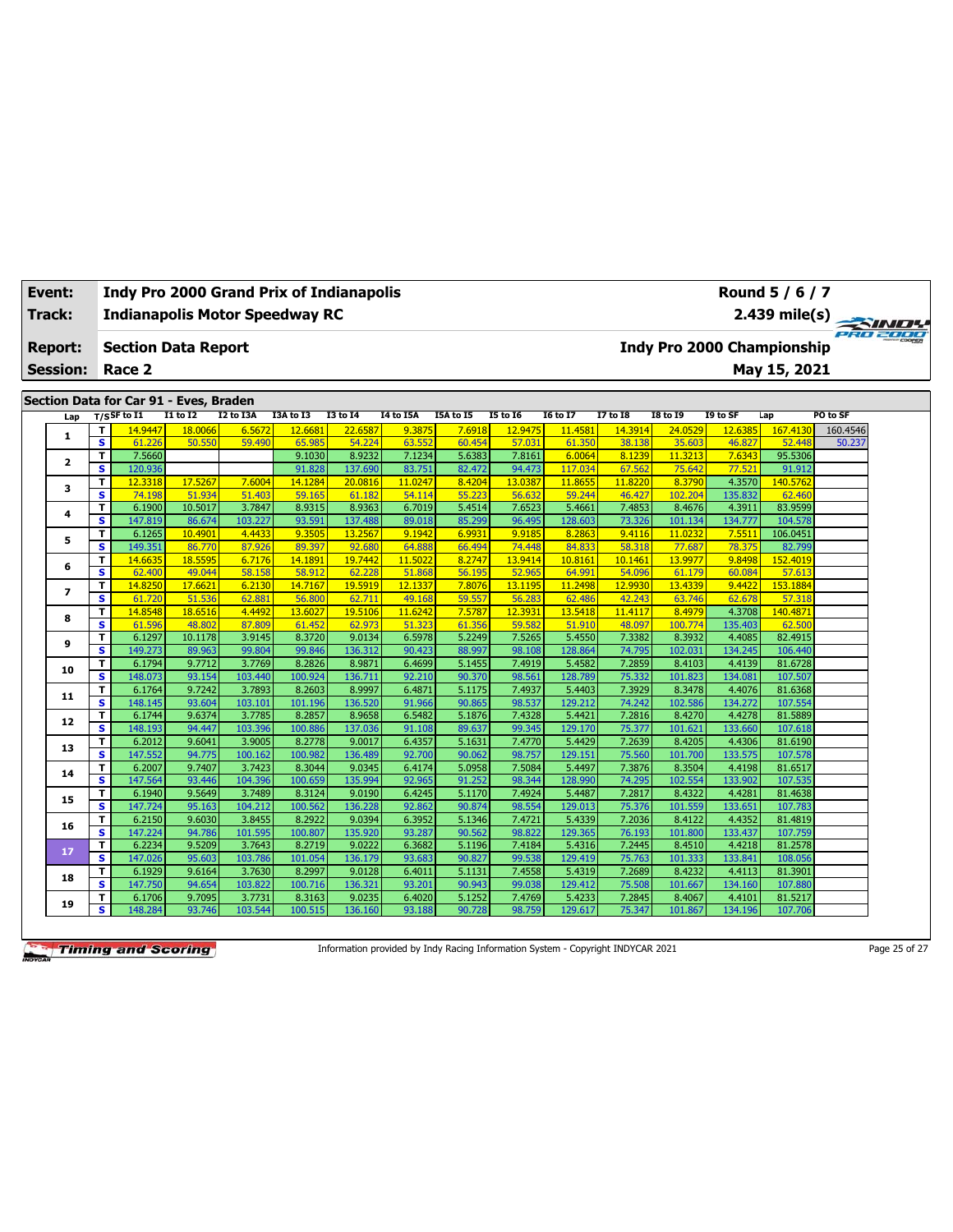| Track:                                                                                                                                                                                                     |                         |                         | <b>Indianapolis Motor Speedway RC</b> |                   |                   |                   |                   | 2.439 mile(s) $\rightarrow$<br>PRO 2000 |                  |                   |                   |                   |                            |                   |                    |          |  |
|------------------------------------------------------------------------------------------------------------------------------------------------------------------------------------------------------------|-------------------------|-------------------------|---------------------------------------|-------------------|-------------------|-------------------|-------------------|-----------------------------------------|------------------|-------------------|-------------------|-------------------|----------------------------|-------------------|--------------------|----------|--|
| <b>Report:</b>                                                                                                                                                                                             |                         |                         | <b>Section Data Report</b>            |                   |                   |                   |                   |                                         |                  |                   |                   |                   | Indy Pro 2000 Championship |                   |                    |          |  |
| <b>Session:</b>                                                                                                                                                                                            |                         |                         | Race 2                                |                   |                   |                   |                   |                                         |                  |                   |                   |                   |                            |                   | May 15, 2021       |          |  |
|                                                                                                                                                                                                            |                         |                         |                                       |                   |                   |                   |                   |                                         |                  |                   |                   |                   |                            |                   |                    |          |  |
| Section Data for Car 91 - Eves, Braden<br>T/SSF to I1<br>I2 to I3A<br><b>I1 to I2</b><br>I3A to I3<br><b>I3 to 14</b><br><b>I4 to I5A</b><br><b>I5A to 15</b><br><b>I5 to 16</b><br><b>I6 to I7</b><br>Lap |                         |                         |                                       |                   |                   |                   |                   |                                         |                  |                   |                   | <b>I7 to I8</b>   | <b>I8 to 19</b>            | I9 to SF          | Lap                | PO to SF |  |
|                                                                                                                                                                                                            |                         | T                       | 14.9447                               | 18.0066           | 6.5672            | 12.6681           | 22.6587           | 9.3875                                  | 7.6918           | 12.9475           | 11.4581           | 14.3914           | 24.0529                    | 12.6385           | 167.4130           | 160.4546 |  |
|                                                                                                                                                                                                            | $\mathbf{1}$            | $\overline{\mathbf{s}}$ | 61.226                                | 50.550            | 59.490            | 65.985            | 54.224            | 63.552                                  | 60.454           | 57.031            | 61.350            | 38.138            | 35.603                     | 46.827            | 52.448             | 50.237   |  |
|                                                                                                                                                                                                            |                         | T                       | 7.5660                                |                   |                   | 9.1030            | 8.9232            | 7.1234                                  | 5.6383           | 7.8161            | 6.0064            | 8.1239            | 11.3213                    | 7.6343            | 95.5306            |          |  |
|                                                                                                                                                                                                            | $\overline{\mathbf{2}}$ | $\mathbf{s}$            | 120.936                               |                   |                   | 91.828            | 137.690           | 83.751                                  | 82.472           | 94.473            | 117.034           | 67.562            | 75.642                     | 77.521            | 91.912             |          |  |
|                                                                                                                                                                                                            | з                       | T                       | 12.3318                               | 17.5267           | 7.6004            | 14.1284           | 20.0816           | 11.0247                                 | 8.4204           | 13.0387           | 11,8655           | 11,8220           | 8.3790                     | 4.3570            | 140.5762           |          |  |
|                                                                                                                                                                                                            |                         | $\overline{\mathbf{s}}$ | 74.198                                | 51.934            | 51,403            | 59.165            | 61.182            | 54.114                                  | 55.223           | 56.632            | 59.244            | 46.427            | 102.204                    | 135.832           | 62.460             |          |  |
|                                                                                                                                                                                                            | 4                       | T                       | 6.1900                                | 10.5017           | 3.7847            | 8.9315            | 8.9363            | 6.7019                                  | 5.4514           | 7.6523            | 5.4661            | 7.4853            | 8.4676                     | 4.3911            | 83.9599            |          |  |
|                                                                                                                                                                                                            |                         | s.                      | 147.819                               | 86.674            | 103.227           | 93.591            | 137.488           | 89.018                                  | 85.299           | 96.495            | 128.603           | 73.326            | 101.134                    | 134.777           | 104.578            |          |  |
|                                                                                                                                                                                                            | 5                       | T                       | 6.1265                                | 10.4901           | 4.4433            | 9.3505            | 13.2567           | 9.1942                                  | 6.9931           | 9.9185            | 8.2863            | 9.4116            | 11.0232                    | 7.5511            | 106.0451           |          |  |
|                                                                                                                                                                                                            |                         | $\mathbf{s}$<br>T       | 149.351<br>14,6635                    | 86,770<br>18.5595 | 87,926<br>6.7176  | 89.397<br>14.1891 | 92.680<br>19.7442 | 64.888<br>11.5022                       | 66.494<br>8.2747 | 74.448<br>13.9414 | 84.833<br>10.8161 | 58.318<br>10.1461 | 77.687<br>13,9977          | 78.375<br>9.8498  | 82.799<br>152.4019 |          |  |
|                                                                                                                                                                                                            | 6                       | s                       | 62.400                                | 49.044            | 58.158            | 58.912            | 62.228            | 51.868                                  | 56.195           | 52.965            | 64.991            | 54.096            | 61.179                     | 60.084            | 57.613             |          |  |
|                                                                                                                                                                                                            |                         | T.                      | 14.8250                               | 17,6621           | 6.2130            | 14.7167           | 19.5919           | 12.1337                                 | 7.8076           | 13.1195           | 11.2498           | 12.9930           | 13,4339                    | 9.4422            | 153.1884           |          |  |
|                                                                                                                                                                                                            | $\overline{ }$          | $\overline{\mathbf{s}}$ | 61.720                                | 51.536            | 62.881            | 56.800            | 62.711            | 49.168                                  | 59.557           | 56.283            | 62.486            | 42.243            | 63.746                     | 62.678            | 57.318             |          |  |
|                                                                                                                                                                                                            |                         | T                       | 14.8548                               | 18.6516           | 4.4492            | 13.6027           | 19.5106           | 11.6242                                 | 7.5787           | 12.3931           | 13.5418           | 11.4117           | 8.4979                     | 4.3708            | 140.4871           |          |  |
|                                                                                                                                                                                                            | 8                       | s                       | 61.596                                | 48.802            | 87.809            | 61.452            | 62.973            | 51.323                                  | 61.356           | 59.582            | 51.910            | 48.097            | 100.774                    | 135.403           | 62.500             |          |  |
|                                                                                                                                                                                                            |                         | T                       | 6.1297                                | 10.1178           | 3.9145            | 8.3720            | 9.0134            | 6.5978                                  | 5.2249           | 7.5265            | 5.4550            | 7.3382            | 8.3932                     | 4.4085            | 82.4915            |          |  |
|                                                                                                                                                                                                            | 9                       | s                       | 149.273                               | 89.963            | 99.804            | 99.846            | 136.312           | 90.423                                  | 88.997           | 98.108            | 128.864           | 74.795            | 102.031                    | 134.245           | 106.440            |          |  |
|                                                                                                                                                                                                            |                         | T                       | 6.1794                                | 9.7712            | 3.7769            | 8.2826            | 8.9871            | 6.4699                                  | 5.1455           | 7.4919            | 5.4582            | 7.2859            | 8.4103                     | 4.4139            | 81.6728            |          |  |
|                                                                                                                                                                                                            | 10                      | s                       | 148.073                               | 93.154            | 103.440           | 100.924           | 136.711           | 92.210                                  | 90.370           | 98.561            | 128.789           | 75.332            | 101.823                    | 134.081           | 107.507            |          |  |
|                                                                                                                                                                                                            | 11                      | T                       | 6.1764                                | 9.7242            | 3.7893            | 8.2603            | 8.9997            | 6.4871                                  | 5.1175           | 7.4937            | 5.4403            | 7.3929            | 8.3478                     | 4.4076            | 81.6368            |          |  |
|                                                                                                                                                                                                            |                         | s                       | 148.145                               | 93.604            | 103.101           | 101.196           | 136.520           | 91.966                                  | 90.865           | 98.537            | 129.212           | 74.242            | 102.586                    | 134.272           | 107.554            |          |  |
|                                                                                                                                                                                                            | 12                      | T                       | 6.1744                                | 9.6374            | 3.7785            | 8.2857            | 8.9658            | 6.5482                                  | 5.1876           | 7.4328            | 5.4421            | 7.2816            | 8.4270                     | 4.4278            | 81.5889            |          |  |
|                                                                                                                                                                                                            |                         | $\mathbf{s}$            | 148.193                               | 94.447            | 103.396           | 100.886           | 137.036           | 91.108                                  | 89.637           | 99.345            | 129.170           | 75.377            | 101.621                    | 133.660           | 107.618            |          |  |
|                                                                                                                                                                                                            | 13                      | T                       | 6.2012                                | 9.6041            | 3.9005            | 8.2778            | 9.0017            | 6.4357                                  | 5.1631           | 7.4770            | 5.4429            | 7.2639            | 8.4205                     | 4.4306            | 81.6190            |          |  |
|                                                                                                                                                                                                            |                         | $\overline{\mathbf{s}}$ | 147.552                               | 94.775            | 100.162           | 100.982           | 136.489           | 92.700                                  | 90.062           | 98.757            | 129.151           | 75.560            | 101.700                    | 133.575           | 107.578            |          |  |
|                                                                                                                                                                                                            | 14                      | T<br>s                  | 6.2007<br>147.564                     | 9.7407            | 3.7423            | 8.3044<br>100.659 | 9.0345            | 6.4174                                  | 5.0958           | 7.5084<br>98.344  | 5.4497            | 7.3876            | 8.3504                     | 4.4198            | 81.6517<br>107.535 |          |  |
|                                                                                                                                                                                                            |                         | T                       | 6.1940                                | 93.446<br>9.5649  | 104.396<br>3.7489 | 8.3124            | 135.994<br>9.0190 | 92.965<br>6.4245                        | 91.252<br>5.1170 | 7.4924            | 128.990<br>5.4487 | 74.295<br>7.2817  | 102.554<br>8.4322          | 133.902<br>4.4281 | 81.4638            |          |  |
|                                                                                                                                                                                                            | 15                      | s                       | 147.724                               | 95.163            | 104.212           | 100.562           | 136.228           | 92.862                                  | 90.874           | 98.554            | 129.013           | 75.376            | 101.559                    | 133.651           | 107.783            |          |  |
|                                                                                                                                                                                                            |                         | T                       | 6.2150                                | 9.6030            | 3.8455            | 8.2922            | 9.0394            | 6.3952                                  | 5.1346           | 7.4721            | 5.4339            | 7.2036            | 8.4122                     | 4.4352            | 81.4819            |          |  |
|                                                                                                                                                                                                            | 16                      | s                       | 147.224                               | 94.786            | 101.595           | 100.807           | 135.920           | 93.287                                  | 90.562           | 98.822            | 129.365           | 76.193            | 101.800                    | 133.437           | 107.759            |          |  |
|                                                                                                                                                                                                            |                         | T.                      | 6.2234                                | 9.5209            | 3.7643            | 8.2719            | 9.0222            | 6.3682                                  | 5.1196           | 7.4184            | 5.4316            | 7.2445            | 8.4510                     | 4.4218            | 81.2578            |          |  |
|                                                                                                                                                                                                            | 17                      | $\mathbf{s}$            | 147.026                               | 95.603            | 103.786           | 101.054           | 136.179           | 93.683                                  | 90.827           | 99.538            | 129.419           | 75.763            | 101.333                    | 133.841           | 108.056            |          |  |
|                                                                                                                                                                                                            |                         | T                       | 6.1929                                | 9.6164            | 3.7630            | 8.2997            | 9.0128            | 6.4011                                  | 5.1131           | 7.4558            | 5.4319            | 7.2689            | 8.4232                     | 4.4113            | 81.3901            |          |  |
|                                                                                                                                                                                                            | 18                      | s                       | 147.750                               | 94.654            | 103.822           | 100.716           | 136.321           | 93.201                                  | 90.943           | 99.038            | 129.412           | 75.508            | 101.667                    | 134.160           | 107.880            |          |  |
|                                                                                                                                                                                                            | 19                      | т                       | 6.1706                                | 9.7095            | 3.7731            | 8.3163            | 9.0235            | 6.4020                                  | 5.1252           | 7.4769            | 5.4233            | 7.2845            | 8.4067                     | 4.4101            | 81.5217            |          |  |
|                                                                                                                                                                                                            |                         | s.                      | 148.284                               | 93.746            | 103.544           | 100.515           | 136.160           | 93.188                                  | 90.728           | 98.759            | 129.617           | 75.347            | 101.867                    | 134.196           | 107.706            |          |  |

**Timing and Scoring** 

**Event: Indy Pro 2000 Grand Prix of Indianapolis**

Information provided by Indy Racing Information System - Copyright INDYCAR 2021 Page 25 of 27

**Round 5 / 6 / 7**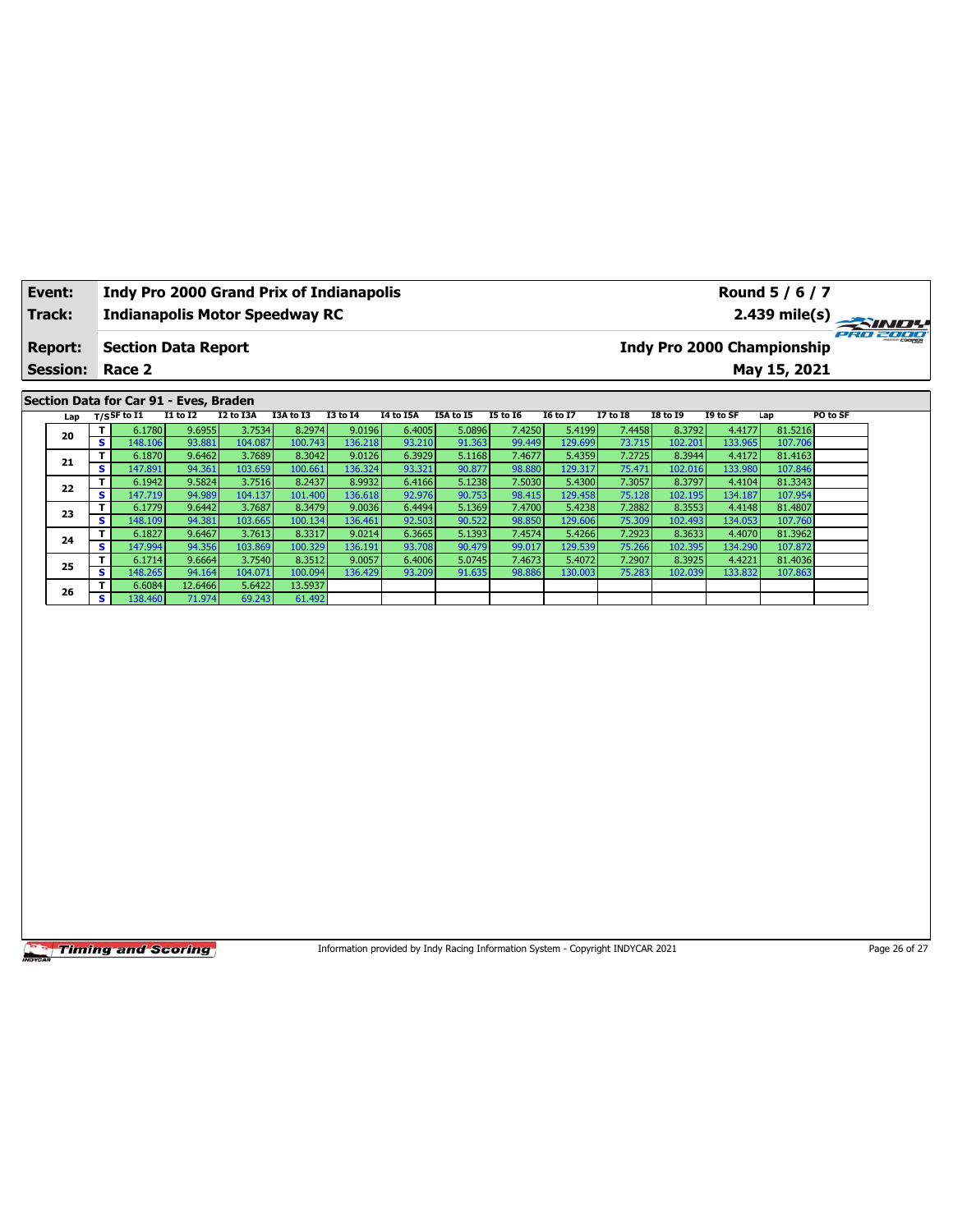| Event:                                                                                                                                                                                                                                                               |                 |                         |                            |                  |                   | <b>Indy Pro 2000 Grand Prix of Indianapolis</b> |                   |                                               | Round 5 / 6 / 7                                                                 |                  |                   |                  |                   |                   |                    |               |
|----------------------------------------------------------------------------------------------------------------------------------------------------------------------------------------------------------------------------------------------------------------------|-----------------|-------------------------|----------------------------|------------------|-------------------|-------------------------------------------------|-------------------|-----------------------------------------------|---------------------------------------------------------------------------------|------------------|-------------------|------------------|-------------------|-------------------|--------------------|---------------|
|                                                                                                                                                                                                                                                                      | Track:          |                         |                            |                  |                   | <b>Indianapolis Motor Speedway RC</b>           |                   | 2.439 mile(s)                                 |                                                                                 |                  |                   |                  |                   |                   |                    |               |
| <b>Report:</b>                                                                                                                                                                                                                                                       |                 |                         | <b>Section Data Report</b> |                  |                   |                                                 |                   | 220 2000<br><b>Indy Pro 2000 Championship</b> |                                                                                 |                  |                   |                  |                   |                   |                    |               |
|                                                                                                                                                                                                                                                                      | <b>Session:</b> |                         | Race 2                     |                  |                   |                                                 |                   |                                               |                                                                                 |                  |                   |                  |                   |                   | May 15, 2021       |               |
|                                                                                                                                                                                                                                                                      |                 |                         |                            |                  |                   |                                                 |                   |                                               |                                                                                 |                  |                   |                  |                   |                   |                    |               |
| Section Data for Car 91 - Eves, Braden<br>$T/S$ SF to I1<br>I2 to I3A<br><b>I1 to I2</b><br>I3A to I3<br><b>I3 to 14</b><br><b>I4 to I5A</b><br><b>I5 to 16</b><br><b>I6 to I7</b><br><b>I7 to I8</b><br><b>I8 to 19</b><br>I9 to SF<br>PO to SF<br>I5A to I5<br>Lap |                 |                         |                            |                  |                   |                                                 |                   |                                               |                                                                                 |                  |                   |                  |                   |                   |                    |               |
|                                                                                                                                                                                                                                                                      | Lap             |                         |                            |                  |                   |                                                 |                   |                                               |                                                                                 |                  |                   |                  |                   |                   |                    |               |
|                                                                                                                                                                                                                                                                      | 20              | Τ<br>s                  | 6.1780<br>148.106          | 9.6955<br>93.881 | 3.7534<br>104.087 | 8.2974<br>100.743                               | 9.0196<br>136.218 | 6.4005<br>93.210                              | 5.0896<br>91.363                                                                | 7.4250<br>99.449 | 5.4199<br>129.699 | 7.4458<br>73.715 | 8.3792<br>102.201 | 4.4177<br>133.965 | 81.5216<br>107.706 |               |
|                                                                                                                                                                                                                                                                      |                 | T                       | 6.1870                     | 9.6462           | 3.7689            | 8.3042                                          | 9.0126            | 6.3929                                        | 5.1168                                                                          | 7.4677           | 5.4359            | 7.2725           | 8.3944            | 4.4172            | 81.4163            |               |
|                                                                                                                                                                                                                                                                      | 21              | s                       | 147.891                    | 94.361           | 103.659           | 100.661                                         | 136.324           | 93.321                                        | 90.877                                                                          | 98.880           | 129.317           | 75.471           | 102.016           | 133.980           | 107.846            |               |
|                                                                                                                                                                                                                                                                      |                 | T.                      | 6.1942                     | 9.5824           | 3.7516            | 8.2437                                          | 8.9932            | 6.4166                                        | 5.1238                                                                          | 7.5030           | 5.4300            | 7.3057           | 8.3797            | 4.4104            | 81.3343            |               |
|                                                                                                                                                                                                                                                                      | 22              | $\overline{\mathbf{s}}$ | 147.719                    | 94.989           | 104.137           | 101.400                                         | 136.618           | 92.976                                        | 90.753                                                                          | 98.415           | 129.458           | 75.128           | 102.195           | 134.187           | 107.954            |               |
|                                                                                                                                                                                                                                                                      | 23              | T                       | 6.1779                     | 9.6442           | 3.7687            | 8.3479                                          | 9.0036            | 6.4494                                        | 5.1369                                                                          | 7.4700           | 5.4238            | 7.2882           | 8.3553            | 4.4148            | 81.4807            |               |
|                                                                                                                                                                                                                                                                      |                 | s                       | 148.109                    | 94.381           | 103.665           | 100.134                                         | 136.461           | 92.503                                        | 90.522                                                                          | 98.850           | 129.606           | 75.309           | 102.493           | 134.053           | 107.760            |               |
|                                                                                                                                                                                                                                                                      | 24              | T                       | 6.1827                     | 9.6467           | 3.7613            | 8.3317                                          | 9.0214            | 6.3665                                        | 5.1393                                                                          | 7.4574           | 5.4266            | 7.2923           | 8.3633            | 4.4070            | 81.3962            |               |
|                                                                                                                                                                                                                                                                      |                 | s<br>T                  | 147.994<br>6.1714          | 94.356<br>9.6664 | 103.869<br>3.7540 | 100.329<br>8.3512                               | 136.191<br>9.0057 | 93.708<br>6.4006                              | 90.479<br>5.0745                                                                | 99.017<br>7.4673 | 129.539<br>5.4072 | 75.266<br>7.2907 | 102.395<br>8.3925 | 134.290<br>4.4221 | 107.872<br>81.4036 |               |
|                                                                                                                                                                                                                                                                      | 25              | s                       | 148.265                    | 94.164           | 104.071           | 100.094                                         | 136.429           | 93.209                                        | 91.635                                                                          | 98.886           | 130.003           | 75.283           | 102.039           | 133.832           | 107.863            |               |
|                                                                                                                                                                                                                                                                      |                 | T                       | 6.6084                     | 12.6466          | 5.6422            | 13.5937                                         |                   |                                               |                                                                                 |                  |                   |                  |                   |                   |                    |               |
|                                                                                                                                                                                                                                                                      | 26              | S.                      | 138.460                    | 71.974           | 69.243            | 61.492                                          |                   |                                               |                                                                                 |                  |                   |                  |                   |                   |                    |               |
|                                                                                                                                                                                                                                                                      |                 |                         |                            |                  |                   |                                                 |                   |                                               |                                                                                 |                  |                   |                  |                   |                   |                    |               |
|                                                                                                                                                                                                                                                                      |                 |                         | <b>Timing and Scoring</b>  |                  |                   |                                                 |                   |                                               | Information provided by Indy Racing Information System - Copyright INDYCAR 2021 |                  |                   |                  |                   |                   |                    | Page 26 of 27 |